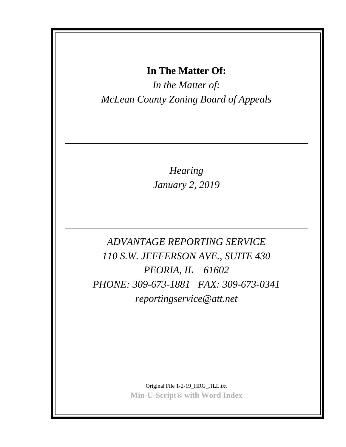## **In The Matter Of:**

*In the Matter of: McLean County Zoning Board of Appeals*

> *Hearing January 2, 2019*

*ADVANTAGE REPORTING SERVICE 110 S.W. JEFFERSON AVE., SUITE 430 PEORIA, IL 61602 PHONE: 309-673-1881 FAX: 309-673-0341 reportingservice@att.net*

> Original File 1-2-19\_HRG\_JILL.txt **Min-U-Script® with Word Index**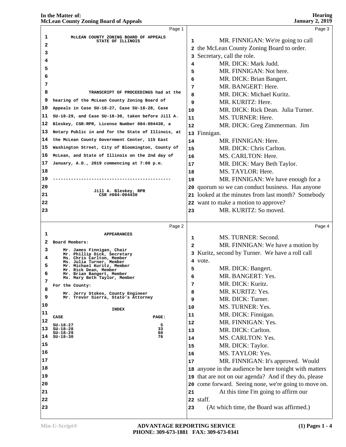# **In the Matter of:**

|    | <b>McLean County Zoning Board of Appeals</b>                             |                | <b>January 2, 2019</b>                                 |
|----|--------------------------------------------------------------------------|----------------|--------------------------------------------------------|
|    | Page 1                                                                   |                | Page 3                                                 |
| 1  | MCLEAN COUNTY ZONING BOARD OF APPEALS<br>STATE OF ILLINOIS               | 1              | MR. FINNIGAN: We're going to call                      |
| 2  |                                                                          |                | 2 the McLean County Zoning Board to order.             |
| з  |                                                                          |                | 3 Secretary, call the role.                            |
| 4  |                                                                          | 4              | MR. DICK: Mark Judd.                                   |
| 5  |                                                                          | 5              | MR. FINNIGAN: Not here.                                |
| 6  |                                                                          | 6              | MR. DICK: Brian Bangert.                               |
| 7  |                                                                          | 7              | MR. BANGERT: Here.                                     |
| 8  | TRANSCRIPT OF PROCEEDINGS had at the                                     | 8              | MR. DICK: Michael Kuritz.                              |
| 9  | hearing of the McLean County Zoning Board of                             | 9              | MR. KURITZ: Here.                                      |
| 10 | Appeals in Case SU-18-27, Case SU-18-28, Case                            | 10             | MR. DICK: Rick Dean. Julia Turner.                     |
| 11 | SU-18-29, and Case SU-18-30, taken before Jill A.                        | 11             | MS. TURNER: Here.                                      |
| 12 | Bleskey, CSR-RPR, License Number 084-004430, a                           | 12             | MR. DICK: Greg Zimmerman. Jim                          |
| 13 | Notary Public in and for the State of Illinois, at                       |                | 13 Finnigan.                                           |
| 14 | the McLean County Government Center, 115 East                            | 14             | MR. FINNIGAN: Here.                                    |
| 15 | Washington Street, City of Bloomington, County of                        | 15             | MR. DICK: Chris Carlton.                               |
| 16 | McLean, and State of Illinois on the 2nd day of                          | 16             | MS. CARLTON: Here.                                     |
| 17 | January, A.D., 2019 commencing at 7:00 p.m.                              | 17             | MR. DICK: Mary Beth Taylor.                            |
| 18 |                                                                          | 18             | MS. TAYLOR: Here.                                      |
| 19 |                                                                          | 19             | MR. FINNIGAN: We have enough for a                     |
| 20 |                                                                          |                | 20 quorum so we can conduct business. Has anyone       |
| 21 | Jill A. Bleskey, RPR<br>CSR #084-004430                                  |                | 21 looked at the minutes from last month? Somebody     |
| 22 |                                                                          |                | 22 want to make a motion to approve?                   |
| 23 |                                                                          | 23             | MR. KURITZ: So moved.                                  |
|    |                                                                          |                |                                                        |
|    | Page 2                                                                   |                | Page 4                                                 |
| 1  | <b>APPEARANCES</b>                                                       | 1              | MS. TURNER: Second.                                    |
| 2  | Board Members:                                                           | $\overline{a}$ | MR. FINNIGAN: We have a motion by                      |
| 3  | Mr. James Finnigan, Chair                                                |                | 3 Kuritz, second by Turner. We have a roll call        |
| 4  | Mr. Phillip Dick, Secretary<br>Ms. Chris Carlton, Member                 |                | 4 vote.                                                |
| 5  | Ms. Julia Turner, Member<br>Mr. Michael Kuritz, Member                   | 5              | MR. DICK: Bangert.                                     |
| 6  | Mr. Rick Dean, Member<br>Mr. Brian Bangert, Member                       |                | MR. BANGERT: Yes.                                      |
| 7  | Ms. Mary Beth Taylor, Member                                             | 6              | MR. DICK: Kuritz.                                      |
| 8  | For the County:                                                          | 7              | MR. KURITZ: Yes.                                       |
| 9  | Mr. Jerry Stokes, County Engineer<br>Mr. Trevor Sierra, State's Attorney | 8              |                                                        |
| 10 |                                                                          | 9              | MR. DICK: Turner.<br>MS. TURNER: Yes.                  |
| 11 | <b>INDEX</b>                                                             | 10             |                                                        |
| 12 | CASE<br>PAGE:                                                            | 11             | MR. DICK: Finnigan.                                    |
| 13 | 5<br>$SU-18-27$<br>33<br>SU-18-28                                        | 12             | MR. FINNIGAN: Yes.                                     |
| 14 | 60<br>$SU-18-29$<br>76<br>$SU-18-30$                                     | 13             | MR. DICK: Carlton.                                     |
| 15 |                                                                          | 14             | MS. CARLTON: Yes.                                      |
|    |                                                                          | 15             | MR. DICK: Taylor.                                      |
| 16 |                                                                          | 16             | MS. TAYLOR: Yes.                                       |
| 17 |                                                                          | 17             | MR. FINNIGAN: It's approved. Would                     |
| 18 |                                                                          |                | 18 anyone in the audience be here tonight with matters |
| 19 |                                                                          | 19             | that are not on our agenda? And if they do, please     |
| 20 |                                                                          |                | 20 come forward. Seeing none, we're going to move on.  |
| 21 |                                                                          | 21             | At this time I'm going to affirm our                   |
| 22 |                                                                          |                | 22 staff.                                              |
| 23 |                                                                          | 23             | (At which time, the Board was affirmed.)               |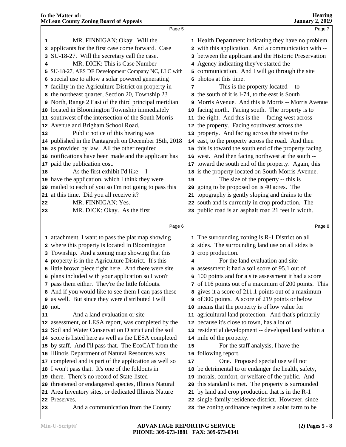|    | rachean County Homing Dour a of Teppean                                                                        |    |                                                                                                          |
|----|----------------------------------------------------------------------------------------------------------------|----|----------------------------------------------------------------------------------------------------------|
|    | Page 5                                                                                                         |    | Page 7                                                                                                   |
| 1  | MR. FINNIGAN: Okay. Will the                                                                                   |    | 1 Health Department indicating they have no problem                                                      |
|    | 2 applicants for the first case come forward. Case                                                             |    | 2 with this application. And a communication with --                                                     |
|    | 3 SU-18-27. Will the secretary call the case.                                                                  |    | 3 between the applicant and the Historic Preservation                                                    |
|    | MR. DICK: This is Case Number                                                                                  |    | 4 Agency indicating they've started the                                                                  |
|    | 5 SU-18-27, AES DE Development Company NC, LLC with                                                            |    | 5 communication. And I will go through the site                                                          |
|    | 6 special use to allow a solar powered generating                                                              |    | 6 photos at this time.                                                                                   |
|    | 7 facility in the Agriculture District on property in                                                          | 7  | This is the property located -- to                                                                       |
|    | 8 the northeast quarter, Section 20, Township 23                                                               |    | 8 the south of it is I-74, to the east is South                                                          |
|    | 9 North, Range 2 East of the third principal meridian                                                          |    | 9 Morris Avenue. And this is Morris -- Morris Avenue                                                     |
|    | 10 located in Bloomington Township immediately                                                                 |    | 10 facing north. Facing south. The property is to                                                        |
|    | 11 southwest of the intersection of the South Morris                                                           |    | 11 the right. And this is the -- facing west across                                                      |
|    | 12 Avenue and Brigham School Road.                                                                             |    | 12 the property. Facing southwest across the                                                             |
| 13 | Public notice of this hearing was                                                                              |    | 13 property. And facing across the street to the                                                         |
|    | 14 published in the Pantagraph on December 15th, 2018                                                          |    | 14 east, to the property across the road. And then                                                       |
|    | 15 as provided by law. All the other required                                                                  |    | 15 this is toward the south end of the property facing                                                   |
|    | 16 notifications have been made and the applicant has                                                          |    | 16 west. And then facing northwest at the south --                                                       |
|    | 17 paid the publication cost.                                                                                  |    | 17 toward the south end of the property. Again, this                                                     |
| 18 | As the first exhibit I'd like -- I                                                                             |    | 18 is the property located on South Morris Avenue.                                                       |
|    | 19 have the application, which I think they were                                                               | 19 | The size of the property -- this is                                                                      |
|    | 20 mailed to each of you so I'm not going to pass this                                                         |    | 20 going to be proposed on is 40 acres. The                                                              |
|    | 21 at this time. Did you all receive it?                                                                       |    | 21 topography is gently sloping and drains to the                                                        |
| 22 | MR. FINNIGAN: Yes.                                                                                             |    | 22 south and is currently in crop production. The                                                        |
| 23 | MR. DICK: Okay. As the first                                                                                   |    | 23 public road is an asphalt road 21 feet in width.                                                      |
|    |                                                                                                                |    |                                                                                                          |
|    | Page 6                                                                                                         |    | Page 8                                                                                                   |
|    | 1 attachment, I want to pass the plat map showing                                                              |    | 1 The surrounding zoning is R-1 District on all                                                          |
|    | 2 where this property is located in Bloomington                                                                |    | 2 sides. The surrounding land use on all sides is                                                        |
|    | 3 Township. And a zoning map showing that this                                                                 |    | 3 crop production.                                                                                       |
|    | 4 property is in the Agriculture District. It's this                                                           | 4  | For the land evaluation and site                                                                         |
|    | 5 little brown piece right here. And there were site                                                           |    | 5 assessment it had a soil score of 95.1 out of                                                          |
|    | 6 plans included with your application so I won't                                                              |    | 6 100 points and for a site assessment it had a score                                                    |
|    | 7 pass them either. They're the little foldouts.                                                               |    | 7 of 116 points out of a maximum of 200 points. This                                                     |
|    | 8 And if you would like to see them I can pass these                                                           |    | 8 gives it a score of 211.1 points out of a maximum                                                      |
|    | 9 as well. But since they were distributed I will                                                              |    | of 300 points. A score of 219 points or below                                                            |
|    | 10 not.                                                                                                        |    | 10 means that the property is of low value for                                                           |
| 11 | And a land evaluation or site                                                                                  |    | 11 agricultural land protection. And that's primarily                                                    |
|    | 12 assessment, or LESA report, was completed by the                                                            |    | 12 because it's close to town, has a lot of                                                              |
|    | 13 Soil and Water Conservation District and the soil                                                           |    | 13 residential development -- developed land within a                                                    |
|    | 14 score is listed here as well as the LESA completed                                                          |    | 14 mile of the property.                                                                                 |
|    | 15 by staff. And I'll pass that. The EcoCAT from the                                                           | 15 | For the staff analysis, I have the                                                                       |
|    | 16 Illinois Department of Natural Resources was                                                                |    | 16 following report.                                                                                     |
|    | 17 completed and is part of the application as well so                                                         | 17 | One. Proposed special use will not                                                                       |
|    | 18 I won't pass that. It's one of the foldouts in                                                              |    | 18 be detrimental to or endanger the health, safety,                                                     |
|    | 19 there. There's no record of State-listed                                                                    |    | 19 morals, comfort, or welfare of the public. And                                                        |
|    | 20 threatened or endangered species, Illinois Natural<br>21 Area Inventory sites, or dedicated Illinois Nature |    | 20 this standard is met. The property is surrounded<br>21 by land and crop production that is in the R-1 |
|    | 22 Preserves.                                                                                                  |    | 22 single-family residence district. However, since                                                      |
|    |                                                                                                                |    |                                                                                                          |

And a communication from the County

the zoning ordinance requires a solar farm to be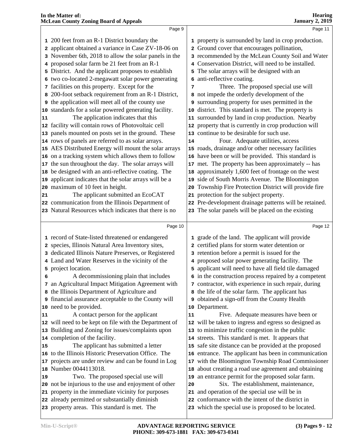|    | <b>McLean County Zoning Board of Appeals</b>          |    | <b>January 2, 2019</b>                                 |
|----|-------------------------------------------------------|----|--------------------------------------------------------|
|    | Page 9                                                |    | Page 11                                                |
|    | 1 200 feet from an R-1 District boundary the          |    | 1 property is surrounded by land in crop production.   |
|    | 2 applicant obtained a variance in Case ZV-18-06 on   |    | 2 Ground cover that encourages pollination,            |
|    | 3 November 6th, 2018 to allow the solar panels in the |    | 3 recommended by the McLean County Soil and Water      |
|    | 4 proposed solar farm be 21 feet from an R-1          |    | 4 Conservation District, will need to be installed.    |
|    | 5 District. And the applicant proposes to establish   |    | 5 The solar arrays will be designed with an            |
|    | 6 two co-located 2-megawatt solar power generating    |    | 6 anti-reflective coating.                             |
|    | 7 facilities on this property. Except for the         | 7  | Three. The proposed special use will                   |
|    | 8 200-foot setback requirement from an R-1 District,  |    | 8 not impede the orderly development of the            |
| 9  | the application will meet all of the county use       |    | 9 surrounding property for uses permitted in the       |
| 10 | standards for a solar powered generating facility.    |    | 10 district. This standard is met. The property is     |
| 11 | The application indicates that this                   |    | 11 surrounded by land in crop production. Nearby       |
|    | 12 facility will contain rows of Photovoltaic cell    |    | 12 property that is currently in crop production will  |
| 13 | panels mounted on posts set in the ground. These      |    | 13 continue to be desirable for such use.              |
|    | 14 rows of panels are referred to as solar arrays.    | 14 | Four. Adequate utilities, access                       |
| 15 | AES Distributed Energy will mount the solar arrays    |    | 15 roads, drainage and/or other necessary facilities   |
| 16 | on a tracking system which allows them to follow      |    | 16 have been or will be provided. This standard is     |
| 17 | the sun throughout the day. The solar arrays will     |    | 17 met. The property has been approximately -- has     |
| 18 | be designed with an anti-reflective coating. The      |    | 18 approximately 1,600 feet of frontage on the west    |
| 19 | applicant indicates that the solar arrays will be a   |    | 19 side of South Morris Avenue. The Bloomington        |
| 20 | maximum of 10 feet in height.                         |    | 20 Township Fire Protection District will provide fire |
| 21 | The applicant submitted an EcoCAT                     |    | 21 protection for the subject property.                |
|    | 22 communication from the Illinois Department of      |    | 22 Pre-development drainage patterns will be retained. |
|    | 23 Natural Resources which indicates that there is no |    | 23 The solar panels will be placed on the existing     |
|    | Page 10                                               |    | Page 12                                                |
|    |                                                       |    |                                                        |
|    | 1 record of State-listed threatened or endangered     |    | 1 grade of the land. The applicant will provide        |
|    | 2 species, Illinois Natural Area Inventory sites,     |    | 2 certified plans for storm water detention or         |
|    | 3 dedicated Illinois Nature Preserves, or Registered  |    | 3 retention before a permit is issued for the          |
|    | 4 Land and Water Reserves in the vicinity of the      |    | 4 proposed solar power generating facility. The        |
|    | 5 project location.                                   |    | 5 applicant will need to have all field tile damaged   |
| 6  | A decommissioning plain that includes                 |    | 6 in the construction process repaired by a competent  |
|    | 7 an Agricultural Impact Mitigation Agreement with    |    | 7 contractor, with experience in such repair, during   |
|    | 8 the Illinois Department of Agriculture and          |    | 8 the life of the solar farm. The applicant has        |
|    | 9 financial assurance acceptable to the County will   |    | 9 obtained a sign-off from the County Health           |
|    | 10 need to be provided.                               |    | 10 Department.                                         |
| 11 | A contact person for the applicant                    | 11 | Five. Adequate measures have been or                   |
| 12 | will need to be kept on file with the Department of   |    | 12 will be taken to ingress and egress so designed as  |
| 13 | Building and Zoning for issues/complaints upon        |    | 13 to minimize traffic congestion in the public        |
|    | 14 completion of the facility.                        |    | 14 streets. This standard is met. It appears that      |
| 15 | The applicant has submitted a letter                  |    | 15 safe site distance can be provided at the proposed  |
| 16 | to the Illinois Historic Preservation Office. The     |    | 16 entrance. The applicant has been in communication   |
| 17 | projects are under review and can be found in Log     |    | 17 with the Bloomington Township Road Commissioner     |
| 18 | Number 0044113018.                                    |    | 18 about creating a road use agreement and obtaining   |
| 19 | Two. The proposed special use will                    |    | 19 an entrance permit for the proposed solar farm.     |
|    | 20 not be injurious to the use and enjoyment of other | 20 | Six. The establishment, maintenance,                   |
|    | 21 property in the immediate vicinity for purposes    |    | 21 and operation of the special use will be in         |
|    | 22 already permitted or substantially diminish        |    | 22 conformance with the intent of the district in      |

 already permitted or substantially diminish property areas. This standard is met. The

which the special use is proposed to be located.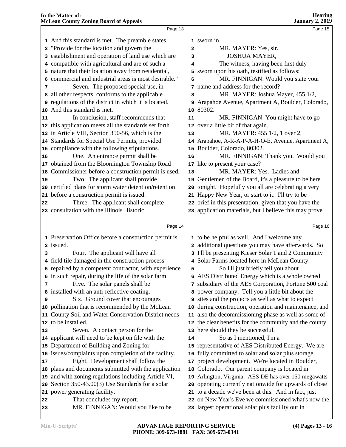|    | Page 13                                                         |              | Page 15                                                                                                     |
|----|-----------------------------------------------------------------|--------------|-------------------------------------------------------------------------------------------------------------|
|    | 1 And this standard is met. The preamble states                 |              | 1 sworn in.                                                                                                 |
|    | 2 "Provide for the location and govern the                      | $\mathbf{2}$ | MR. MAYER: Yes, sir.                                                                                        |
|    | 3 establishment and operation of land use which are             | 3            | <b>JOSHUA MAYER,</b>                                                                                        |
|    | 4 compatible with agricultural and are of such a                | 4            | The witness, having been first duly                                                                         |
|    | 5 nature that their location away from residential,             | 5            | sworn upon his oath, testified as follows:                                                                  |
|    | 6 commercial and industrial areas is most desirable."           | 6            | MR. FINNIGAN: Would you state your                                                                          |
| 7  | Seven. The proposed special use, in                             |              | 7 name and address for the record?                                                                          |
|    | 8 all other respects, conforms to the applicable                | 8            | MR. MAYER: Joshua Mayer, 455 1/2,                                                                           |
|    | <b>9</b> regulations of the district in which it is located.    | 9            | Arapahoe Avenue, Apartment A, Boulder, Colorado,                                                            |
|    | 10 And this standard is met.                                    |              | 10 80302.                                                                                                   |
| 11 | In conclusion, staff recommends that                            | 11           | MR. FINNIGAN: You might have to go                                                                          |
|    | 12 this application meets all the standards set forth           |              | 12 over a little bit of that again.                                                                         |
|    | 13 in Article VIII, Section 350-56, which is the                | 13           | MR. MAYER: 455 1/2, 1 over 2,                                                                               |
|    | 14 Standards for Special Use Permits, provided                  |              | 14 Arapahoe, A-R-A-P-A-H-O-E, Avenue, Apartment A,                                                          |
|    | 15 compliance with the following stipulations.                  |              | 15 Boulder, Colorado, 80302.                                                                                |
| 16 | One. An entrance permit shall be                                | 16           | MR. FINNIGAN: Thank you. Would you                                                                          |
|    | 17 obtained from the Bloomington Township Road                  |              | 17 like to present your case?                                                                               |
|    | 18 Commissioner before a construction permit is used.           | 18           | MR. MAYER: Yes. Ladies and                                                                                  |
| 19 | Two. The applicant shall provide                                |              | 19 Gentlemen of the Board, it's a pleasure to be here                                                       |
|    | 20 certified plans for storm water detention/retention          |              | 20 tonight. Hopefully you all are celebrating a very                                                        |
|    | 21 before a construction permit is issued.                      |              | 21 Happy New Year, or start to it. I'll try to be                                                           |
| 22 | Three. The applicant shall complete                             |              | 22 brief in this presentation, given that you have the                                                      |
|    | 23 consultation with the Illinois Historic                      |              | 23 application materials, but I believe this may prove                                                      |
|    |                                                                 |              |                                                                                                             |
|    | Page 14                                                         |              | Page 16                                                                                                     |
|    | 1 Preservation Office before a construction permit is           |              | 1 to be helpful as well. And I welcome any                                                                  |
|    | 2 issued.                                                       |              | 2 additional questions you may have afterwards. So                                                          |
| з  | Four. The applicant will have all                               |              | 3 I'll be presenting Kieser Solar 1 and 2 Community                                                         |
|    | 4 field tile damaged in the construction process                |              | 4 Solar Farms located here in McLean County.                                                                |
|    | 5 repaired by a competent contractor, with experience           | 5            | So I'll just briefly tell you about                                                                         |
|    | 6 in such repair, during the life of the solar farm.            | 6            | AES Distributed Energy which is a whole owned                                                               |
| 7  | Five. The solar panels shall be                                 |              | 7 subsidiary of the AES Corporation, Fortune 500 coal                                                       |
|    | 8 installed with an anti-reflective coating.                    |              | 8 power company. Tell you a little bit about the                                                            |
| 9  | Six. Ground cover that encourages                               |              | 9 sites and the projects as well as what to expect                                                          |
|    | 10 pollination that is recommended by the McLean                |              | 10 during construction, operation and maintenance, and                                                      |
|    | 11 County Soil and Water Conservation District needs            | 11           | also the decommissioning phase as well as some of                                                           |
|    | 12 to be installed.                                             |              | 12 the clear benefits for the community and the county                                                      |
| 13 | Seven. A contact person for the                                 |              | 13 here should they be successful.                                                                          |
|    | 14 applicant will need to be kept on file with the              | 14           | So as I mentioned, I'm a                                                                                    |
|    |                                                                 |              |                                                                                                             |
|    |                                                                 |              |                                                                                                             |
|    | 15 Department of Building and Zoning for                        |              | 15 representative of AES Distributed Energy. We are                                                         |
|    | 16 issues/complaints upon completion of the facility.           |              | 16 fully committed to solar and solar plus storage                                                          |
|    | Eight. Development shall follow the                             |              | 17 project development. We're located in Boulder,                                                           |
|    | 18 plans and documents submitted with the application           | 18           | Colorado. Our parent company is located in                                                                  |
| 17 | 19 and with zoning regulations including Article VI,            |              | 19 Arlington, Virginia. AES DE has over 150 megawatts                                                       |
|    | 20 Section 350-43.00(3) Use Standards for a solar               |              | 20 operating currently nationwide for upwards of close                                                      |
| 22 | 21 power generating facility.                                   |              | 21 to a decade we've been at this. And in fact, just<br>22 on New Year's Eve we commissioned what's now the |
| 23 | That concludes my report.<br>MR. FINNIGAN: Would you like to be |              | 23 largest operational solar plus facility out in                                                           |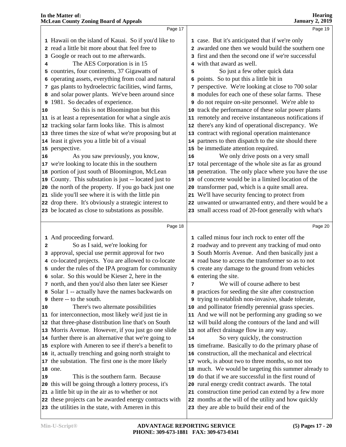|    | Page 17                                                                                                      |    | Page 19                                                                                            |  |
|----|--------------------------------------------------------------------------------------------------------------|----|----------------------------------------------------------------------------------------------------|--|
|    | 1 Hawaii on the island of Kauai. So if you'd like to                                                         |    | 1 case. But it's anticipated that if we're only                                                    |  |
|    | 2 read a little bit more about that feel free to                                                             |    | 2 awarded one then we would build the southern one                                                 |  |
|    | 3 Google or reach out to me afterwards.                                                                      |    | 3 first and then the second one if we're successful                                                |  |
|    | The AES Corporation is in 15                                                                                 |    | 4 with that award as well.                                                                         |  |
|    | 5 countries, four continents, 37 Gigawatts of                                                                | 5  | So just a few other quick data                                                                     |  |
|    | 6 operating assets, everything from coal and natural                                                         |    | 6 points. So to put this a little bit in                                                           |  |
|    | 7 gas plants to hydroelectric facilities, wind farms,                                                        |    | 7 perspective. We're looking at close to 700 solar                                                 |  |
|    | 8 and solar power plants. We've been around since                                                            |    | 8 modules for each one of these solar farms. These                                                 |  |
|    | 9 1981. So decades of experience.                                                                            |    | <b>9</b> do not require on-site personnel. We're able to                                           |  |
|    | So this is not Bloomington but this                                                                          |    | 10 track the performance of these solar power plants                                               |  |
| 10 | 11 is at least a representation for what a single axis                                                       |    | 11 remotely and receive instantaneous notifications if                                             |  |
|    |                                                                                                              |    |                                                                                                    |  |
|    | 12 tracking solar farm looks like. This is almost                                                            |    | 12 there's any kind of operational discrepancy. We                                                 |  |
|    | 13 three times the size of what we're proposing but at                                                       |    | 13 contract with regional operation maintenance                                                    |  |
|    | 14 least it gives you a little bit of a visual                                                               |    | 14 partners to then dispatch to the site should there                                              |  |
|    | 15 perspective.                                                                                              |    | 15 be immediate attention required.                                                                |  |
| 16 | As you saw previously, you know,                                                                             | 16 | We only drive posts on a very small                                                                |  |
|    | 17 we're looking to locate this in the southern                                                              |    | 17 total percentage of the whole site as far as ground                                             |  |
|    | 18 portion of just south of Bloomington, McLean                                                              |    | 18 penetration. The only place where you have the use                                              |  |
|    | 19 County. This substation is just -- located just to                                                        |    | 19 of concrete would be in a limited location of the                                               |  |
|    | 20 the north of the property. If you go back just one                                                        |    | 20 transformer pad, which is a quite small area.                                                   |  |
|    | 21 slide you'll see where it is with the little pin                                                          |    | 21 We'll have security fencing to protect from                                                     |  |
|    | 22 drop there. It's obviously a strategic interest to                                                        |    | 22 unwanted or unwarranted entry, and there would be a                                             |  |
|    | 23 be located as close to substations as possible.                                                           |    | 23 small access road of 20-foot generally with what's                                              |  |
|    |                                                                                                              |    |                                                                                                    |  |
|    | Page 18                                                                                                      |    | Page 20                                                                                            |  |
|    | 1 And proceeding forward.                                                                                    |    | 1 called minus four inch rock to enter off the                                                     |  |
| 2  | So as I said, we're looking for                                                                              |    | 2 roadway and to prevent any tracking of mud onto                                                  |  |
|    | 3 approval, special use permit approval for two                                                              |    | 3 South Morris Avenue. And then basically just a                                                   |  |
|    | 4 co-located projects. You are allowed to co-locate                                                          |    | 4 road base to access the transformer so as to not                                                 |  |
|    | 5 under the rules of the IPA program for community                                                           |    | 5 create any damage to the ground from vehicles                                                    |  |
|    | 6 solar. So this would be Kieser 2, here in the                                                              |    | 6 entering the site.                                                                               |  |
|    | 7 north, and then you'd also then later see Kieser                                                           | 7  | We will of course adhere to best                                                                   |  |
|    | 8 Solar 1 -- actually have the names backwards on                                                            |    | 8 practices for seeding the site after construction                                                |  |
|    | 9 there -- to the south.                                                                                     |    | 9 trying to establish non-invasive, shade tolerate,                                                |  |
| 10 | There's two alternate possibilities                                                                          |    | 10 and pollinator friendly perennial grass species.                                                |  |
|    | 11 for interconnection, most likely we'd just tie in                                                         |    | 11 And we will not be performing any grading so we                                                 |  |
|    | 12 that three-phase distribution line that's on South                                                        |    | 12 will build along the contours of the land and will                                              |  |
|    | 13 Morris Avenue. However, if you just go one slide                                                          |    | 13 not affect drainage flow in any way.                                                            |  |
|    | 14 further there is an alternative that we're going to                                                       | 14 | So very quickly, the construction                                                                  |  |
|    | 15 explore with Ameren to see if there's a benefit to                                                        |    | 15 timeframe. Basically to do the primary phase of                                                 |  |
|    | 16 it, actually trenching and going north straight to                                                        |    | 16 construction, all the mechanical and electrical                                                 |  |
|    | 17 the substation. The first one is the more likely                                                          |    | 17 work, is about two to three months, so not too                                                  |  |
|    | 18 one.                                                                                                      |    | 18 much. We would be targeting this summer already to                                              |  |
| 19 | This is the southern farm. Because                                                                           |    | 19 do that if we are successful in the first round of                                              |  |
|    | 20 this will be going through a lottery process, it's                                                        |    | 20 rural energy credit contract awards. The total                                                  |  |
|    | 21 a little bit up in the air as to whether or not                                                           |    | 21 construction time period can extend by a few more                                               |  |
|    |                                                                                                              |    |                                                                                                    |  |
|    | 22 these projects can be awarded energy contracts with<br>23 the utilities in the state, with Ameren in this |    | 22 months at the will of the utility and how quickly<br>23 they are able to build their end of the |  |
|    |                                                                                                              |    |                                                                                                    |  |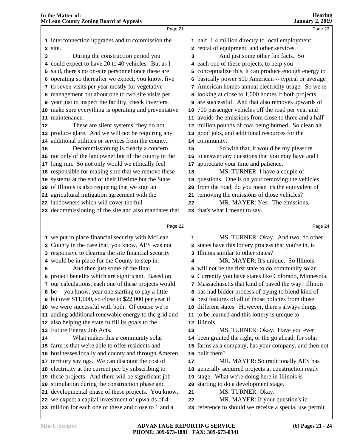|    | Page 21                                                                                                    |    | Page 23                                                                                    |  |
|----|------------------------------------------------------------------------------------------------------------|----|--------------------------------------------------------------------------------------------|--|
|    | 1 interconnection upgrades and to commission the                                                           |    | 1 half, 1.4 million directly to local employment,                                          |  |
|    | 2 site.                                                                                                    |    | 2 rental of equipment, and other services.                                                 |  |
| з  | During the construction period you                                                                         | 3  | And just some other fun facts. So                                                          |  |
|    | 4 could expect to have 20 to 40 vehicles. But as I                                                         |    | 4 each one of these projects, to help you                                                  |  |
|    | 5 said, there's no on-site personnel once these are                                                        |    | 5 conceptualize this, it can produce enough energy to                                      |  |
|    | 6 operating so thereafter we expect, you know, five                                                        |    | 6 basically power 500 American -- typical or average                                       |  |
|    | 7 to seven visits per year mostly for vegetative                                                           |    | 7 American homes annual electricity usage. So we're                                        |  |
|    | 8 management but about one to two site visits per                                                          |    | 8 looking at close to 1,000 homes if both projects                                         |  |
|    | <b>9</b> year just to inspect the facility, check inverters,                                               |    | 9 are successful. And that also removes upwards of                                         |  |
|    | 10 make sure everything is operating and preventative                                                      |    | 10 700 passenger vehicles off the road per year and                                        |  |
|    | 11 maintenance.                                                                                            |    | 11 avoids the emissions from close to three and a half                                     |  |
| 12 | These are silent systems, they do not                                                                      |    | 12 million pounds of coal being burned. So clean air,                                      |  |
|    | 13 produce glare. And we will not be requiring any                                                         |    | 13 good jobs, and additional resources for the                                             |  |
|    | 14 additional utilities or services from the county.                                                       |    | 14 community.                                                                              |  |
| 15 | Decommissioning is clearly a concern                                                                       | 15 | So with that, it would be my pleasure                                                      |  |
|    | 16 not only of the landowner but of the county in the                                                      |    | 16 to answer any questions that you may have and I                                         |  |
|    | 17 long run. So not only would we ethically feel                                                           |    | 17 appreciate your time and patience.                                                      |  |
|    | 18 responsible for making sure that we remove these                                                        | 18 | MS. TURNER: I have a couple of                                                             |  |
|    | 19 systems at the end of their lifetime but the State                                                      |    | 19 questions. One is on your removing the vehicles                                         |  |
|    | 20 of Illinois is also requiring that we sign an                                                           |    | 20 from the road, do you mean it's the equivalent of                                       |  |
|    | 21 agricultural mitigation agreement with the                                                              |    | 21 removing the emissions of those vehicles?                                               |  |
|    | 22 landowners which will cover the full                                                                    | 22 | MR. MAYER: Yes. The emissions,                                                             |  |
|    | 23 decommissioning of the site and also mandates that                                                      |    | 23 that's what I meant to say.                                                             |  |
|    |                                                                                                            |    |                                                                                            |  |
|    |                                                                                                            |    |                                                                                            |  |
|    | Page 22                                                                                                    |    | Page 24                                                                                    |  |
|    | 1 we put in place financial security with McLean                                                           | 1  | MS. TURNER: Okay. And two, do other                                                        |  |
|    | 2 County in the case that, you know, AES was not                                                           |    | 2 states have this lottery process that you're in, is                                      |  |
|    | 3 responsive to clearing the site financial security                                                       |    | 3 Illinois similar to other states?                                                        |  |
|    | 4 would be in place for the County to step in.                                                             | 4  | MR. MAYER: It's unique. So Illinois                                                        |  |
| 5  | And then just some of the final                                                                            |    | 5 will not be the first state to do community solar.                                       |  |
|    | 6 project benefits which are significant. Based on                                                         |    | 6 Currently you have states like Colorado, Minnesota,                                      |  |
|    | 7 our calculations, each one of these projects would                                                       |    | 7 Massachusetts that kind of paved the way. Illinois                                       |  |
|    | 8 be -- you know, year one starting to pay a little                                                        |    | 8 has had bidder process of trying to blend kind of                                        |  |
|    | 9 bit over \$11,000, so close to \$22,000 per year if                                                      |    | <b>9</b> best features of all of those policies from those                                 |  |
|    | 10 we were successful with both. Of course we're                                                           |    | 10 different states. However, there's always things                                        |  |
|    | 11 adding additional renewable energy to the grid and                                                      |    | 11 to be learned and this lottery is unique to                                             |  |
|    | 12 also helping the state fulfill its goals to the                                                         |    | 12 Illinois.                                                                               |  |
|    | 13 Future Energy Job Acts.                                                                                 | 13 | MS. TURNER: Okay. Have you ever                                                            |  |
| 14 | What makes this a community solar                                                                          |    | 14 been granted the right, or the go ahead, for solar                                      |  |
|    | 15 farm is that we're able to offer residents and                                                          |    | 15 farms as a company, has your company, and then not                                      |  |
|    | 16 businesses locally and county and through Ameren                                                        |    | 16 built them?                                                                             |  |
|    | 17 territory savings. We can discount the cost of                                                          | 17 | MR. MAYER: So traditionally AES has                                                        |  |
|    | 18 electricity at the current pay by subscribing to                                                        |    | 18 generally acquired projects at construction ready                                       |  |
|    | 19 these projects. And there will be significant job                                                       |    | 19 stage. What we're doing here in Illinois is                                             |  |
|    | 20 stimulation during the construction phase and                                                           |    | 20 starting to do a development stage.                                                     |  |
|    | 21 developmental phase of these projects. You know,                                                        | 21 | MS. TURNER: Okay.                                                                          |  |
|    | 22 we expect a capital investment of upwards of 4<br>23 million for each one of these and close to 1 and a | 22 | MR. MAYER: If your question's in<br>23 reference to should we receive a special use permit |  |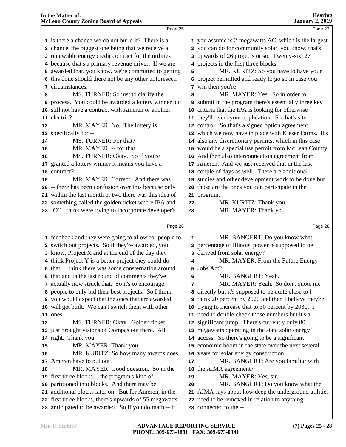|                       | Page 25                                                                                                    |    | Page 27                                                                                   |  |
|-----------------------|------------------------------------------------------------------------------------------------------------|----|-------------------------------------------------------------------------------------------|--|
|                       | 1 is there a chance we do not build it? There is a                                                         |    | 1 you assume is 2-megawatts AC, which is the largest                                      |  |
|                       | 2 chance, the biggest one being that we receive a                                                          |    | 2 you can do for community solar, you know, that's                                        |  |
|                       | 3 renewable energy credit contract for the utilities                                                       |    | 3 upwards of 26 projects or so. Twenty-six, 27                                            |  |
|                       | 4 because that's a primary revenue driver. If we are                                                       |    | 4 projects in the first three blocks.                                                     |  |
|                       | 5 awarded that, you know, we're committed to getting                                                       | 5  | MR. KURITZ: So you have to have your                                                      |  |
|                       | 6 this done should there not be any other unforeseen                                                       |    | 6 project permitted and ready to go so in case you                                        |  |
|                       | 7 circumstances.                                                                                           |    | 7 win then you're --                                                                      |  |
| 8                     | MS. TURNER: So just to clarify the                                                                         | 8  | MR. MAYER: Yes. So in order to                                                            |  |
|                       | 9 process. You could be awarded a lottery winner but                                                       |    | <b>9</b> submit in the program there's essentially three key                              |  |
|                       | 10 still not have a contract with Ameren or another                                                        |    | 10 criteria that the IPA is looking for otherwise                                         |  |
|                       | 11 electric?                                                                                               |    | 11 they'll reject your application. So that's site                                        |  |
| 12                    | MR. MAYER: No. The lottery is                                                                              |    | 12 control. So that's a signed option agreement,                                          |  |
|                       | 13 specifically for --                                                                                     |    | 13 which we now have in place with Kieser Farms. It's                                     |  |
| 14                    | MS. TURNER: For that?                                                                                      |    | 14 also any discretionary permits, which in this case                                     |  |
| 15                    | MR. MAYER: -- for that.                                                                                    |    | 15 would be a special use permit from McLean County.                                      |  |
| 16                    | MS. TURNER: Okay. So if you're                                                                             |    | 16 And then also interconnection agreement from                                           |  |
|                       | 17 granted a lottery winner it means you have a                                                            |    | 17 Ameren. And we just received that in the last                                          |  |
|                       | 18 contract?                                                                                               |    | 18 couple of days as well. There are additional                                           |  |
| 19                    | MR. MAYER: Correct. And there was                                                                          |    | 19 studies and other development work to be done but                                      |  |
|                       | 20 -- there has been confusion over this because only                                                      |    | 20 those are the ones you can participate in the                                          |  |
|                       | 21 within the last month or two there was this idea of                                                     |    | 21 program.                                                                               |  |
|                       | 22 something called the golden ticket where IPA and                                                        | 22 | MR. KURITZ: Thank you.                                                                    |  |
|                       | 23 ICC I think were trying to incorporate developer's                                                      | 23 | MR. MAYER: Thank you.                                                                     |  |
|                       |                                                                                                            |    |                                                                                           |  |
|                       |                                                                                                            |    |                                                                                           |  |
|                       | Page 26                                                                                                    |    | Page 28                                                                                   |  |
|                       |                                                                                                            | 1  |                                                                                           |  |
|                       | 1 feedback and they were going to allow for people to                                                      |    | MR. BANGERT: Do you know what                                                             |  |
|                       | 2 switch out projects. So if they're awarded, you                                                          |    | 2 percentage of Illinois' power is supposed to be                                         |  |
|                       | 3 know, Project X and at the end of the day they                                                           | 4  | 3 derived from solar energy?                                                              |  |
|                       | 4 think Project Y is a better project they could do<br>5 that. I think there was some consternation around |    | MR. MAYER: From the Future Energy<br>5 Jobs Act?                                          |  |
|                       | 6 that and in the last round of comments they've                                                           | 6  | MR. BANGERT: Yeah.                                                                        |  |
|                       |                                                                                                            | 7  |                                                                                           |  |
|                       | 7 actually now struck that. So it's to encourage                                                           |    | MR. MAYER: Yeah. So don't quote me<br>8 directly but it's supposed to be quite close to I |  |
|                       | 8 people to only bid their best projects. So I think<br>9 you would expect that the ones that are awarded  |    | 9 think 20 percent by 2020 and then I believe they're                                     |  |
|                       | 10 will get built. We can't switch them with other                                                         |    | 10 trying to increase that to 30 percent by 2030. I                                       |  |
|                       | 11 ones.                                                                                                   |    | 11 need to double check those numbers but it's a                                          |  |
|                       | MS. TURNER: Okay. Golden ticket                                                                            |    | 12 significant jump. There's currently only 80                                            |  |
|                       | 13 just brought visions of Oompas out there. All                                                           |    | 13 megawatts operating in the state solar energy                                          |  |
|                       | 14 right. Thank you.                                                                                       |    | 14 access. So there's going to be a significant                                           |  |
|                       | MR. MAYER: Thank you.                                                                                      |    | 15 economic boom in the state over the next several                                       |  |
|                       | MR. KURITZ: So how many awards does                                                                        |    | 16 years for solar energy construction.                                                   |  |
|                       | 17 Ameren have to put out?                                                                                 | 17 | MR. BANGERT: Are you familiar with                                                        |  |
|                       | MR. MAYER: Good question. So in the                                                                        |    | 18 the AIMA agreement?                                                                    |  |
|                       | 19 first three blocks -- the program's kind of                                                             | 19 | MR. MAYER: Yes, sir.                                                                      |  |
|                       | 20 partitioned into blocks. And there may be                                                               | 20 | MR. BANGERT: Do you know what the                                                         |  |
| 12<br>15<br>16<br> 18 | 21 additional blocks later on. But for Ameren, in the                                                      |    | 21 AIMA says about how deep the underground utilities                                     |  |
|                       | 22 first three blocks, there's upwards of 55 megawatts                                                     |    | 22 need to be removed in relation to anything                                             |  |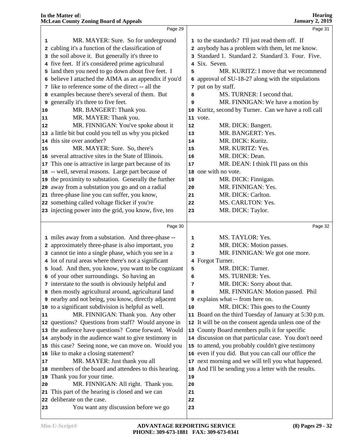|    | Page 29                                                    |          | Page 31                                               |  |
|----|------------------------------------------------------------|----------|-------------------------------------------------------|--|
| 1  | MR. MAYER: Sure. So for underground                        |          | 1 to the standards? I'll just read them off. If       |  |
|    | 2 cabling it's a function of the classification of         |          | 2 anybody has a problem with them, let me know.       |  |
|    | 3 the soil above it. But generally it's three to           |          | 3 Standard 1. Standard 2. Standard 3. Four. Five.     |  |
|    | 4 five feet. If it's considered prime agricultural         |          | 4 Six. Seven.                                         |  |
|    | 5 land then you need to go down about five feet. I         | 5        | MR. KURITZ: I move that we recommend                  |  |
|    | 6 believe I attached the AIMA as an appendix if you'd      |          | 6 approval of SU-18-27 along with the stipulations    |  |
|    | 7 like to reference some of the direct -- all the          |          | 7 put on by staff.                                    |  |
|    | 8 examples because there's several of them. But            | 8        | MS. TURNER: I second that.                            |  |
| 9  | generally it's three to five feet.                         | 9        | MR. FINNIGAN: We have a motion by                     |  |
| 10 | MR. BANGERT: Thank you.                                    |          | 10 Kuritz, second by Turner. Can we have a roll call  |  |
| 11 | MR. MAYER: Thank you.                                      |          | 11 vote.                                              |  |
| 12 | MR. FINNIGAN: You've spoke about it                        | 12       | MR. DICK: Bangert.                                    |  |
|    | 13 a little bit but could you tell us why you picked       | 13       | MR. BANGERT: Yes.                                     |  |
|    | 14 this site over another?                                 | 14       | MR. DICK: Kuritz.                                     |  |
| 15 | MR. MAYER: Sure. So, there's                               | 15       | MR. KURITZ: Yes.                                      |  |
|    | 16 several attractive sites in the State of Illinois.      |          | MR. DICK: Dean.                                       |  |
|    | 17 This one is attractive in large part because of its     | 16       | MR. DEAN: I think I'll pass on this                   |  |
|    | 18 -- well, several reasons. Large part because of         | 17       | 18 one with no vote.                                  |  |
|    | 19 the proximity to substation. Generally the further      |          | MR. DICK: Finnigan.                                   |  |
|    | 20 away from a substation you go and on a radial           | 19<br>20 | MR. FINNIGAN: Yes.                                    |  |
|    | 21 three-phase line you can suffer, you know,              |          | MR. DICK: Carlton.                                    |  |
|    | 22 something called voltage flicker if you're              | 21<br>22 | MS. CARLTON: Yes.                                     |  |
|    | 23 injecting power into the grid, you know, five, ten      |          | MR. DICK: Taylor.                                     |  |
|    |                                                            | 23       |                                                       |  |
|    | Page 30                                                    |          | Page 32                                               |  |
|    | 1 miles away from a substation. And three-phase --         | 1        | MS. TAYLOR: Yes.                                      |  |
|    | 2 approximately three-phase is also important, you         | 2        | MR. DICK: Motion passes.                              |  |
|    | 3 cannot tie into a single phase, which you see in a       | 3        | MR. FINNIGAN: We got one more.                        |  |
|    | 4 lot of rural areas where there's not a significant       |          | 4 Forgot Turner.                                      |  |
|    | 5 load. And then, you know, you want to be cognizant       | 5        | MR. DICK: Turner.                                     |  |
|    | 6 of your other surroundings. So having an                 | 6        | MS. TURNER: Yes.                                      |  |
|    | 7 interstate to the south is obviously helpful and         | 7        | MR. DICK: Sorry about that.                           |  |
|    | 8 then mostly agricultural around, agricultural land       | 8        | MR. FINNIGAN: Motion passed. Phil                     |  |
|    | <b>9</b> nearby and not being, you know, directly adjacent |          | <b>9</b> explains what -- from here on.               |  |
|    | 10 to a significant subdivision is helpful as well.        | 10       | MR. DICK: This goes to the County                     |  |
| 11 | MR. FINNIGAN: Thank you. Any other                         |          | 11 Board on the third Tuesday of January at 5:30 p.m. |  |
|    | 12 questions? Questions from staff? Would anyone in        |          | 12 It will be on the consent agenda unless one of the |  |
|    | 13 the audience have questions? Come forward. Would        |          | 13 County Board members pulls it for specific         |  |
|    | 14 anybody in the audience want to give testimony in       |          | 14 discussion on that particular case. You don't need |  |
|    | 15 this case? Seeing none, we can move on. Would you       |          | 15 to attend, you probably couldn't give testimony    |  |
|    | 16 like to make a closing statement?                       |          | 16 even if you did. But you can call our office the   |  |
| 17 | MR. MAYER: Just thank you all                              |          | 17 next morning and we will tell you what happened.   |  |
|    | 18 members of the board and attendees to this hearing.     | 18       | And I'll be sending you a letter with the results.    |  |
|    | 19 Thank you for your time.                                | 19       |                                                       |  |
| 20 | MR. FINNIGAN: All right. Thank you.                        | 20       |                                                       |  |
|    | 21 This part of the hearing is closed and we can           | 21       |                                                       |  |
|    | 22 deliberate on the case.                                 | 22       |                                                       |  |
|    |                                                            |          |                                                       |  |
| 23 | You want any discussion before we go                       | 23       |                                                       |  |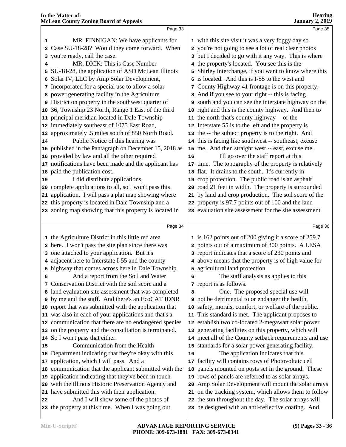|    | Page 33                                                |    | Page 35                                                |  |
|----|--------------------------------------------------------|----|--------------------------------------------------------|--|
| 1  | MR. FINNIGAN: We have applicants for                   |    | 1 with this site visit it was a very foggy day so      |  |
|    | Case SU-18-28? Would they come forward. When           |    | 2 you're not going to see a lot of real clear photos   |  |
|    | 3 you're ready, call the case.                         |    | 3 but I decided to go with it any way. This is where   |  |
| 4  | MR. DICK: This is Case Number                          |    | 4 the property's located. You see this is the          |  |
| 5  | SU-18-28, the application of ASD McLean Illinois       |    | 5 Shirley interchange, if you want to know where this  |  |
| 6  | Solar IV, LLC by Amp Solar Development,                |    | 6 is located. And this is I-55 to the west and         |  |
|    | 7 Incorporated for a special use to allow a solar      |    | 7 County Highway 41 frontage is on this property.      |  |
| 8  | power generating facility in the Agriculture           |    | 8 And if you see to your right -- this is facing       |  |
|    | 9 District on property in the southwest quarter of     |    | 9 south and you can see the interstate highway on the  |  |
|    | 10 36, Township 23 North, Range 1 East of the third    |    | 10 right and this is the county highway. And then to   |  |
|    | 11 principal meridian located in Dale Township         |    | 11 the north that's county highway -- or the           |  |
|    | 12 immediately southeast of 1075 East Road,            |    | 12 Interstate 55 is to the left and the property is    |  |
|    | 13 approximately .5 miles south of 850 North Road.     |    | 13 the -- the subject property is to the right. And    |  |
| 14 | Public Notice of this hearing was                      |    | 14 this is facing like southwest -- southeast, excuse  |  |
|    | 15 published in the Pantagraph on December 15, 2018 as |    | 15 me. And then straight west -- east, excuse me.      |  |
|    | 16 provided by law and all the other required          | 16 | I'll go over the staff report at this                  |  |
|    | 17 notifications have been made and the applicant has  |    | 17 time. The topography of the property is relatively  |  |
|    | 18 paid the publication cost.                          |    | 18 flat. It drains to the south. It's currently in     |  |
| 19 | I did distribute applications,                         |    | 19 crop protection. The public road is an asphalt      |  |
|    | 20 complete applications to all, so I won't pass this  |    | 20 road 21 feet in width. The property is surrounded   |  |
|    | 21 application. I will pass a plat map showing where   | 21 | by land and crop production. The soil score of the     |  |
|    | 22 this property is located in Dale Township and a     |    | 22 property is 97.7 points out of 100 and the land     |  |
|    | 23 zoning map showing that this property is located in |    | 23 evaluation site assessment for the site assessment  |  |
|    |                                                        |    |                                                        |  |
|    | Page 34                                                |    | Page 36                                                |  |
|    | 1 the Agriculture District in this little red area     |    | 1 is 162 points out of 200 giving it a score of 259.7  |  |
|    | 2 here. I won't pass the site plan since there was     |    | 2 points out of a maximum of 300 points. A LESA        |  |
|    | 3 one attached to your application. But it's           |    | 3 report indicates that a score of 230 points and      |  |
|    | 4 adjacent here to Interstate I-55 and the county      |    | 4 above means that the property is of high value for   |  |
|    | 5 highway that comes across here in Dale Township.     |    | 5 agricultural land protection.                        |  |
| 6  | And a report from the Soil and Water                   | 6  | The staff analysis as applies to this                  |  |
|    | 7 Conservation District with the soil score and a      |    | 7 report is as follows.                                |  |
|    | 8 land evaluation site assessment that was completed   | 8  | One. The proposed special use will                     |  |
|    | 9 by me and the staff. And there's an EcoCAT IDNR      |    | <b>9</b> not be detrimental to or endanger the health, |  |
|    | 10 report that was submitted with the application that |    | 10 safety, morals, comfort, or welfare of the public.  |  |
|    | 11 was also in each of your applications and that's a  | 11 | This standard is met. The applicant proposes to        |  |
|    |                                                        |    | 12 establish two co-located 2-megawatt solar power     |  |
|    | 12 communication that there are no endangered species  |    |                                                        |  |
|    | 13 on the property and the consultation is terminated. | 13 | generating facilities on this property, which will     |  |
|    | 14 So I won't pass that either.                        |    | 14 meet all of the County setback requirements and use |  |
| 15 | Communication from the Health                          |    | 15 standards for a solar power generating facility.    |  |
|    | 16 Department indicating that they're okay with this   | 16 | The application indicates that this                    |  |
|    | 17 application, which I will pass. And a               | 17 | facility will contains rows of Photovoltaic cell       |  |
|    | 18 communication that the applicant submitted with the | 18 | panels mounted on posts set in the ground. These       |  |
|    | 19 application indicating that they've been in touch   |    | 19 rows of panels are referred to as solar arrays.     |  |
|    | 20 with the Illinois Historic Preservation Agency and  | 20 | Amp Solar Development will mount the solar arrays      |  |
|    | 21 have submitted this with their application.         |    | 21 on the tracking system, which allows them to follow |  |
| 22 | And I will show some of the photos of                  | 22 | the sun throughout the day. The solar arrays will      |  |
|    | 23 the property at this time. When I was going out     |    | 23 be designed with an anti-reflective coating. And    |  |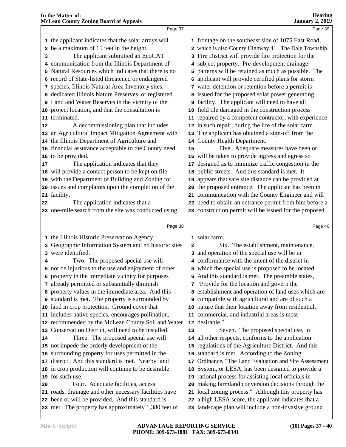|          | Page 37                                                 |    | Page 39                                                |  |
|----------|---------------------------------------------------------|----|--------------------------------------------------------|--|
|          | 1 the applicant indicates that the solar arrays will    |    | 1 frontage on the southeast side of 1075 East Road,    |  |
|          | 2 be a maximum of 15 feet in the height.                |    | 2 which is also County Highway 41. The Dale Township   |  |
| з        | The applicant submitted an EcoCAT                       |    | 3 Fire District will provide fire protection for the   |  |
|          | 4 communication from the Illinois Department of         |    | 4 subject property. Pre-development drainage           |  |
|          | 5 Natural Resources which indicates that there is no    |    | 5 patterns will be retained as much as possible. The   |  |
|          | 6 record of State-listed threatened or endangered       |    | 6 applicant will provide certified plans for storm     |  |
|          | 7 species, Illinois Natural Area Inventory sites,       |    | 7 water detention or retention before a permit is      |  |
|          | 8 dedicated Illinois Nature Preserves, or registered    |    | 8 issued for the proposed solar power generating       |  |
|          | <b>9</b> Land and Water Reserves in the vicinity of the |    | <b>9</b> facility. The applicant will need to have all |  |
|          |                                                         |    |                                                        |  |
|          | 10 project location, and that the consultation is       | 10 | field tile damaged in the construction process         |  |
|          | 11 terminated.                                          |    | 11 repaired by a competent contractor, with experience |  |
| 12       | A decommissioning plan that includes                    |    | 12 in such repair, during the life of the solar farm.  |  |
|          | 13 an Agricultural Impact Mitigation Agreement with     | 13 | The applicant has obtained a sign-off from the         |  |
|          | 14 the Illinois Department of Agriculture and           |    | 14 County Health Department.                           |  |
|          | 15 financial assurance acceptable to the County need    | 15 | Five. Adequate measures have been or                   |  |
|          | 16 to be provided.                                      | 16 | will be taken to provide ingress and egress so         |  |
| $17$     | The application indicates that they                     | 17 | designed as to minimize traffic congestion in the      |  |
|          | 18 will provide a contact person to be kept on file     | 18 | public streets. And this standard is met. It           |  |
|          | 19 with the Department of Building and Zoning for       | 19 | appears that safe site distance can be provided at     |  |
|          | 20 issues and complaints upon the completion of the     | 20 | the proposed entrance. The applicant has been in       |  |
|          | 21 facility.                                            |    | 21 communication with the County Engineer and will     |  |
| 22       | The application indicates that a                        |    | 22 need to obtain an entrance permit from him before a |  |
|          | 23 one-mile search from the site was conducted using    |    | 23 construction permit will be issued for the proposed |  |
|          |                                                         |    |                                                        |  |
|          |                                                         |    |                                                        |  |
|          | Page 38                                                 |    | Page 40                                                |  |
|          | 1 the Illinois Historic Preservation Agency             |    | 1 solar farm.                                          |  |
|          | 2 Geographic Information System and no historic sites   | 2  | Six. The establishment, maintenance,                   |  |
|          | 3 were identified.                                      |    | 3 and operation of the special use will be in          |  |
| 4        | Two. The proposed special use will                      |    | 4 conformance with the intent of the district in       |  |
|          | 5 not be injurious to the use and enjoyment of other    |    | 5 which the special use is proposed to be located.     |  |
|          | 6 property in the immediate vicinity for purposes       |    | 6 And this standard is met. The preamble states,       |  |
|          | 7 already permitted or substantially diminish           |    | 7 "Provide for the location and govern the             |  |
|          | 8 property values in the immediate area. And this       |    | 8 establishment and operation of land uses which are   |  |
|          | 9 standard is met. The property is surrounded by        |    | 9 compatible with agricultural and are of such a       |  |
|          | 10 land in crop protection. Ground cover that           |    | 10 nature that their location away from residential,   |  |
|          | 11 includes native species, encourages pollination,     |    | 11 commercial, and industrial areas is most            |  |
|          | 12 recommended by the McLean County Soil and Water      |    | 12 desirable."                                         |  |
|          | 13 Conservation District, will need to be installed.    | 13 | Seven. The proposed special use, in                    |  |
|          | Three. The proposed special use will                    |    | 14 all other respects, conforms to the application     |  |
|          | 15 not impede the orderly development of the            |    | 15 regulations of the Agriculture District. And this   |  |
|          | 16 surrounding property for uses permitted in the       |    | 16 standard is met. According to the Zoning            |  |
|          | 17 district. And this standard is met. Nearby land      | 17 | Ordinance, "The Land Evaluation and Site Assessment    |  |
|          | 18 in crop production will continue to be desirable     | 18 | System, or LESA, has been designed to provide a        |  |
|          | 19 for such use.                                        | 19 | rational process for assisting local officials in      |  |
|          | Four. Adequate facilities, access                       | 20 | making farmland conversion decisions through the       |  |
| 14<br>20 | 21 roads, drainage and other necessary facilities have  |    | 21 local zoning process." Although this property has   |  |
|          | 22 been or will be provided. And this standard is       |    | 22 a high LESA score, the applicant indicates that a   |  |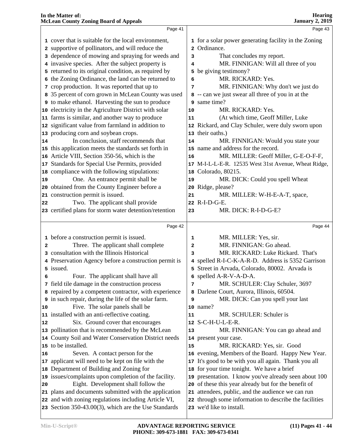|    | In the Matter of:<br><b>McLean County Zoning Board of Appeals</b>                                         |              | <b>Hearing</b><br><b>January 2, 2019</b>                                           |  |
|----|-----------------------------------------------------------------------------------------------------------|--------------|------------------------------------------------------------------------------------|--|
|    | Page 41                                                                                                   |              | Page 43                                                                            |  |
|    | 1 cover that is suitable for the local environment,                                                       |              | 1 for a solar power generating facility in the Zoning                              |  |
|    | 2 supportive of pollinators, and will reduce the                                                          |              | 2 Ordinance.                                                                       |  |
|    | 3 dependence of mowing and spraying for weeds and                                                         | 3            | That concludes my report.                                                          |  |
|    | 4 invasive species. After the subject property is                                                         | 4            | MR. FINNIGAN: Will all three of you                                                |  |
|    | 5 returned to its original condition, as required by                                                      | 5            | be giving testimony?                                                               |  |
|    | 6 the Zoning Ordinance, the land can be returned to                                                       | 6            | MR. RICKARD: Yes.                                                                  |  |
|    | 7 crop production. It was reported that up to                                                             | 7            | MR. FINNIGAN: Why don't we just do                                                 |  |
|    | 8 35 percent of corn grown in McLean County was used                                                      |              | 8 -- can we just swear all three of you in at the                                  |  |
|    | <b>9</b> to make ethanol. Harvesting the sun to produce                                                   | 9            | same time?                                                                         |  |
| 10 | electricity in the Agriculture District with solar                                                        | 10           | MR. RICKARD: Yes.                                                                  |  |
| 11 | farms is similar, and another way to produce                                                              | 11           | (At which time, Geoff Miller, Luke                                                 |  |
| 12 | significant value from farmland in addition to                                                            |              | 12 Rickard, and Clay Schuler, were duly sworn upon                                 |  |
| 13 | producing corn and soybean crops.                                                                         |              | 13 their oaths.)                                                                   |  |
| 14 | In conclusion, staff recommends that                                                                      | 14           | MR. FINNIGAN: Would you state your                                                 |  |
| 15 | this application meets the standards set forth in                                                         |              | 15 name and address for the record.                                                |  |
| 16 | Article VIII, Section 350-56, which is the                                                                | 16           | MR. MILLER: Geoff Miller, G-E-O-F-F,                                               |  |
| 17 | Standards for Special Use Permits, provided                                                               |              | 17 M-I-L-L-E-R. 12535 West 31st Avenue, Wheat Ridge,                               |  |
| 18 | compliance with the following stipulations:                                                               | 18           | Colorado, 80215.                                                                   |  |
| 19 | One. An entrance permit shall be                                                                          | 19           | MR. DICK: Could you spell Wheat                                                    |  |
| 20 | obtained from the County Engineer before a                                                                | 20           | Ridge, please?                                                                     |  |
| 21 | construction permit is issued.                                                                            | 21           | MR. MILLER: W-H-E-A-T, space,                                                      |  |
| 22 | Two. The applicant shall provide                                                                          |              | 22 R-I-D-G-E.                                                                      |  |
|    | 23 certified plans for storm water detention/retention                                                    | 23           | MR. DICK: R-I-D-G-E?                                                               |  |
|    | Page 42                                                                                                   |              | Page 44                                                                            |  |
|    | 1 before a construction permit is issued.                                                                 | 1            | MR. MILLER: Yes, sir.                                                              |  |
| 2  | Three. The applicant shall complete                                                                       | $\mathbf{2}$ | MR. FINNIGAN: Go ahead.                                                            |  |
|    | consultation with the Illinois Historical                                                                 | 3            | MR. RICKARD: Luke Rickard. That's                                                  |  |
|    | 4 Preservation Agency before a construction permit is                                                     |              | 4 spelled R-I-C-K-A-R-D. Address is 5352 Garrison                                  |  |
|    | 5 issued.                                                                                                 |              | 5 Street in Arvada, Colorado, 80002. Arvada is                                     |  |
| 6  | Four. The applicant shall have all                                                                        |              | 6 spelled A-R-V-A-D-A.                                                             |  |
|    | 7 field tile damage in the construction process                                                           | 7            | MR. SCHULER: Clay Schuler, 3697                                                    |  |
|    | 8 repaired by a competent contractor, with experience                                                     | 8            | Darlene Court, Aurora, Illinois, 60504.                                            |  |
|    | 9 in such repair, during the life of the solar farm.                                                      | 9            | MR. DICK: Can you spell your last                                                  |  |
|    |                                                                                                           |              |                                                                                    |  |
| 10 | Five. The solar panels shall be                                                                           |              | 10 name?                                                                           |  |
|    | 11 installed with an anti-reflective coating.                                                             | 11           | MR. SCHULER: Schuler is                                                            |  |
| 12 | Six. Ground cover that encourages                                                                         | 12           | S-C-H-U-L-E-R.                                                                     |  |
|    | 13 pollination that is recommended by the McLean                                                          | 13           | MR. FINNIGAN: You can go ahead and                                                 |  |
| 14 | County Soil and Water Conservation District needs                                                         |              | 14 present your case.                                                              |  |
| 15 | to be installed.                                                                                          | 15           | MR. RICKARD: Yes, sir. Good                                                        |  |
| 16 | Seven. A contact person for the                                                                           |              | 16 evening, Members of the Board. Happy New Year.                                  |  |
| 17 | applicant will need to be kept on file with the                                                           |              | 17 It's good to be with you all again. Thank you all                               |  |
| 18 | Department of Building and Zoning for                                                                     |              | 18 for your time tonight. We have a brief                                          |  |
| 19 | issues/complaints upon completion of the facility.                                                        |              | 19 presentation. I know you've already seen about 100                              |  |
| 20 | Eight. Development shall follow the                                                                       |              | 20 of these this year already but for the benefit of                               |  |
| 21 | plans and documents submitted with the application                                                        |              | 21 attendees, public, and the audience we can run                                  |  |
| 22 | and with zoning regulations including Article VI,<br>23 Section 350-43.00(3), which are the Use Standards |              | 22 through some information to describe the facilities<br>23 we'd like to install. |  |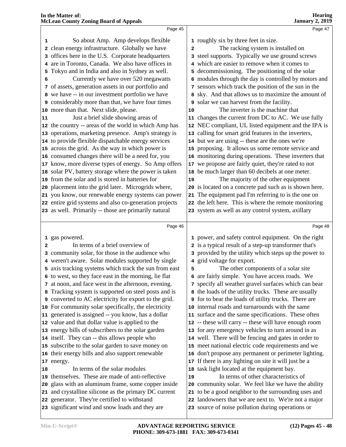| 1 roughly six by three feet in size.<br>So about Amp. Amp develops flexible<br>1<br>clean energy infrastructure. Globally we have<br>The racking system is installed on<br>2<br>2<br>3 offices here in the U.S. Corporate headquarters<br>3 steel supports. Typically we use ground screws<br>4 are in Toronto, Canada. We also have offices in<br>4 which are easier to remove when it comes to<br>Tokyo and in India and also in Sydney as well.<br>5 decommissioning. The positioning of the solar<br>5<br>6 modules through the day is controlled by motors and<br>Currently we have over 520 megawatts<br>6<br>7 of assets, generation assets in our portfolio and<br>7 sensors which track the position of the sun in the<br>8 we have -- in our investment portfolio we have<br>8 sky. And that allows us to maximize the amount of<br><b>9</b> considerably more than that, we have four times<br>9 solar we can harvest from the facility.<br>The inverter is the machine that<br>10 more than that. Next slide, please.<br>10<br>Just a brief slide showing areas of<br>11 changes the current from DC to AC. We use fully<br>11<br>12 the country -- areas of the world in which Amp has<br>12 NEC compliant, UL listed equipment and the IPA is<br>13 calling for smart grid features in the inverters,<br>13 operations, marketing presence. Amp's strategy is<br>14 to provide flexible dispatchable energy services<br>14 but we are using -- these are the ones we're<br>15 across the grid. As the way in which power is<br>15 proposing. It allows us some remote service and<br>16 consumed changes there will be a need for, you<br>16 monitoring during operations. These inverters that<br>17 know, more diverse types of energy. So Amp offers<br>17 we propose are fairly quiet, they're rated to not<br>18 be much larger than 60 decibels at one meter.<br>18 solar PV, battery storage where the power is taken<br>19 from the solar and is stored in batteries for<br>The majority of the other equipment<br>19<br>20 placement into the grid later. Microgrids where,<br>20 is located on a concrete pad such as is shown here.<br>21 The equipment pad I'm referring to is the one on<br>21 you know, our renewable energy systems can power<br>22 entire grid systems and also co-generation projects<br>22 the left here. This is where the remote monitoring<br>23 as well. Primarily -- those are primarily natural<br>23 system as well as any control system, axillary<br>Page 46<br>1 gas powered. |   | Page 45                                              | Page 47                                                                                                      |
|-----------------------------------------------------------------------------------------------------------------------------------------------------------------------------------------------------------------------------------------------------------------------------------------------------------------------------------------------------------------------------------------------------------------------------------------------------------------------------------------------------------------------------------------------------------------------------------------------------------------------------------------------------------------------------------------------------------------------------------------------------------------------------------------------------------------------------------------------------------------------------------------------------------------------------------------------------------------------------------------------------------------------------------------------------------------------------------------------------------------------------------------------------------------------------------------------------------------------------------------------------------------------------------------------------------------------------------------------------------------------------------------------------------------------------------------------------------------------------------------------------------------------------------------------------------------------------------------------------------------------------------------------------------------------------------------------------------------------------------------------------------------------------------------------------------------------------------------------------------------------------------------------------------------------------------------------------------------------------------------------------------------------------------------------------------------------------------------------------------------------------------------------------------------------------------------------------------------------------------------------------------------------------------------------------------------------------------------------------------------------------------------------------------------------------------------------------------------------------------------------------------------------------------------|---|------------------------------------------------------|--------------------------------------------------------------------------------------------------------------|
|                                                                                                                                                                                                                                                                                                                                                                                                                                                                                                                                                                                                                                                                                                                                                                                                                                                                                                                                                                                                                                                                                                                                                                                                                                                                                                                                                                                                                                                                                                                                                                                                                                                                                                                                                                                                                                                                                                                                                                                                                                                                                                                                                                                                                                                                                                                                                                                                                                                                                                                                         |   |                                                      |                                                                                                              |
|                                                                                                                                                                                                                                                                                                                                                                                                                                                                                                                                                                                                                                                                                                                                                                                                                                                                                                                                                                                                                                                                                                                                                                                                                                                                                                                                                                                                                                                                                                                                                                                                                                                                                                                                                                                                                                                                                                                                                                                                                                                                                                                                                                                                                                                                                                                                                                                                                                                                                                                                         |   |                                                      |                                                                                                              |
|                                                                                                                                                                                                                                                                                                                                                                                                                                                                                                                                                                                                                                                                                                                                                                                                                                                                                                                                                                                                                                                                                                                                                                                                                                                                                                                                                                                                                                                                                                                                                                                                                                                                                                                                                                                                                                                                                                                                                                                                                                                                                                                                                                                                                                                                                                                                                                                                                                                                                                                                         |   |                                                      |                                                                                                              |
|                                                                                                                                                                                                                                                                                                                                                                                                                                                                                                                                                                                                                                                                                                                                                                                                                                                                                                                                                                                                                                                                                                                                                                                                                                                                                                                                                                                                                                                                                                                                                                                                                                                                                                                                                                                                                                                                                                                                                                                                                                                                                                                                                                                                                                                                                                                                                                                                                                                                                                                                         |   |                                                      |                                                                                                              |
|                                                                                                                                                                                                                                                                                                                                                                                                                                                                                                                                                                                                                                                                                                                                                                                                                                                                                                                                                                                                                                                                                                                                                                                                                                                                                                                                                                                                                                                                                                                                                                                                                                                                                                                                                                                                                                                                                                                                                                                                                                                                                                                                                                                                                                                                                                                                                                                                                                                                                                                                         |   |                                                      |                                                                                                              |
|                                                                                                                                                                                                                                                                                                                                                                                                                                                                                                                                                                                                                                                                                                                                                                                                                                                                                                                                                                                                                                                                                                                                                                                                                                                                                                                                                                                                                                                                                                                                                                                                                                                                                                                                                                                                                                                                                                                                                                                                                                                                                                                                                                                                                                                                                                                                                                                                                                                                                                                                         |   |                                                      |                                                                                                              |
|                                                                                                                                                                                                                                                                                                                                                                                                                                                                                                                                                                                                                                                                                                                                                                                                                                                                                                                                                                                                                                                                                                                                                                                                                                                                                                                                                                                                                                                                                                                                                                                                                                                                                                                                                                                                                                                                                                                                                                                                                                                                                                                                                                                                                                                                                                                                                                                                                                                                                                                                         |   |                                                      |                                                                                                              |
|                                                                                                                                                                                                                                                                                                                                                                                                                                                                                                                                                                                                                                                                                                                                                                                                                                                                                                                                                                                                                                                                                                                                                                                                                                                                                                                                                                                                                                                                                                                                                                                                                                                                                                                                                                                                                                                                                                                                                                                                                                                                                                                                                                                                                                                                                                                                                                                                                                                                                                                                         |   |                                                      |                                                                                                              |
|                                                                                                                                                                                                                                                                                                                                                                                                                                                                                                                                                                                                                                                                                                                                                                                                                                                                                                                                                                                                                                                                                                                                                                                                                                                                                                                                                                                                                                                                                                                                                                                                                                                                                                                                                                                                                                                                                                                                                                                                                                                                                                                                                                                                                                                                                                                                                                                                                                                                                                                                         |   |                                                      |                                                                                                              |
|                                                                                                                                                                                                                                                                                                                                                                                                                                                                                                                                                                                                                                                                                                                                                                                                                                                                                                                                                                                                                                                                                                                                                                                                                                                                                                                                                                                                                                                                                                                                                                                                                                                                                                                                                                                                                                                                                                                                                                                                                                                                                                                                                                                                                                                                                                                                                                                                                                                                                                                                         |   |                                                      |                                                                                                              |
|                                                                                                                                                                                                                                                                                                                                                                                                                                                                                                                                                                                                                                                                                                                                                                                                                                                                                                                                                                                                                                                                                                                                                                                                                                                                                                                                                                                                                                                                                                                                                                                                                                                                                                                                                                                                                                                                                                                                                                                                                                                                                                                                                                                                                                                                                                                                                                                                                                                                                                                                         |   |                                                      |                                                                                                              |
|                                                                                                                                                                                                                                                                                                                                                                                                                                                                                                                                                                                                                                                                                                                                                                                                                                                                                                                                                                                                                                                                                                                                                                                                                                                                                                                                                                                                                                                                                                                                                                                                                                                                                                                                                                                                                                                                                                                                                                                                                                                                                                                                                                                                                                                                                                                                                                                                                                                                                                                                         |   |                                                      |                                                                                                              |
|                                                                                                                                                                                                                                                                                                                                                                                                                                                                                                                                                                                                                                                                                                                                                                                                                                                                                                                                                                                                                                                                                                                                                                                                                                                                                                                                                                                                                                                                                                                                                                                                                                                                                                                                                                                                                                                                                                                                                                                                                                                                                                                                                                                                                                                                                                                                                                                                                                                                                                                                         |   |                                                      |                                                                                                              |
|                                                                                                                                                                                                                                                                                                                                                                                                                                                                                                                                                                                                                                                                                                                                                                                                                                                                                                                                                                                                                                                                                                                                                                                                                                                                                                                                                                                                                                                                                                                                                                                                                                                                                                                                                                                                                                                                                                                                                                                                                                                                                                                                                                                                                                                                                                                                                                                                                                                                                                                                         |   |                                                      |                                                                                                              |
|                                                                                                                                                                                                                                                                                                                                                                                                                                                                                                                                                                                                                                                                                                                                                                                                                                                                                                                                                                                                                                                                                                                                                                                                                                                                                                                                                                                                                                                                                                                                                                                                                                                                                                                                                                                                                                                                                                                                                                                                                                                                                                                                                                                                                                                                                                                                                                                                                                                                                                                                         |   |                                                      |                                                                                                              |
|                                                                                                                                                                                                                                                                                                                                                                                                                                                                                                                                                                                                                                                                                                                                                                                                                                                                                                                                                                                                                                                                                                                                                                                                                                                                                                                                                                                                                                                                                                                                                                                                                                                                                                                                                                                                                                                                                                                                                                                                                                                                                                                                                                                                                                                                                                                                                                                                                                                                                                                                         |   |                                                      |                                                                                                              |
|                                                                                                                                                                                                                                                                                                                                                                                                                                                                                                                                                                                                                                                                                                                                                                                                                                                                                                                                                                                                                                                                                                                                                                                                                                                                                                                                                                                                                                                                                                                                                                                                                                                                                                                                                                                                                                                                                                                                                                                                                                                                                                                                                                                                                                                                                                                                                                                                                                                                                                                                         |   |                                                      |                                                                                                              |
|                                                                                                                                                                                                                                                                                                                                                                                                                                                                                                                                                                                                                                                                                                                                                                                                                                                                                                                                                                                                                                                                                                                                                                                                                                                                                                                                                                                                                                                                                                                                                                                                                                                                                                                                                                                                                                                                                                                                                                                                                                                                                                                                                                                                                                                                                                                                                                                                                                                                                                                                         |   |                                                      |                                                                                                              |
|                                                                                                                                                                                                                                                                                                                                                                                                                                                                                                                                                                                                                                                                                                                                                                                                                                                                                                                                                                                                                                                                                                                                                                                                                                                                                                                                                                                                                                                                                                                                                                                                                                                                                                                                                                                                                                                                                                                                                                                                                                                                                                                                                                                                                                                                                                                                                                                                                                                                                                                                         |   |                                                      |                                                                                                              |
|                                                                                                                                                                                                                                                                                                                                                                                                                                                                                                                                                                                                                                                                                                                                                                                                                                                                                                                                                                                                                                                                                                                                                                                                                                                                                                                                                                                                                                                                                                                                                                                                                                                                                                                                                                                                                                                                                                                                                                                                                                                                                                                                                                                                                                                                                                                                                                                                                                                                                                                                         |   |                                                      |                                                                                                              |
|                                                                                                                                                                                                                                                                                                                                                                                                                                                                                                                                                                                                                                                                                                                                                                                                                                                                                                                                                                                                                                                                                                                                                                                                                                                                                                                                                                                                                                                                                                                                                                                                                                                                                                                                                                                                                                                                                                                                                                                                                                                                                                                                                                                                                                                                                                                                                                                                                                                                                                                                         |   |                                                      |                                                                                                              |
|                                                                                                                                                                                                                                                                                                                                                                                                                                                                                                                                                                                                                                                                                                                                                                                                                                                                                                                                                                                                                                                                                                                                                                                                                                                                                                                                                                                                                                                                                                                                                                                                                                                                                                                                                                                                                                                                                                                                                                                                                                                                                                                                                                                                                                                                                                                                                                                                                                                                                                                                         |   |                                                      |                                                                                                              |
|                                                                                                                                                                                                                                                                                                                                                                                                                                                                                                                                                                                                                                                                                                                                                                                                                                                                                                                                                                                                                                                                                                                                                                                                                                                                                                                                                                                                                                                                                                                                                                                                                                                                                                                                                                                                                                                                                                                                                                                                                                                                                                                                                                                                                                                                                                                                                                                                                                                                                                                                         |   |                                                      |                                                                                                              |
|                                                                                                                                                                                                                                                                                                                                                                                                                                                                                                                                                                                                                                                                                                                                                                                                                                                                                                                                                                                                                                                                                                                                                                                                                                                                                                                                                                                                                                                                                                                                                                                                                                                                                                                                                                                                                                                                                                                                                                                                                                                                                                                                                                                                                                                                                                                                                                                                                                                                                                                                         |   |                                                      |                                                                                                              |
|                                                                                                                                                                                                                                                                                                                                                                                                                                                                                                                                                                                                                                                                                                                                                                                                                                                                                                                                                                                                                                                                                                                                                                                                                                                                                                                                                                                                                                                                                                                                                                                                                                                                                                                                                                                                                                                                                                                                                                                                                                                                                                                                                                                                                                                                                                                                                                                                                                                                                                                                         |   |                                                      |                                                                                                              |
|                                                                                                                                                                                                                                                                                                                                                                                                                                                                                                                                                                                                                                                                                                                                                                                                                                                                                                                                                                                                                                                                                                                                                                                                                                                                                                                                                                                                                                                                                                                                                                                                                                                                                                                                                                                                                                                                                                                                                                                                                                                                                                                                                                                                                                                                                                                                                                                                                                                                                                                                         |   |                                                      | Page 48                                                                                                      |
|                                                                                                                                                                                                                                                                                                                                                                                                                                                                                                                                                                                                                                                                                                                                                                                                                                                                                                                                                                                                                                                                                                                                                                                                                                                                                                                                                                                                                                                                                                                                                                                                                                                                                                                                                                                                                                                                                                                                                                                                                                                                                                                                                                                                                                                                                                                                                                                                                                                                                                                                         |   |                                                      | 1 power, and safety control equipment. On the right                                                          |
|                                                                                                                                                                                                                                                                                                                                                                                                                                                                                                                                                                                                                                                                                                                                                                                                                                                                                                                                                                                                                                                                                                                                                                                                                                                                                                                                                                                                                                                                                                                                                                                                                                                                                                                                                                                                                                                                                                                                                                                                                                                                                                                                                                                                                                                                                                                                                                                                                                                                                                                                         | 2 | In terms of a brief overview of                      | 2 is a typical result of a step-up transformer that's                                                        |
| 3 community solar, for those in the audience who                                                                                                                                                                                                                                                                                                                                                                                                                                                                                                                                                                                                                                                                                                                                                                                                                                                                                                                                                                                                                                                                                                                                                                                                                                                                                                                                                                                                                                                                                                                                                                                                                                                                                                                                                                                                                                                                                                                                                                                                                                                                                                                                                                                                                                                                                                                                                                                                                                                                                        |   |                                                      | 3 provided by the utility which steps up the power to                                                        |
| 4 weren't aware. Solar modules supported by single<br>4 grid voltage for export.                                                                                                                                                                                                                                                                                                                                                                                                                                                                                                                                                                                                                                                                                                                                                                                                                                                                                                                                                                                                                                                                                                                                                                                                                                                                                                                                                                                                                                                                                                                                                                                                                                                                                                                                                                                                                                                                                                                                                                                                                                                                                                                                                                                                                                                                                                                                                                                                                                                        |   |                                                      |                                                                                                              |
| 5 axis tracking systems which track the sun from east<br>5                                                                                                                                                                                                                                                                                                                                                                                                                                                                                                                                                                                                                                                                                                                                                                                                                                                                                                                                                                                                                                                                                                                                                                                                                                                                                                                                                                                                                                                                                                                                                                                                                                                                                                                                                                                                                                                                                                                                                                                                                                                                                                                                                                                                                                                                                                                                                                                                                                                                              |   |                                                      | The other components of a solar site                                                                         |
| 6 to west, so they face east in the morning, lie flat                                                                                                                                                                                                                                                                                                                                                                                                                                                                                                                                                                                                                                                                                                                                                                                                                                                                                                                                                                                                                                                                                                                                                                                                                                                                                                                                                                                                                                                                                                                                                                                                                                                                                                                                                                                                                                                                                                                                                                                                                                                                                                                                                                                                                                                                                                                                                                                                                                                                                   |   |                                                      | 6 are fairly simple. You have access roads. We                                                               |
| 7 at noon, and face west in the afternoon, evening.                                                                                                                                                                                                                                                                                                                                                                                                                                                                                                                                                                                                                                                                                                                                                                                                                                                                                                                                                                                                                                                                                                                                                                                                                                                                                                                                                                                                                                                                                                                                                                                                                                                                                                                                                                                                                                                                                                                                                                                                                                                                                                                                                                                                                                                                                                                                                                                                                                                                                     |   |                                                      | 7 specify all weather gravel surfaces which can bear                                                         |
| 8 Tracking system is supported on steel posts and is                                                                                                                                                                                                                                                                                                                                                                                                                                                                                                                                                                                                                                                                                                                                                                                                                                                                                                                                                                                                                                                                                                                                                                                                                                                                                                                                                                                                                                                                                                                                                                                                                                                                                                                                                                                                                                                                                                                                                                                                                                                                                                                                                                                                                                                                                                                                                                                                                                                                                    |   |                                                      | 8 the loads of the utility trucks. These are usually                                                         |
| 9 converted to AC electricity for export to the grid.                                                                                                                                                                                                                                                                                                                                                                                                                                                                                                                                                                                                                                                                                                                                                                                                                                                                                                                                                                                                                                                                                                                                                                                                                                                                                                                                                                                                                                                                                                                                                                                                                                                                                                                                                                                                                                                                                                                                                                                                                                                                                                                                                                                                                                                                                                                                                                                                                                                                                   |   |                                                      | o for to bear the loads of utility trucks. There are                                                         |
|                                                                                                                                                                                                                                                                                                                                                                                                                                                                                                                                                                                                                                                                                                                                                                                                                                                                                                                                                                                                                                                                                                                                                                                                                                                                                                                                                                                                                                                                                                                                                                                                                                                                                                                                                                                                                                                                                                                                                                                                                                                                                                                                                                                                                                                                                                                                                                                                                                                                                                                                         |   | 10 For community solar specifically, the electricity | 10 internal roads and turnarounds with the same                                                              |
|                                                                                                                                                                                                                                                                                                                                                                                                                                                                                                                                                                                                                                                                                                                                                                                                                                                                                                                                                                                                                                                                                                                                                                                                                                                                                                                                                                                                                                                                                                                                                                                                                                                                                                                                                                                                                                                                                                                                                                                                                                                                                                                                                                                                                                                                                                                                                                                                                                                                                                                                         |   |                                                      | 11 surface and the same specifications. These often                                                          |
| 11 generated is assigned -- you know, has a dollar                                                                                                                                                                                                                                                                                                                                                                                                                                                                                                                                                                                                                                                                                                                                                                                                                                                                                                                                                                                                                                                                                                                                                                                                                                                                                                                                                                                                                                                                                                                                                                                                                                                                                                                                                                                                                                                                                                                                                                                                                                                                                                                                                                                                                                                                                                                                                                                                                                                                                      |   |                                                      | 12 -- these will carry -- these will have enough room                                                        |
| 12 value and that dollar value is applied to the                                                                                                                                                                                                                                                                                                                                                                                                                                                                                                                                                                                                                                                                                                                                                                                                                                                                                                                                                                                                                                                                                                                                                                                                                                                                                                                                                                                                                                                                                                                                                                                                                                                                                                                                                                                                                                                                                                                                                                                                                                                                                                                                                                                                                                                                                                                                                                                                                                                                                        |   |                                                      | 13 for any emergency vehicles to turn around in as                                                           |
| 13 energy bills of subscribers to the solar garden                                                                                                                                                                                                                                                                                                                                                                                                                                                                                                                                                                                                                                                                                                                                                                                                                                                                                                                                                                                                                                                                                                                                                                                                                                                                                                                                                                                                                                                                                                                                                                                                                                                                                                                                                                                                                                                                                                                                                                                                                                                                                                                                                                                                                                                                                                                                                                                                                                                                                      |   |                                                      | 14 well. There will be fencing and gates in order to                                                         |
| 14 itself. They can -- this allows people who                                                                                                                                                                                                                                                                                                                                                                                                                                                                                                                                                                                                                                                                                                                                                                                                                                                                                                                                                                                                                                                                                                                                                                                                                                                                                                                                                                                                                                                                                                                                                                                                                                                                                                                                                                                                                                                                                                                                                                                                                                                                                                                                                                                                                                                                                                                                                                                                                                                                                           |   |                                                      | 15 meet national electric code requirements and we                                                           |
| 15 subscribe to the solar garden to save money on                                                                                                                                                                                                                                                                                                                                                                                                                                                                                                                                                                                                                                                                                                                                                                                                                                                                                                                                                                                                                                                                                                                                                                                                                                                                                                                                                                                                                                                                                                                                                                                                                                                                                                                                                                                                                                                                                                                                                                                                                                                                                                                                                                                                                                                                                                                                                                                                                                                                                       |   |                                                      | 16 don't propose any permanent or perimeter lighting.                                                        |
| 16 their energy bills and also support renewable                                                                                                                                                                                                                                                                                                                                                                                                                                                                                                                                                                                                                                                                                                                                                                                                                                                                                                                                                                                                                                                                                                                                                                                                                                                                                                                                                                                                                                                                                                                                                                                                                                                                                                                                                                                                                                                                                                                                                                                                                                                                                                                                                                                                                                                                                                                                                                                                                                                                                        |   |                                                      |                                                                                                              |
| 17 If there is any lighting on site it will just be a<br>17 energy.                                                                                                                                                                                                                                                                                                                                                                                                                                                                                                                                                                                                                                                                                                                                                                                                                                                                                                                                                                                                                                                                                                                                                                                                                                                                                                                                                                                                                                                                                                                                                                                                                                                                                                                                                                                                                                                                                                                                                                                                                                                                                                                                                                                                                                                                                                                                                                                                                                                                     |   |                                                      |                                                                                                              |
| In terms of the solar modules<br>18 task light located at the equipment bay.<br>18                                                                                                                                                                                                                                                                                                                                                                                                                                                                                                                                                                                                                                                                                                                                                                                                                                                                                                                                                                                                                                                                                                                                                                                                                                                                                                                                                                                                                                                                                                                                                                                                                                                                                                                                                                                                                                                                                                                                                                                                                                                                                                                                                                                                                                                                                                                                                                                                                                                      |   |                                                      |                                                                                                              |
| 19 themselves. These are made of anti-reflective<br>In terms of other characteristics of<br>19                                                                                                                                                                                                                                                                                                                                                                                                                                                                                                                                                                                                                                                                                                                                                                                                                                                                                                                                                                                                                                                                                                                                                                                                                                                                                                                                                                                                                                                                                                                                                                                                                                                                                                                                                                                                                                                                                                                                                                                                                                                                                                                                                                                                                                                                                                                                                                                                                                          |   |                                                      |                                                                                                              |
|                                                                                                                                                                                                                                                                                                                                                                                                                                                                                                                                                                                                                                                                                                                                                                                                                                                                                                                                                                                                                                                                                                                                                                                                                                                                                                                                                                                                                                                                                                                                                                                                                                                                                                                                                                                                                                                                                                                                                                                                                                                                                                                                                                                                                                                                                                                                                                                                                                                                                                                                         |   |                                                      |                                                                                                              |
| 20 glass with an aluminum frame, some copper inside                                                                                                                                                                                                                                                                                                                                                                                                                                                                                                                                                                                                                                                                                                                                                                                                                                                                                                                                                                                                                                                                                                                                                                                                                                                                                                                                                                                                                                                                                                                                                                                                                                                                                                                                                                                                                                                                                                                                                                                                                                                                                                                                                                                                                                                                                                                                                                                                                                                                                     |   |                                                      | 20 community solar. We feel like we have the ability                                                         |
| 21 and crystalline silicone as the primary DC current<br>22 generator. They're certified to withstand                                                                                                                                                                                                                                                                                                                                                                                                                                                                                                                                                                                                                                                                                                                                                                                                                                                                                                                                                                                                                                                                                                                                                                                                                                                                                                                                                                                                                                                                                                                                                                                                                                                                                                                                                                                                                                                                                                                                                                                                                                                                                                                                                                                                                                                                                                                                                                                                                                   |   |                                                      | 21 to be a good neighbor to the surrounding uses and<br>22 landowners that we are next to. We're not a major |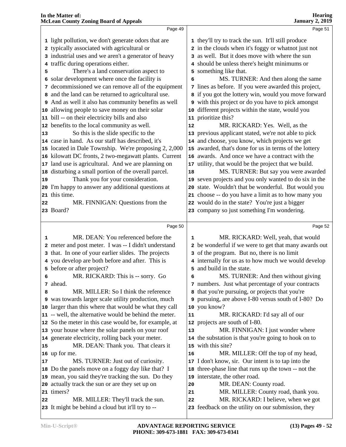|    | <b>McLean County Zoning Board of Appeals</b>                                            |                 | <b>January 2, 2019</b>                                                                    |
|----|-----------------------------------------------------------------------------------------|-----------------|-------------------------------------------------------------------------------------------|
|    | Page 49                                                                                 |                 | Page 51                                                                                   |
|    | 1 light pollution, we don't generate odors that are                                     |                 | 1 they'll try to track the sun. It'll still produce                                       |
|    | 2 typically associated with agricultural or                                             |                 | 2 in the clouds when it's foggy or whatnot just not                                       |
|    | 3 industrial uses and we aren't a generator of heavy                                    |                 | 3 as well. But it does move with where the sun                                            |
|    | 4 traffic during operations either.                                                     |                 | 4 should be unless there's height minimums or                                             |
| 5  | There's a land conservation aspect to                                                   |                 | 5 something like that.                                                                    |
|    | 6 solar development where once the facility is                                          | 6               | MS. TURNER: And then along the same                                                       |
|    | 7 decommissioned we can remove all of the equipment                                     |                 | 7 lines as before. If you were awarded this project,                                      |
|    | 8 and the land can be returned to agricultural use.                                     |                 | 8 if you got the lottery win, would you move forward                                      |
| 9  | And as well it also has community benefits as well                                      |                 | 9 with this project or do you have to pick amongst                                        |
| 10 | allowing people to save money on their solar                                            | 10 <sub>1</sub> | different projects within the state, would you                                            |
| 11 | bill -- on their electricity bills and also                                             |                 | 11 prioritize this?                                                                       |
| 12 | benefits to the local community as well.                                                | 12              | MR. RICKARD: Yes. Well, as the                                                            |
| 13 | So this is the slide specific to the                                                    |                 | 13 previous applicant stated, we're not able to pick                                      |
|    | 14 case in hand. As our staff has described, it's                                       |                 | 14 and choose, you know, which projects we get                                            |
| 15 | located in Dale Township. We're proposing 2, 2,000                                      |                 | 15 awarded, that's done for us in terms of the lottery                                    |
| 16 | kilowatt DC fronts, 2 two-megawatt plants. Current                                      |                 | 16 awards. And once we have a contract with the                                           |
| 17 | land use is agricultural. And we are planning on                                        |                 | 17 utility, that would be the project that we build.                                      |
| 18 | disturbing a small portion of the overall parcel.                                       | 18              | MS. TURNER: But say you were awarded                                                      |
| 19 | Thank you for your consideration.                                                       |                 | 19 seven projects and you only wanted to do six in the                                    |
| 20 | I'm happy to answer any additional questions at                                         | 20              | state. Wouldn't that be wonderful. But would you                                          |
| 21 | this time.                                                                              |                 | 21 choose -- do you have a limit as to how many you                                       |
| 22 | MR. FINNIGAN: Questions from the                                                        |                 | 22 would do in the state? You're just a bigger                                            |
|    | 23 Board?                                                                               |                 | 23 company so just something I'm wondering.                                               |
|    |                                                                                         |                 |                                                                                           |
|    | Page 50                                                                                 |                 | Page 52                                                                                   |
|    |                                                                                         |                 |                                                                                           |
| 1  | MR. DEAN: You referenced before the                                                     | 1               | MR. RICKARD: Well, yeah, that would                                                       |
|    | 2 meter and post meter. I was -- I didn't understand                                    |                 | 2 be wonderful if we were to get that many awards out                                     |
|    | 3 that. In one of your earlier slides. The projects                                     |                 | 3 of the program. But no, there is no limit                                               |
|    | 4 you develop are both before and after. This is                                        |                 | 4 internally for us as to how much we would develop                                       |
|    | 5 before or after project?                                                              |                 | 5 and build in the state.                                                                 |
| 6  | MR. RICKARD: This is -- sorry. Go                                                       | 6               | MS. TURNER: And then without giving                                                       |
|    | 7 ahead.                                                                                |                 | 7 numbers. Just what percentage of your contracts                                         |
| 8  | MR. MILLER: So I think the reference                                                    |                 | 8 that you're pursuing, or projects that you're                                           |
|    | 9 was towards larger scale utility production, much                                     |                 | 9 pursuing, are above I-80 versus south of I-80? Do                                       |
|    | 10 larger than this where that would be what they call                                  |                 | 10 you know?                                                                              |
|    | 11 -- well, the alternative would be behind the meter.                                  | 11              | MR. RICKARD: I'd say all of our                                                           |
|    | 12 So the meter in this case would be, for example, at                                  |                 | 12 projects are south of I-80.                                                            |
|    | 13 your house where the solar panels on your roof                                       | 13              | MR. FINNIGAN: I just wonder where                                                         |
|    | 14 generate electricity, rolling back your meter.                                       |                 | 14 the substation is that you're going to hook on to                                      |
| 15 | MR. DEAN: Thank you. That clears it                                                     |                 | 15 with this site?                                                                        |
|    | 16 up for me.                                                                           | 16              | MR. MILLER: Off the top of my head,                                                       |
| 17 | MS. TURNER: Just out of curiosity.                                                      |                 | 17 I don't know, sir. Our intent is to tap into the                                       |
|    | 18 Do the panels move on a foggy day like that? I                                       | 18              | three-phase line that runs up the town -- not the                                         |
| 19 | mean, you said they're tracking the sun. Do they                                        | 19              | interstate, the other road.                                                               |
| 20 | actually track the sun or are they set up on                                            | 20              | MR. DEAN: County road.                                                                    |
|    | 21 timers?                                                                              | 21              | MR. MILLER: County road, thank you.                                                       |
| 22 | MR. MILLER: They'll track the sun.<br>23 It might be behind a cloud but it'll try to -- | 22              | MR. RICKARD: I believe, when we got<br>23 feedback on the utility on our submission, they |

**In the Matter of:** 

**Hearing**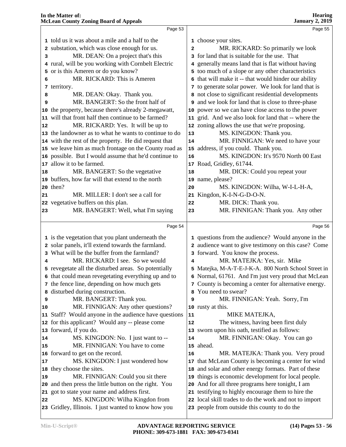|    | Page 53                                                |              | Page 55                                                    |  |
|----|--------------------------------------------------------|--------------|------------------------------------------------------------|--|
|    | 1 told us it was about a mile and a half to the        |              | 1 choose your sites.                                       |  |
|    | 2 substation, which was close enough for us.           | $\mathbf{2}$ | MR. RICKARD: So primarily we look                          |  |
| 3  | MR. DEAN: On a project that's this                     |              | 3 for land that is suitable for the use. That              |  |
|    | 4 rural, will be you working with Cornbelt Electric    |              | 4 generally means land that is flat without having         |  |
|    | 5 or is this Ameren or do you know?                    |              | 5 too much of a slope or any other characteristics         |  |
| 6  | MR. RICKARD: This is Ameren                            |              | 6 that will make it -- that would hinder our ability       |  |
|    | 7 territory.                                           |              | 7 to generate solar power. We look for land that is        |  |
| 8  | MR. DEAN: Okay. Thank you.                             |              | 8 not close to significant residential developments        |  |
| 9  | MR. BANGERT: So the front half of                      |              | <b>9</b> and we look for land that is close to three-phase |  |
|    | 10 the property, because there's already 2-megawatt,   |              | 10 power so we can have close access to the power          |  |
|    | 11 will that front half then continue to be farmed?    |              | 11 grid. And we also look for land that -- where the       |  |
| 12 | MR. RICKARD: Yes. It will be up to                     |              | 12 zoning allows the use that we're proposing.             |  |
|    | 13 the landowner as to what he wants to continue to do | 13           | MS. KINGDON: Thank you.                                    |  |
|    | 14 with the rest of the property. He did request that  | 14           | MR. FINNIGAN: We need to have your                         |  |
|    | 15 we leave him as much frontage on the County road as |              | 15 address, if you could. Thank you.                       |  |
|    | 16 possible. But I would assume that he'd continue to  | 16           | MS. KINGDON: It's 9570 North 00 East                       |  |
|    | 17 allow it to be farmed.                              |              | 17 Road, Gridley, 61744.                                   |  |
| 18 | MR. BANGERT: So the vegetative                         | 18           | MR. DICK: Could you repeat your                            |  |
|    | 19 buffers, how far will that extend to the north      | 19           | name, please?                                              |  |
|    | 20 then?                                               | 20           | MS. KINGDON: Wilha, W-I-L-H-A,                             |  |
| 21 | MR. MILLER: I don't see a call for                     | 21           | Kingdon, K-I-N-G-D-O-N.                                    |  |
|    | 22 vegetative buffers on this plan.                    | 22           | MR. DICK: Thank you.                                       |  |
| 23 | MR. BANGERT: Well, what I'm saying                     | 23           | MR. FINNIGAN: Thank you. Any other                         |  |
|    |                                                        |              |                                                            |  |
|    | Page 54                                                |              | Page 56                                                    |  |
|    | 1 is the vegetation that you plant underneath the      |              | 1 questions from the audience? Would anyone in the         |  |
|    | 2 solar panels, it'll extend towards the farmland.     |              | 2 audience want to give testimony on this case? Come       |  |
|    | 3 What will be the buffer from the farmland?           |              | 3 forward. You know the process.                           |  |
| 4  | MR. RICKARD: I see. So we would                        | 4            | MR. MATEJKA: Yes, sir. Mike                                |  |
|    | 5 revegetate all the disturbed areas. So potentially   |              | 5 Matejka, M-A-T-E-J-K-A. 800 North School Street in       |  |
|    | 6 that could mean revegetating everything up and to    |              | 6 Normal, 61761. And I'm just very proud that McLean       |  |
|    | 7 the fence line, depending on how much gets           |              | 7 County is becoming a center for alternative energy.      |  |
|    | 8 disturbed during construction.                       |              | You need to swear?                                         |  |
| 9  | MR. BANGERT: Thank you.                                | 9            | MR. FINNIGAN: Yeah. Sorry, I'm                             |  |
| 10 | MR. FINNIGAN: Any other questions?                     |              | 10 rusty at this.                                          |  |
|    | 11 Staff? Would anyone in the audience have questions  | 11           | MIKE MATEJKA,                                              |  |
|    | 12 for this applicant? Would any -- please come        | 12           | The witness, having been first duly                        |  |
|    | 13 forward, if you do.                                 |              | 13 sworn upon his oath, testified as follows:              |  |
| 14 | MS. KINGDON: No. I just want to --                     | 14           | MR. FINNIGAN: Okay. You can go                             |  |
| 15 | MR. FINNIGAN: You have to come                         |              | 15 ahead.                                                  |  |
|    | 16 forward to get on the record.                       | 16           | MR. MATEJKA: Thank you. Very proud                         |  |
| 17 | MS. KINGDON: I just wondered how                       | 17           | that McLean County is becoming a center for wind           |  |
|    | 18 they choose the sites.                              |              | 18 and solar and other energy formats. Part of these       |  |
| 19 | MR. FINNIGAN: Could you sit there                      |              | 19 things is economic development for local people.        |  |
|    | 20 and then press the little button on the right. You  | 20           | And for all three programs here tonight, I am              |  |
|    | 21 got to state your name and address first.           |              | 21 testifying to highly encourage them to hire the         |  |
| 22 | MS. KINGDON: Wilha Kingdon from                        |              |                                                            |  |
|    |                                                        |              | 22 local skill trades to do the work and not to import     |  |
|    | 23 Gridley, Illinois. I just wanted to know how you    |              | 23 people from outside this county to do the               |  |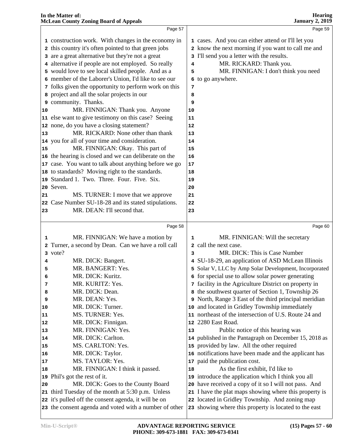|          | In the Matter of:<br><b>McLean County Zoning Board of Appeals</b> |    | <b>Hearing</b><br><b>January 2, 2019</b>                                                                   |
|----------|-------------------------------------------------------------------|----|------------------------------------------------------------------------------------------------------------|
|          | Page 57                                                           |    | Page 59                                                                                                    |
|          | 1 construction work. With changes in the economy in               |    | 1 cases. And you can either attend or I'll let you                                                         |
|          | 2 this country it's often pointed to that green jobs              |    | 2 know the next morning if you want to call me and                                                         |
|          | 3 are a great alternative but they're not a great                 |    | 3 I'll send you a letter with the results.                                                                 |
|          | 4 alternative if people are not employed. So really               | 4  | MR. RICKARD: Thank you.                                                                                    |
|          | 5 would love to see local skilled people. And as a                | 5  | MR. FINNIGAN: I don't think you need                                                                       |
|          | 6 member of the Laborer's Union, I'd like to see our              |    | 6 to go anywhere.                                                                                          |
|          | 7 folks given the opportunity to perform work on this             | 7  |                                                                                                            |
|          | 8 project and all the solar projects in our                       | 8  |                                                                                                            |
|          | 9 community. Thanks.                                              | 9  |                                                                                                            |
| 10       | MR. FINNIGAN: Thank you. Anyone                                   | 10 |                                                                                                            |
|          | 11 else want to give testimony on this case? Seeing               | 11 |                                                                                                            |
|          | 12 none, do you have a closing statement?                         | 12 |                                                                                                            |
| 13       | MR. RICKARD: None other than thank                                | 13 |                                                                                                            |
|          | 14 you for all of your time and consideration.                    | 14 |                                                                                                            |
| 15       | MR. FINNIGAN: Okay. This part of                                  | 15 |                                                                                                            |
|          | 16 the hearing is closed and we can deliberate on the             | 16 |                                                                                                            |
|          | 17 case. You want to talk about anything before we go             | 17 |                                                                                                            |
|          | 18 to standards? Moving right to the standards.                   | 18 |                                                                                                            |
|          | 19 Standard 1. Two. Three. Four. Five. Six.                       | 19 |                                                                                                            |
|          | 20 Seven.                                                         | 20 |                                                                                                            |
| 21       | MS. TURNER: I move that we approve                                | 21 |                                                                                                            |
| 22       | Case Number SU-18-28 and its stated stipulations.                 | 22 |                                                                                                            |
| 23       | MR. DEAN: I'll second that.                                       | 23 |                                                                                                            |
|          | Page 58                                                           |    | Page 60                                                                                                    |
|          |                                                                   |    |                                                                                                            |
| 1        | MR. FINNIGAN: We have a motion by                                 | 1  | MR. FINNIGAN: Will the secretary                                                                           |
|          | 2 Turner, a second by Dean. Can we have a roll call               |    | 2 call the next case.<br>MR. DICK: This is Case Number                                                     |
|          | 3 vote?                                                           | 3  |                                                                                                            |
| 4        | MR. DICK: Bangert.<br>MR. BANGERT: Yes.                           |    | 4 SU-18-29, an application of ASD McLean Illinois                                                          |
| 5        | MR. DICK: Kuritz.                                                 |    | 5 Solar V, LLC by Amp Solar Development, Incorporated                                                      |
| 6        | MR. KURITZ: Yes.                                                  |    | 6 for special use to allow solar power generating<br>7 facility in the Agriculture District on property in |
| 7        | MR. DICK: Dean.                                                   |    |                                                                                                            |
| 8        | MR. DEAN: Yes.                                                    |    | 8 the southwest quarter of Section 1, Township 26<br>9 North, Range 3 East of the third principal meridian |
| 9        | MR. DICK: Turner.                                                 |    | and located in Gridley Township immediately                                                                |
| 10       | MS. TURNER: Yes.                                                  | 10 | 11 northeast of the intersection of U.S. Route 24 and                                                      |
| 11<br>12 | MR. DICK: Finnigan.                                               |    | 12 2280 East Road.                                                                                         |
| 13       | MR. FINNIGAN: Yes.                                                | 13 | Public notice of this hearing was                                                                          |
| 14       | MR. DICK: Carlton.                                                |    | 14 published in the Pantagraph on December 15, 2018 as                                                     |
| 15       | MS. CARLTON: Yes.                                                 |    | 15 provided by law. All the other required                                                                 |
| 16       | MR. DICK: Taylor.                                                 |    | 16 notifications have been made and the applicant has                                                      |
| 17       | MS. TAYLOR: Yes.                                                  | 17 | paid the publication cost.                                                                                 |
| 18       | MR. FINNIGAN: I think it passed.                                  | 18 | As the first exhibit, I'd like to                                                                          |
|          | 19 Phil's got the rest of it.                                     | 19 | introduce the application which I think you all                                                            |
| 20       | MR. DICK: Goes to the County Board                                |    | 20 have received a copy of it so I will not pass. And                                                      |
|          | 21 third Tuesday of the month at 5:30 p.m. Unless                 |    | 21 I have the plat maps showing where this property is                                                     |
|          | 22 it's pulled off the consent agenda, it will be on              |    | 22 located in Gridley Township. And zoning map                                                             |
|          | 23 the consent agenda and voted with a number of other            |    | 23 showing where this property is located to the east                                                      |

**In the Matter of:**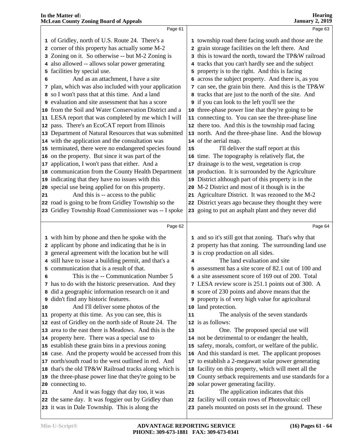| <b>Hearing</b>  |  |
|-----------------|--|
| January 2, 2019 |  |

|    | Page 61                                                                                              |    | Page 63                                                                                                   |  |
|----|------------------------------------------------------------------------------------------------------|----|-----------------------------------------------------------------------------------------------------------|--|
|    | 1 of Gridley, north of U.S. Route 24. There's a                                                      |    | 1 township road there facing south and those are the                                                      |  |
|    | 2 corner of this property has actually some M-2                                                      |    | 2 grain storage facilities on the left there. And                                                         |  |
|    | 3 Zoning on it. So otherwise -- but M-2 Zoning is                                                    |    | 3 this is toward the north, toward the TP&W railroad                                                      |  |
|    | 4 also allowed -- allows solar power generating                                                      |    | 4 tracks that you can't hardly see and the subject                                                        |  |
|    | 5 facilities by special use.                                                                         |    | 5 property is to the right. And this is facing                                                            |  |
| 6  | And as an attachment, I have a site                                                                  |    | 6 across the subject property. And there is, as you                                                       |  |
|    | 7 plan, which was also included with your application                                                |    | 7 can see, the grain bin there. And this is the TP&W                                                      |  |
|    | 8 so I won't pass that at this time. And a land                                                      |    | 8 tracks that are just to the north of the site. And                                                      |  |
|    | <b>9</b> evaluation and site assessment that has a score                                             |    | <b>9</b> if you can look to the left you'll see the                                                       |  |
|    | 10 from the Soil and Water Conservation District and a                                               |    | 10 three-phase power line that they're going to be                                                        |  |
|    | 11 LESA report that was completed by me which I will                                                 |    | 11 connecting to. You can see the three-phase line                                                        |  |
|    | 12 pass. There's an EcoCAT report from Illinois                                                      |    | 12 there too. And this is the township road facing                                                        |  |
|    | 13 Department of Natural Resources that was submitted                                                |    | 13 north. And the three-phase line. And the blowup                                                        |  |
|    | 14 with the application and the consultation was                                                     |    | 14 of the aerial map.                                                                                     |  |
|    | 15 terminated, there were no endangered species found                                                | 15 | I'll deliver the staff report at this                                                                     |  |
|    | 16 on the property. But since it was part of the                                                     |    | 16 time. The topography is relatively flat, the                                                           |  |
|    | 17 application, I won't pass that either. And a                                                      |    | 17 drainage is to the west, vegetation is crop                                                            |  |
|    | 18 communication from the County Health Department                                                   |    | 18 production. It is surrounded by the Agriculture                                                        |  |
|    | 19 indicating that they have no issues with this                                                     |    | 19 District although part of this property is in the                                                      |  |
|    | 20 special use being applied for on this property.                                                   |    | 20 M-2 District and most of it though is in the                                                           |  |
| 21 | And this is -- access to the public                                                                  |    | 21 Agriculture District. It was rezoned to the M-2                                                        |  |
|    | 22 road is going to be from Gridley Township so the                                                  |    | 22 District years ago because they thought they were                                                      |  |
|    | 23 Gridley Township Road Commissioner was -- I spoke                                                 |    | 23 going to put an asphalt plant and they never did                                                       |  |
|    |                                                                                                      |    |                                                                                                           |  |
|    | Page 62                                                                                              |    | Page 64                                                                                                   |  |
|    | 1 with him by phone and then he spoke with the                                                       |    | 1 and so it's still got that zoning. That's why that                                                      |  |
|    | 2 applicant by phone and indicating that he is in                                                    |    | 2 property has that zoning. The surrounding land use                                                      |  |
|    | 3 general agreement with the location but he will                                                    |    | 3 is crop production on all sides.                                                                        |  |
|    | 4 still have to issue a building permit, and that's a                                                | 4  | The land evaluation and site                                                                              |  |
|    | 5 communication that is a result of that.                                                            |    | 5 assessment has a site score of 82.1 out of 100 and                                                      |  |
| 6  | This is the -- Communication Number 5                                                                |    | 6 a site assessment score of 169 out of 200. Total                                                        |  |
|    | 7 has to do with the historic preservation. And they                                                 |    | 7 LESA review score is 251.1 points out of 300. A                                                         |  |
|    | 8 did a geographic information research on it and                                                    |    | 8 score of 230 points and above means that the                                                            |  |
|    |                                                                                                      |    |                                                                                                           |  |
|    | <b>9</b> didn't find any historic features.                                                          |    | <b>9</b> property is of very high value for agricultural                                                  |  |
| 10 | And I'll deliver some photos of the                                                                  |    | 10 land protection.                                                                                       |  |
|    | 11 property at this time. As you can see, this is                                                    | 11 | The analysis of the seven standards                                                                       |  |
|    | 12 east of Gridley on the north side of Route 24. The                                                |    | 12 is as follows:                                                                                         |  |
|    | 13 area to the east there is Meadows. And this is the                                                | 13 | One. The proposed special use will                                                                        |  |
|    | 14 property here. There was a special use to                                                         |    | 14 not be detrimental to or endanger the health,                                                          |  |
|    | 15 establish these grain bins in a previous zoning                                                   |    | 15 safety, morals, comfort, or welfare of the public.                                                     |  |
|    | 16 case. And the property would be accessed from this                                                |    | 16 And this standard is met. The applicant proposes                                                       |  |
|    | 17 north/south road to the west outlined in red. And                                                 |    | 17 to establish a 2-megawatt solar power generating                                                       |  |
|    | 18 that's the old TP&W Railroad tracks along which is                                                |    | 18 facility on this property, which will meet all the                                                     |  |
|    | 19 the three-phase power line that they're going to be                                               | 19 | County setback requirements and use standards for a                                                       |  |
|    | 20 connecting to.                                                                                    |    | 20 solar power generating facility.                                                                       |  |
| 21 | And it was foggy that day too, it was                                                                | 21 | The application indicates that this                                                                       |  |
|    | 22 the same day. It was foggier out by Gridley than<br>23 it was in Dale Township. This is along the |    | 22 facility will contain rows of Photovoltaic cell<br>23 panels mounted on posts set in the ground. These |  |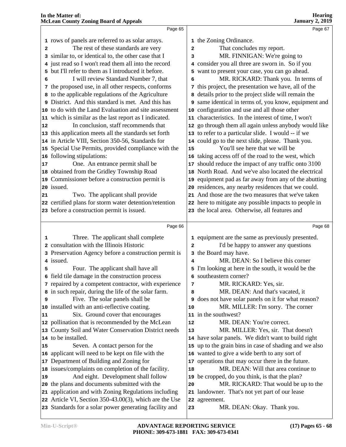|                | Page 65                                                                                                          |                | Page 67                                                    |  |
|----------------|------------------------------------------------------------------------------------------------------------------|----------------|------------------------------------------------------------|--|
|                | 1 rows of panels are referred to as solar arrays.                                                                |                | 1 the Zoning Ordinance.                                    |  |
| $\overline{a}$ | The rest of these standards are very                                                                             | $\overline{a}$ | That concludes my report.                                  |  |
|                | 3 similar to, or identical to, the other case that I                                                             | 3              | MR. FINNIGAN: We're going to                               |  |
|                | 4 just read so I won't read them all into the record                                                             |                | 4 consider you all three are sworn in. So if you           |  |
|                | 5 but I'll refer to them as I introduced it before.                                                              |                | 5 want to present your case, you can go ahead.             |  |
| 6              | I will review Standard Number 7, that                                                                            | 6              | MR. RICKARD: Thank you. In terms of                        |  |
|                | 7 the proposed use, in all other respects, conforms                                                              |                | 7 this project, the presentation we have, all of the       |  |
|                | 8 to the applicable regulations of the Agriculture                                                               |                | 8 details prior to the project slide will remain the       |  |
|                | 9 District. And this standard is met. And this has                                                               |                | 9 same identical in terms of, you know, equipment and      |  |
|                | 10 to do with the Land Evaluation and site assessment                                                            |                | 10 configuration and use and all those other               |  |
|                | 11 which is similar as the last report as I indicated.                                                           |                | 11 characteristics. In the interest of time, I won't       |  |
| 12             | In conclusion, staff recommends that                                                                             |                | 12 go through them all again unless anybody would like     |  |
|                | 13 this application meets all the standards set forth                                                            |                | 13 to refer to a particular slide. I would -- if we        |  |
|                | 14 in Article VIII, Section 350-56, Standards for                                                                |                | 14 could go to the next slide, please. Thank you.          |  |
|                | 15 Special Use Permits, provided compliance with the                                                             | 15             | You'll see here that we will be                            |  |
|                | 16 following stipulations:                                                                                       |                | 16 taking access off of the road to the west, which        |  |
| 17             | One. An entrance permit shall be                                                                                 | 17             | should reduce the impact of any traffic onto 3100          |  |
|                | 18 obtained from the Gridley Township Road                                                                       |                | 18 North Road. And we've also located the electrical       |  |
|                | 19 Commissioner before a construction permit is                                                                  | 19             | equipment pad as far away from any of the abutting         |  |
|                | 20 issued.                                                                                                       |                | 20 residences, any nearby residences that we could.        |  |
| 21             | Two. The applicant shall provide                                                                                 |                | 21 And those are the two measures that we've taken         |  |
|                | 22 certified plans for storm water detention/retention                                                           |                | 22 here to mitigate any possible impacts to people in      |  |
|                | 23 before a construction permit is issued.                                                                       |                | 23 the local area. Otherwise, all features and             |  |
|                |                                                                                                                  |                |                                                            |  |
|                |                                                                                                                  |                |                                                            |  |
|                | Page 66                                                                                                          |                | Page 68                                                    |  |
| 1              | Three. The applicant shall complete                                                                              |                | 1 equipment are the same as previously presented.          |  |
|                | 2 consultation with the Illinois Historic                                                                        | $\overline{a}$ | I'd be happy to answer any questions                       |  |
|                | 3 Preservation Agency before a construction permit is                                                            |                | 3 the Board may have.                                      |  |
|                | 4 issued.                                                                                                        | 4              | MR. DEAN: So I believe this corner                         |  |
| 5              | Four. The applicant shall have all                                                                               |                | 5 I'm looking at here in the south, it would be the        |  |
|                | 6 field tile damage in the construction process                                                                  |                | 6 southeastern corner?                                     |  |
|                | 7 repaired by a competent contractor, with experience                                                            | 7              | MR. RICKARD: Yes, sir.                                     |  |
|                | 8 in such repair, during the life of the solar farm.                                                             | 8              | MR. DEAN: And that's vacated, it                           |  |
| 9              | Five. The solar panels shall be                                                                                  |                | <b>9</b> does not have solar panels on it for what reason? |  |
|                | 10 installed with an anti-reflective coating.                                                                    | 10             | MR. MILLER: I'm sorry. The corner                          |  |
| 11             | Six. Ground cover that encourages                                                                                |                | 11 in the southwest?                                       |  |
|                | 12 pollination that is recommended by the McLean                                                                 | 12             | MR. DEAN: You're correct.                                  |  |
|                | 13 County Soil and Water Conservation District needs                                                             | 13             | MR. MILLER: Yes, sir. That doesn't                         |  |
|                | 14 to be installed.                                                                                              |                | 14 have solar panels. We didn't want to build right        |  |
| 15             | Seven. A contact person for the                                                                                  |                | 15 up to the grain bins in case of shading and we also     |  |
|                | 16 applicant will need to be kept on file with the                                                               |                | 16 wanted to give a wide berth to any sort of              |  |
|                | 17 Department of Building and Zoning for                                                                         | 17             | operations that may occur there in the future.             |  |
|                | 18 issues/complaints on completion of the facility.                                                              | 18             | MR. DEAN: Will that area continue to                       |  |
| 19             | And eight. Development shall follow                                                                              | 19             | be cropped, do you think, is that the plan?                |  |
|                | 20 the plans and documents submitted with the                                                                    | 20             | MR. RICKARD: That would be up to the                       |  |
|                | 21 application and with Zoning Regulations including                                                             |                | 21 landowner. That's not yet part of our lease             |  |
|                | 22 Article VI, Section 350-43.00(3), which are the Use<br>23 Standards for a solar power generating facility and | 23             | 22 agreement.<br>MR. DEAN: Okay. Thank you.                |  |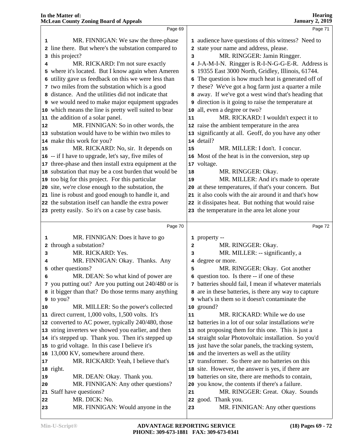|    | Page 69                                                 |                | Page 71                                                |
|----|---------------------------------------------------------|----------------|--------------------------------------------------------|
| 1  | MR. FINNIGAN: We saw the three-phase                    |                | 1 audience have questions of this witness? Need to     |
|    | 2 line there. But where's the substation compared to    |                | 2 state your name and address, please.                 |
|    | 3 this project?                                         | 3              | MR. RINGGER: Jamin Ringger.                            |
| 4  | MR. RICKARD: I'm not sure exactly                       |                | 4 J-A-M-I-N. Ringger is R-I-N-G-G-E-R. Address is      |
|    | 5 where it's located. But I know again when Ameren      |                | 5 19355 East 3000 North, Gridley, Illinois, 61744.     |
|    | 6 utility gave us feedback on this we were less than    |                | 6 The question is how much heat is generated off of    |
|    | 7 two miles from the substation which is a good         |                | 7 these? We've got a hog farm just a quarter a mile    |
|    | 8 distance. And the utilities did not indicate that     |                | 8 away. If we've got a west wind that's heading that   |
|    | <b>9</b> we would need to make major equipment upgrades |                | 9 direction is it going to raise the temperature at    |
|    | 10 which means the line is pretty well suited to bear   |                | 10 all, even a degree or two?                          |
|    | 11 the addition of a solar panel.                       | 11             | MR. RICKARD: I wouldn't expect it to                   |
| 12 | MR. FINNIGAN: So in other words, the                    |                | 12 raise the ambient temperature in the area           |
|    | 13 substation would have to be within two miles to      |                | 13 significantly at all. Geoff, do you have any other  |
|    | 14 make this work for you?                              |                | 14 detail?                                             |
| 15 | MR. RICKARD: No, sir. It depends on                     | 15             | MR. MILLER: I don't. I concur.                         |
|    | 16 -- if I have to upgrade, let's say, five miles of    |                | 16 Most of the heat is in the conversion, step up      |
|    | 17 three-phase and then install extra equipment at the  |                | 17 voltage.                                            |
|    | 18 substation that may be a cost burden that would be   | 18             | MR. RINGGER: Okay.                                     |
|    | 19 too big for this project. For this particular        | 19             | MR. MILLER: And it's made to operate                   |
|    | 20 site, we're close enough to the substation, the      |                | 20 at these temperatures, if that's your concern. But  |
|    | 21 line is robust and good enough to handle it, and     |                | 21 it also cools with the air around it and that's how |
|    | 22 the substation itself can handle the extra power     |                | 22 it dissipates heat. But nothing that would raise    |
|    | 23 pretty easily. So it's on a case by case basis.      |                | 23 the temperature in the area let alone your          |
|    |                                                         |                |                                                        |
|    | Page 70                                                 |                | Page 72                                                |
| 1  | MR. FINNIGAN: Does it have to go                        |                | 1 property --                                          |
|    | 2 through a substation?                                 | $\overline{a}$ | MR. RINGGER: Okay.                                     |
| 3  | MR. RICKARD: Yes.                                       | з              | MR. MILLER: -- significantly, a                        |
| 4  | MR. FINNIGAN: Okay. Thanks. Any                         |                | 4 degree or more.                                      |
|    | 5 other questions?                                      | 5              | MR. RINGGER: Okay. Got another                         |
| 6  | MR. DEAN: So what kind of power are                     |                | 6 question too. Is there -- if one of these            |
|    | 7 you putting out? Are you putting out 240/480 or is    |                | 7 batteries should fail, I mean if whatever materials  |
|    | 8 it bigger than that? Do those terms many anything     |                | 8 are in these batteries, is there any way to capture  |
|    | 9 to you?                                               |                | 9 what's in them so it doesn't contaminate the         |
| 10 | MR. MILLER: So the power's collected                    |                | 10 ground?                                             |
|    | 11 direct current, 1,000 volts, 1,500 volts. It's       | 11             | MR. RICKARD: While we do use                           |
|    | 12 converted to AC power, typically 240/480, those      |                | 12 batteries in a lot of our solar installations we're |
|    | 13 string inverters we showed you earlier, and then     |                | 13 not proposing them for this one. This is just a     |
|    | 14 it's stepped up. Thank you. Then it's stepped up     |                | 14 straight solar Photovoltaic installation. So you'd  |
|    | 15 to grid voltage. In this case I believe it's         |                | 15 just have the solar panels, the tracking system,    |
|    | 16 13,000 KV, somewhere around there.                   |                | 16 and the inverters as well as the utility            |
| 17 | MR. RICKARD: Yeah, I believe that's                     |                | 17 transformer. So there are no batteries on this      |
|    | 18 right.                                               |                | 18 site. However, the answer is yes, if there are      |
| 19 | MR. DEAN: Okay. Thank you.                              |                | 19 batteries on site, there are methods to contain,    |
| 20 | MR. FINNIGAN: Any other questions?                      |                | 20 you know, the contents if there's a failure.        |
|    |                                                         |                |                                                        |
|    | 21 Staff have questions?                                | 21             | MR. RINGGER: Great. Okay. Sounds                       |
| 22 | MR. DICK: No.                                           |                | 22 good. Thank you.                                    |
| 23 | MR. FINNIGAN: Would anyone in the                       | 23             | MR. FINNIGAN: Any other questions                      |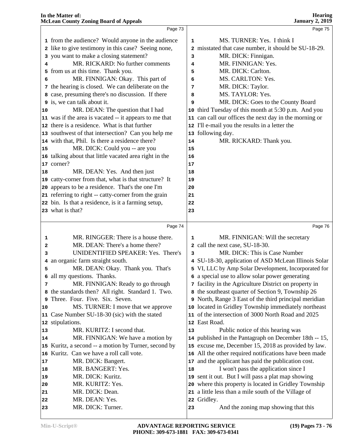|    | Page 73                                                |    | Page 75                                                |  |
|----|--------------------------------------------------------|----|--------------------------------------------------------|--|
|    | 1 from the audience? Would anyone in the audience      | 1  | MS. TURNER: Yes. I think I                             |  |
|    | 2 like to give testimony in this case? Seeing none,    |    | 2 misstated that case number, it should be SU-18-29.   |  |
|    | 3 you want to make a closing statement?                | 3  | MR. DICK: Finnigan.                                    |  |
|    | MR. RICKARD: No further comments                       | 4  | MR. FINNIGAN: Yes.                                     |  |
|    | 5 from us at this time. Thank you.                     | 5  | MR. DICK: Carlton.                                     |  |
|    | MR. FINNIGAN: Okay. This part of                       | 6  | MS. CARLTON: Yes.                                      |  |
|    | 7 the hearing is closed. We can deliberate on the      | 7  | MR. DICK: Taylor.                                      |  |
|    | 8 case, presuming there's no discussion. If there      | 8  | MS. TAYLOR: Yes.                                       |  |
|    | 9 is, we can talk about it.                            | 9  | MR. DICK: Goes to the County Board                     |  |
| 10 | MR. DEAN: The question that I had                      |    | 10 third Tuesday of this month at 5:30 p.m. And you    |  |
|    | 11 was if the area is vacated -- it appears to me that |    | 11 can call our offices the next day in the morning or |  |
|    | 12 there is a residence. What is that further          |    | 12 I'll e-mail you the results in a letter the         |  |
|    | 13 southwest of that intersection? Can you help me     |    | 13 following day.                                      |  |
|    | 14 with that, Phil. Is there a residence there?        | 14 | MR. RICKARD: Thank you.                                |  |
| 15 | MR. DICK: Could you -- are you                         | 15 |                                                        |  |
|    | 16 talking about that little vacated area right in the | 16 |                                                        |  |
|    | 17 corner?                                             | 17 |                                                        |  |
| 18 | MR. DEAN: Yes. And then just                           | 18 |                                                        |  |
|    | 19 catty-corner from that, what is that structure? It  | 19 |                                                        |  |
|    | 20 appears to be a residence. That's the one I'm       | 20 |                                                        |  |
|    | 21 referring to right -- catty-corner from the grain   | 21 |                                                        |  |
|    | 22 bin. Is that a residence, is it a farming setup,    | 22 |                                                        |  |
|    | 23 what is that?                                       | 23 |                                                        |  |
|    |                                                        |    |                                                        |  |
|    |                                                        |    |                                                        |  |
|    | Page 74                                                |    | Page 76                                                |  |
| 1  | MR. RINGGER: There is a house there.                   | 1  | MR. FINNIGAN: Will the secretary                       |  |
| 2  | MR. DEAN: There's a home there?                        |    | 2 call the next case, SU-18-30.                        |  |
| з  | UNIDENTIFIED SPEAKER: Yes. There's                     | 3  | MR. DICK: This is Case Number                          |  |
|    | 4 an organic farm straight south.                      |    | 4 SU-18-30, application of ASD McLean Illinois Solar   |  |
| 5  | MR. DEAN: Okay. Thank you. That's                      |    | 5 VI, LLC by Amp Solar Development, Incorporated for   |  |
|    | 6 all my questions. Thanks.                            |    | 6 a special use to allow solar power generating        |  |
| 7  | MR. FINNIGAN: Ready to go through                      |    | 7 facility in the Agriculture District on property in  |  |
|    | 8 the standards then? All right. Standard 1. Two.      |    | 8 the southeast quarter of Section 9, Township 26      |  |
| 9  | Three. Four. Five. Six. Seven.                         |    | 9 North, Range 3 East of the third principal meridian  |  |
| 10 | MS. TURNER: I move that we approve                     |    | 10 located in Gridley Township immediately northeast   |  |
|    | 11 Case Number SU-18-30 (sic) with the stated          |    | 11 of the intersection of 3000 North Road and 2025     |  |
|    | 12 stipulations.                                       |    | 12 East Road.                                          |  |
| 13 | MR. KURITZ: I second that.                             | 13 | Public notice of this hearing was                      |  |
| 14 | MR. FINNIGAN: We have a motion by                      |    | 14 published in the Pantagraph on December 18th -- 15, |  |
|    | 15 Kuritz, a second -- a motion by Turner, second by   |    | 15 excuse me, December 15, 2018 as provided by law.    |  |
|    | 16 Kuritz. Can we have a roll call vote.               |    | 16 All the other required notifications have been made |  |
| 17 | MR. DICK: Bangert.                                     |    | 17 and the applicant has paid the publication cost.    |  |
| 18 | MR. BANGERT: Yes.                                      | 18 | I won't pass the application since I                   |  |
| 19 | MR. DICK: Kuritz.                                      |    | 19 sent it out. But I will pass a plat map showing     |  |
| 20 | MR. KURITZ: Yes.                                       |    | 20 where this property is located in Gridley Township  |  |
| 21 | MR. DICK: Dean.                                        |    | 21 a little less than a mile south of the Village of   |  |
| 22 | MR. DEAN: Yes.<br>MR. DICK: Turner.                    |    | 22 Gridley.<br>And the zoning map showing that this    |  |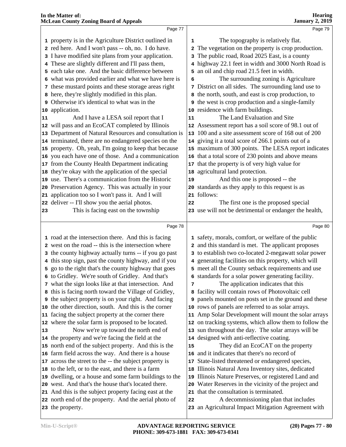|    | <b>McLean County Zoning Board of Appeals</b>                                                                |    | <b>January 2, 2019</b>                                                              |
|----|-------------------------------------------------------------------------------------------------------------|----|-------------------------------------------------------------------------------------|
|    | Page 77                                                                                                     |    | Page 79                                                                             |
|    | 1 property is in the Agriculture District outlined in                                                       | 1  | The topography is relatively flat.                                                  |
|    | 2 red here. And I won't pass -- oh, no. I do have.                                                          |    | 2 The vegetation on the property is crop production.                                |
|    | 3 I have modified site plans from your application.                                                         |    | 3 The public road, Road 2025 East, is a county                                      |
|    | 4 These are slightly different and I'll pass them,                                                          |    | 4 highway 22.1 feet in width and 3000 North Road is                                 |
|    | 5 each take one. And the basic difference between                                                           |    | 5 an oil and chip road 21.5 feet in width.                                          |
|    | 6 what was provided earlier and what we have here is                                                        | 6  | The surrounding zoning is Agriculture                                               |
|    | 7 these mustard points and these storage areas right                                                        |    | 7 District on all sides. The surrounding land use to                                |
|    | 8 here, they're slightly modified in this plan.                                                             |    | 8 the north, south, and east is crop production, to                                 |
|    | 9 Otherwise it's identical to what was in the                                                               |    | <b>9</b> the west is crop production and a single-family                            |
|    | 10 application.                                                                                             |    | 10 residence with farm buildings.                                                   |
| 11 | And I have a LESA soil report that I                                                                        | 11 | The Land Evaluation and Site                                                        |
|    | 12 will pass and an EcoCAT completed by Illinois                                                            |    | 12 Assessment report has a soil score of 98.1 out of                                |
|    | 13 Department of Natural Resources and consultation is                                                      |    | 13 100 and a site assessment score of 168 out of 200                                |
|    | 14 terminated, there are no endangered species on the                                                       |    | 14 giving it a total score of 266.1 points out of a                                 |
|    | 15 property. Oh, yeah, I'm going to keep that because                                                       |    | 15 maximum of 300 points. The LESA report indicates                                 |
|    | 16 you each have one of those. And a communication                                                          |    | 16 that a total score of 230 points and above means                                 |
|    | 17 from the County Health Department indicating                                                             |    | 17 that the property is of very high value for                                      |
|    | 18 they're okay with the application of the special                                                         |    | 18 agricultural land protection.                                                    |
|    | 19 use. There's a communication from the Historic                                                           | 19 | And this one is proposed -- the                                                     |
|    | 20 Preservation Agency. This was actually in your                                                           |    | 20 standards as they apply to this request is as                                    |
| 21 | application too so I won't pass it. And I will                                                              |    | 21 follows:                                                                         |
| 22 | deliver -- I'll show you the aerial photos.                                                                 | 22 | The first one is the proposed special                                               |
| 23 | This is facing east on the township                                                                         |    | 23 use will not be detrimental or endanger the health,                              |
|    | Page 78                                                                                                     |    | Page 80                                                                             |
|    | 1 road at the intersection there. And this is facing                                                        |    | 1 safety, morals, comfort, or welfare of the public                                 |
|    | 2 west on the road -- this is the intersection where                                                        |    | 2 and this standard is met. The applicant proposes                                  |
|    | 3 the county highway actually turns -- if you go past                                                       |    | 3 to establish two co-located 2-megawatt solar power                                |
|    | 4 this stop sign, past the county highway, and if you                                                       |    | 4 generating facilities on this property, which will                                |
|    | 5 go to the right that's the county highway that goes                                                       |    | 5 meet all the County setback requirements and use                                  |
|    | 6 to Gridley. We're south of Gridley. And that's                                                            |    | 6 standards for a solar power generating facility.                                  |
|    | 7 what the sign looks like at that intersection. And                                                        | 7  | The application indicates that this                                                 |
|    | 8 this is facing north toward the Village of Gridley,                                                       |    | 8 facility will contain rows of Photovoltaic cell                                   |
|    | <b>9</b> the subject property is on your right. And facing                                                  | 9  | panels mounted on posts set in the ground and these                                 |
| 10 | the other direction, south. And this is the corner                                                          |    | 10 rows of panels are referred to as solar arrays.                                  |
|    | 11 facing the subject property at the corner there                                                          |    | 11 Amp Solar Development will mount the solar arrays                                |
|    | 12 where the solar farm is proposed to be located.                                                          |    | 12 on tracking systems, which allow them to follow the                              |
| 13 | Now we're up toward the north end of                                                                        |    | 13 sun throughout the day. The solar arrays will be                                 |
|    | 14 the property and we're facing the field at the                                                           |    | 14 designed with anti-reflective coating.                                           |
|    | 15 north end of the subject property. And this is the<br>16 farm field across the way. And there is a house | 15 | They did an EcoCAT on the property<br>16 and it indicates that there's no record of |
|    |                                                                                                             |    |                                                                                     |

 across the street to the -- the subject property is to the left, or to the east, and there is a farm

dwelling, or a house and some farm buildings to the

west. And that's the house that's located there.

 And this is the subject property facing east at the north end of the property. And the aerial photo of

the property.

 State-listed threatened or endangered species, Illinois Natural Area Inventory sites, dedicated Illinois Nature Preserves, or registered Land and Water Reserves in the vicinity of the project and

A decommissioning plan that includes

an Agricultural Impact Mitigation Agreement with

that the consultation is terminated.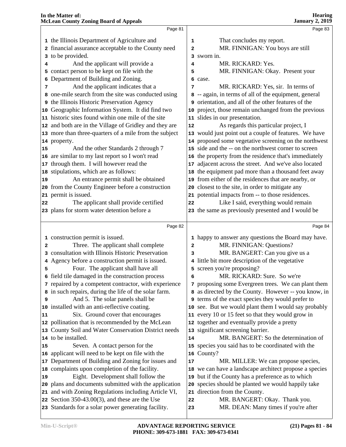|    | Page 81                                                                                                  |          | Page 83                                                               |
|----|----------------------------------------------------------------------------------------------------------|----------|-----------------------------------------------------------------------|
|    | 1 the Illinois Department of Agriculture and                                                             | 1        | That concludes my report.                                             |
|    | 2 financial assurance acceptable to the County need                                                      | 2        | MR. FINNIGAN: You boys are still                                      |
|    | 3 to be provided.                                                                                        |          | 3 sworn in.                                                           |
| 4  | And the applicant will provide a                                                                         | 4        | MR. RICKARD: Yes.                                                     |
|    | 5 contact person to be kept on file with the                                                             | 5        | MR. FINNIGAN: Okay. Present your                                      |
|    | 6 Department of Building and Zoning.                                                                     |          | 6 case.                                                               |
| 7  | And the applicant indicates that a                                                                       | 7        | MR. RICKARD: Yes, sir. In terms of                                    |
|    | 8 one-mile search from the site was conducted using                                                      |          | 8 -- again, in terms of all of the equipment, general                 |
|    | 9 the Illinois Historic Preservation Agency                                                              |          | 9 orientation, and all of the other features of the                   |
|    | 10 Geographic Information System. It did find two                                                        |          | 10 project, those remain unchanged from the previous                  |
|    | 11 historic sites found within one mile of the site                                                      |          | 11 slides in our presentation.                                        |
|    | 12 and both are in the Village of Gridley and they are                                                   | 12       | As regards this particular project, I                                 |
|    | 13 more than three-quarters of a mile from the subject                                                   |          | 13 would just point out a couple of features. We have                 |
|    | 14 property.                                                                                             |          | 14 proposed some vegetative screening on the northwest                |
| 15 | And the other Standards 2 through 7                                                                      |          | 15 side and the -- on the northwest corner to screen                  |
|    | 16 are similar to my last report so I won't read                                                         |          | 16 the property from the residence that's immediately                 |
|    | 17 through them. I will however read the                                                                 |          | 17 adjacent across the street. And we've also located                 |
|    | 18 stipulations, which are as follows:                                                                   |          | 18 the equipment pad more than a thousand feet away                   |
| 19 | An entrance permit shall be obtained                                                                     |          | 19 from either of the residences that are nearby, or                  |
|    | 20 from the County Engineer before a construction                                                        |          | 20 closest to the site, in order to mitigate any                      |
|    | 21 permit is issued.                                                                                     |          | 21 potential impacts from -- to those residences.                     |
| 22 | The applicant shall provide certified                                                                    | 22       | Like I said, everything would remain                                  |
|    | 23 plans for storm water detention before a                                                              |          | 23 the same as previously presented and I would be                    |
|    |                                                                                                          |          |                                                                       |
|    |                                                                                                          |          |                                                                       |
|    | Page 82                                                                                                  |          | Page 84                                                               |
|    | 1 construction permit is issued.                                                                         |          | 1 happy to answer any questions the Board may have.                   |
| 2  | Three. The applicant shall complete                                                                      | 2        | MR. FINNIGAN: Questions?                                              |
|    | 3 consultation with Illinois Historic Preservation                                                       | 3        | MR. BANGERT: Can you give us a                                        |
|    | 4 Agency before a construction permit is issued.                                                         |          | 4 little bit more description of the vegetative                       |
| 5  | Four. The applicant shall have all                                                                       |          | 5 screen you're proposing?                                            |
|    | 6 field tile damaged in the construction process                                                         | 6        | MR. RICKARD: Sure. So we're                                           |
|    | 7 repaired by a competent contractor, with experience                                                    |          | 7 proposing some Evergreen trees. We can plant them                   |
|    | 8 in such repairs, during the life of the solar farm.                                                    |          | 8 as directed by the County. However -- you know, in                  |
| 9  | And 5. The solar panels shall be                                                                         |          | <b>9</b> terms of the exact species they would prefer to              |
|    | 10 installed with an anti-reflective coating.                                                            |          | 10 see. But we would plant them I would say probably                  |
| 11 | Six. Ground cover that encourages                                                                        |          | 11 every 10 or 15 feet so that they would grow in                     |
|    | 12 pollination that is recommended by the McLean                                                         |          | 12 together and eventually provide a pretty                           |
|    | 13 County Soil and Water Conservation District needs                                                     |          | 13 significant screening barrier.                                     |
|    | 14 to be installed.                                                                                      | 14       | MR. BANGERT: So the determination of                                  |
| 15 | Seven. A contact person for the                                                                          |          | 15 species you said has to be coordinated with the                    |
|    | 16 applicant will need to be kept on file with the                                                       |          | 16 County?                                                            |
|    | 17 Department of Building and Zoning for issues and                                                      | 17       | MR. MILLER: We can propose species,                                   |
|    | 18 complaints upon completion of the facility.                                                           |          | 18 we can have a landscape architect propose a species                |
| 19 | Eight. Development shall follow the                                                                      |          | 19 but if the County has a preference as to which                     |
|    | 20 plans and documents submitted with the application                                                    |          | 20 species should be planted we would happily take                    |
|    | 21 and with Zoning Regulations including Article VI,                                                     |          | 21 direction from the County.                                         |
|    | 22 Section $350-43.00(3)$ , and these are the Use<br>23 Standards for a solar power generating facility. | 22<br>23 | MR. BANGERT: Okay. Thank you.<br>MR. DEAN: Many times if you're after |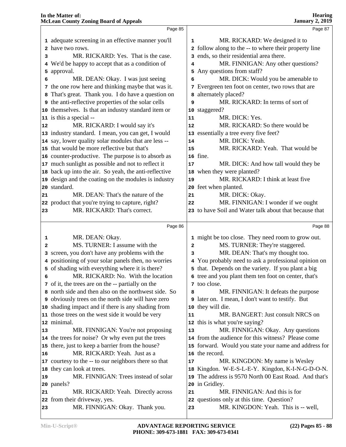|          | Page 85                                                        |    | Page 87                                                                          |  |
|----------|----------------------------------------------------------------|----|----------------------------------------------------------------------------------|--|
|          | 1 adequate screening in an effective manner you'll             | 1  | MR. RICKARD: We designed it to                                                   |  |
|          | 2 have two rows.                                               |    | 2 follow along to the -- to where their property line                            |  |
| 3        | MR. RICKARD: Yes. That is the case.                            |    | 3 ends, so their residential area there.                                         |  |
|          | 4 We'd be happy to accept that as a condition of               | 4  | MR. FINNIGAN: Any other questions?                                               |  |
|          | 5 approval.                                                    |    | 5 Any questions from staff?                                                      |  |
| 6        | MR. DEAN: Okay. I was just seeing                              | 6  | MR. DICK: Would you be amenable to                                               |  |
|          | 7 the one row here and thinking maybe that was it.             |    | 7 Evergreen ten foot on center, two rows that are                                |  |
|          | 8 That's great. Thank you. I do have a question on             |    | <b>8</b> alternately placed?                                                     |  |
|          | <b>9</b> the anti-reflective properties of the solar cells     | 9  | MR. RICKARD: In terms of sort of                                                 |  |
|          | 10 themselves. Is that an industry standard item or            |    | 10 staggered?                                                                    |  |
|          | 11 is this a special --                                        | 11 | MR. DICK: Yes.                                                                   |  |
| 12       | MR. RICKARD: I would say it's                                  | 12 | MR. RICKARD: So there would be                                                   |  |
|          | 13 industry standard. I mean, you can get, I would             |    | 13 essentially a tree every five feet?                                           |  |
|          | 14 say, lower quality solar modules that are less --           | 14 | MR. DICK: Yeah.                                                                  |  |
|          | 15 that would be more reflective but that's                    | 15 | MR. RICKARD: Yeah. That would be                                                 |  |
|          | 16 counter-productive. The purpose is to absorb as             |    | 16 fine.                                                                         |  |
|          | 17 much sunlight as possible and not to reflect it             | 17 | MR. DICK: And how tall would they be                                             |  |
|          | 18 back up into the air. So yeah, the anti-reflective          |    | 18 when they were planted?                                                       |  |
|          | 19 design and the coating on the modules is industry           | 19 | MR. RICKARD: I think at least five                                               |  |
|          | 20 standard.                                                   |    | 20 feet when planted.                                                            |  |
| 21       | MR. DEAN: That's the nature of the                             | 21 | MR. DICK: Okay.                                                                  |  |
|          | 22 product that you're trying to capture, right?               | 22 | MR. FINNIGAN: I wonder if we ought                                               |  |
| 23       | MR. RICKARD: That's correct.                                   |    | 23 to have Soil and Water talk about that because that                           |  |
|          |                                                                |    |                                                                                  |  |
|          |                                                                |    |                                                                                  |  |
|          | Page 86                                                        |    | Page 88                                                                          |  |
| 1        | MR. DEAN: Okay.                                                |    | 1 might be too close. They need room to grow out.                                |  |
| 2        | MS. TURNER: I assume with the                                  | 2  | MS. TURNER: They're staggered.                                                   |  |
|          | 3 screen, you don't have any problems with the                 | 3  | MR. DEAN: That's my thought too.                                                 |  |
|          | 4 positioning of your solar panels then, no worries            |    | 4 You probably need to ask a professional opinion on                             |  |
|          | 5 of shading with everything where it is there?                |    | 5 that. Depends on the variety. If you plant a big                               |  |
| 6        | MR. RICKARD: No. With the location                             |    | 6 tree and you plant them ten foot on center, that's                             |  |
|          | 7 of it, the trees are on the -- partially on the              |    | 7 too close.                                                                     |  |
|          | 8 north side and then also on the northwest side. So           | 8  | MR. FINNIGAN: It defeats the purpose                                             |  |
|          | 9 obviously trees on the north side will have zero             |    | 9 later on. I mean, I don't want to testify. But                                 |  |
|          | 10 shading impact and if there is any shading from             |    | 10 they will die.                                                                |  |
|          | 11 those trees on the west side it would be very               | 11 | MR. BANGERT: Just consult NRCS on                                                |  |
|          | 12 minimal.                                                    |    | 12 this is what you're saying?                                                   |  |
|          | MR. FINNIGAN: You're not proposing                             | 13 | MR. FINNIGAN: Okay. Any questions                                                |  |
|          | 14 the trees for noise? Or why even put the trees              |    | 14 from the audience for this witness? Please come                               |  |
| 13       | 15 there, just to keep a barrier from the house?               |    | 15 forward. Would you state your name and address for                            |  |
|          | MR. RICKARD: Yeah. Just as a                                   |    | 16 the record.                                                                   |  |
|          | 17 courtesy to the -- to our neighbors there so that           | 17 | MR. KINGDON: My name is Wesley                                                   |  |
| 16       | 18 they can look at trees.                                     |    | 18 Kingdon. W-E-S-L-E-Y. Kingdon, K-I-N-G-D-O-N.                                 |  |
|          | MR. FINNIGAN: Trees instead of solar                           | 19 | The address is 9570 North 00 East Road. And that's                               |  |
|          | 20 panels?                                                     |    | 20 in Gridley.                                                                   |  |
| 19<br>21 | MR. RICKARD: Yeah. Directly across                             | 21 | MR. FINNIGAN: And this is for                                                    |  |
| 23       | 22 from their driveway, yes.<br>MR. FINNIGAN: Okay. Thank you. | 23 | 22 questions only at this time. Question?<br>MR. KINGDON: Yeah. This is -- well, |  |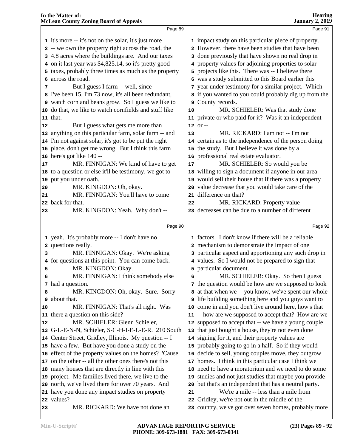|    | Page 89                                                | Page 91                                                                                                    |
|----|--------------------------------------------------------|------------------------------------------------------------------------------------------------------------|
|    | 1 it's more -- it's not on the solar, it's just more   | 1 impact study on this particular piece of property.                                                       |
|    | 2 -- we own the property right across the road, the    | 2 However, there have been studies that have been                                                          |
|    | 3 4.8 acres where the buildings are. And our taxes     | 3 done previously that have shown no real drop in                                                          |
|    | 4 on it last year was \$4,825.14, so it's pretty good  | 4 property values for adjoining properties to solar                                                        |
|    | 5 taxes, probably three times as much as the property  | 5 projects like this. There was -- I believe there                                                         |
|    | 6 across the road.                                     | 6 was a study submitted to this Board earlier this                                                         |
| 7  | But I guess I farm -- well, since                      | 7 year under testimony for a similar project. Which                                                        |
|    | 8 I've been 15, I'm 73 now, it's all been redundant,   | 8 if you wanted to you could probably dig up from the                                                      |
|    | 9 watch corn and beans grow. So I guess we like to     | 9 County records.                                                                                          |
|    | 10 do that, we like to watch cornfields and stuff like | MR. SCHIELER: Was that study done<br>10                                                                    |
|    | 11 that.                                               | 11 private or who paid for it? Was it an independent                                                       |
| 12 | But I guess what gets me more than                     | $12$ or $-$                                                                                                |
|    | 13 anything on this particular farm, solar farm -- and | MR. RICKARD: I am not -- I'm not<br>13                                                                     |
|    | 14 I'm not against solar, it's got to be put the right | 14 certain as to the independence of the person doing                                                      |
|    | 15 place, don't get me wrong. But I think this farm    | 15 the study. But I believe it was done by a                                                               |
|    | 16 here's got like 140 --                              | 16 professional real estate evaluator.                                                                     |
| 17 | MR. FINNIGAN: We kind of have to get                   | MR. SCHIELER: So would you be<br>17                                                                        |
|    | 18 to a question or else it'll be testimony, we got to | 18 willing to sign a document if anyone in our area                                                        |
|    | 19 put you under oath.                                 | 19 would sell their house that if there was a property                                                     |
| 20 | MR. KINGDON: Oh, okay.                                 | 20 value decrease that you would take care of the                                                          |
| 21 | MR. FINNIGAN: You'll have to come                      | 21 difference on that?                                                                                     |
|    | 22 back for that.                                      | MR. RICKARD: Property value<br>22                                                                          |
| 23 | MR. KINGDON: Yeah. Why don't --                        | 23 decreases can be due to a number of different                                                           |
|    |                                                        |                                                                                                            |
|    | Page 90                                                | Page 92                                                                                                    |
|    | 1 yeah. It's probably more -- I don't have no          | 1 factors. I don't know if there will be a reliable                                                        |
|    | 2 questions really.                                    | 2 mechanism to demonstrate the impact of one                                                               |
| 3  | MR. FINNIGAN: Okay. We're asking                       | 3 particular aspect and apportioning any such drop in                                                      |
| 4  | for questions at this point. You can come back.        |                                                                                                            |
|    |                                                        | 4 values. So I would not be prepared to sign that                                                          |
| 5  | MR. KINGDON: Okay.                                     | 5 particular document.                                                                                     |
| 6  | MR. FINNIGAN: I think somebody else                    | MR. SCHIELER: Okay. So then I guess<br>6                                                                   |
|    | 7 had a question.                                      | 7 the question would be how are we supposed to look                                                        |
| 8  | MR. KINGDON: Oh, okay. Sure. Sorry                     | at that when we -- you know, we've spent our whole                                                         |
| 9  | about that.                                            | I life building something here and you guys want to                                                        |
| 10 | MR. FINNIGAN: That's all right. Was                    | 10 come in and you don't live around here, how's that                                                      |
|    | 11 there a question on this side?                      | 11 -- how are we supposed to accept that? How are we                                                       |
| 12 | MR. SCHIELER: Glenn Schieler,                          | 12 supposed to accept that -- we have a young couple                                                       |
|    | 13 G-L-E-N-N, Schieler, S-C-H-I-E-L-E-R. 210 South     | 13 that just bought a house, they're not even done                                                         |
|    | 14 Center Street, Gridley, Illinois. My question -- I  | 14 signing for it, and their property values are                                                           |
|    | 15 have a few. But have you done a study on the        | 15 probably going to go in a half. So if they would                                                        |
|    | 16 effect of the property values on the homes? 'Cause  | 16 decide to sell, young couples move, they outgrow                                                        |
|    | 17 on the other -- all the other ones there's not this | 17 homes. I think in this particular case I think we                                                       |
|    | 18 many houses that are directly in line with this     | 18 need to have a moratorium and we need to do some                                                        |
|    | 19 project. Me families lived there, we live to the    | 19 studies and not just studies that maybe you provide                                                     |
|    | 20 north, we've lived there for over 70 years. And     | 20 but that's an independent that has a neutral party.                                                     |
|    | 21 have you done any impact studies on property        | We're a mile -- less than a mile from<br>21                                                                |
| 23 | 22 values?<br>MR. RICKARD: We have not done an         | Gridley, we're not out in the middle of the<br>22<br>23 country, we've got over seven homes, probably more |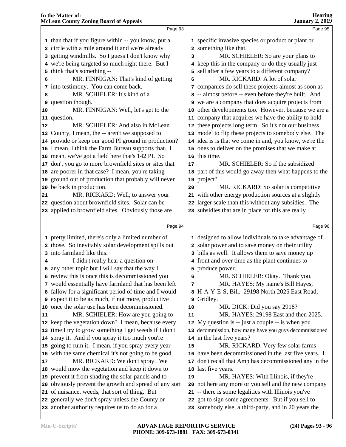| <b>Hearing</b>  |  |
|-----------------|--|
| January 2, 2019 |  |

|              | Page 93                                                                                             |          | Page 95                                                                                                   |
|--------------|-----------------------------------------------------------------------------------------------------|----------|-----------------------------------------------------------------------------------------------------------|
|              | 1 than that if you figure within -- you know, put a                                                 |          | 1 specific invasive species or product or plant or                                                        |
|              | 2 circle with a mile around it and we're already                                                    |          | 2 something like that.                                                                                    |
|              | 3 getting windmills. So I guess I don't know why                                                    | 3        | MR. SCHIELER: So are your plans to                                                                        |
|              | 4 we're being targeted so much right there. But I                                                   |          | 4 keep this in the company or do they usually just                                                        |
|              | 5 think that's something --                                                                         |          | 5 sell after a few years to a different company?                                                          |
| 6            | MR. FINNIGAN: That's kind of getting                                                                | 6        | MR. RICKARD: A lot of solar                                                                               |
|              | 7 into testimony. You can come back.                                                                |          | 7 companies do sell these projects almost as soon as                                                      |
| 8            | MR. SCHIELER: It's kind of a                                                                        |          | 8 -- almost before -- even before they're built. And                                                      |
|              | 9 question though.                                                                                  |          | <b>9</b> we are a company that does acquire projects from                                                 |
| 10           | MR. FINNIGAN: Well, let's get to the                                                                |          | 10 other developments too. However, because we are a                                                      |
|              | 11 question.                                                                                        |          | 11 company that acquires we have the ability to hold                                                      |
| $ 12\rangle$ | MR. SCHIELER: And also in McLean                                                                    |          | 12 these projects long term. So it's not our business                                                     |
|              | 13 County, I mean, the -- aren't we supposed to                                                     |          | 13 model to flip these projects to somebody else. The                                                     |
|              | 14 provide or keep our good PI ground in production?                                                |          | 14 idea is is that we come in and, you know, we're the                                                    |
|              | 15 I mean, I think the Farm Bureau supports that. I                                                 |          | 15 ones to deliver on the promises that we make at                                                        |
|              | 16 mean, we've got a field here that's 142 PI. So                                                   |          | 16 this time.                                                                                             |
|              | 17 don't you go to more brownfield sites or sites that                                              | 17       | MR. SCHIELER: So if the subsidized                                                                        |
|              | 18 are poorer in that case? I mean, you're taking                                                   |          | 18 part of this would go away then what happens to the                                                    |
|              | 19 ground out of production that probably will never                                                |          | 19 project?                                                                                               |
|              | 20 be back in production.                                                                           | 20       | MR. RICKARD: So solar is competitive                                                                      |
| 21           | MR. RICKARD: Well, to answer your                                                                   |          | 21 with other energy production sources at a slightly                                                     |
|              | 22 question about brownfield sites. Solar can be                                                    |          | 22 larger scale than this without any subsidies. The                                                      |
|              | 23 applied to brownfield sites. Obviously those are                                                 |          | 23 subsidies that are in place for this are really                                                        |
|              |                                                                                                     |          |                                                                                                           |
|              | Page 94                                                                                             |          | Page 96                                                                                                   |
|              | 1 pretty limited, there's only a limited number of                                                  |          | 1 designed to allow individuals to take advantage of                                                      |
|              | 2 those. So inevitably solar development spills out                                                 |          | 2 solar power and to save money on their utility                                                          |
|              | 3 into farmland like this.                                                                          |          | 3 bills as well. It allows them to save money up                                                          |
| 4            | I didn't really hear a question on                                                                  |          | 4 front and over time as the plant continues to                                                           |
|              | 5 any other topic but I will say that the way I                                                     |          | 5 produce power.                                                                                          |
|              | 6 review this is once this is decommissioned you                                                    | 6        | MR. SCHIELER: Okay. Thank you.                                                                            |
|              | 7 would essentially have farmland that has been left                                                | 7        | MR. HAYES: My name's Bill Hayes,                                                                          |
|              | 8 fallow for a significant period of time and I would                                               |          |                                                                                                           |
|              |                                                                                                     |          |                                                                                                           |
|              |                                                                                                     |          | 8 H-A-Y-E-S, Bill. 29198 North 2025 East Road,                                                            |
|              | 9 expect it to be as much, if not more, productive                                                  |          | 9 Gridley.                                                                                                |
|              | 10 once the solar use has been decommissioned.                                                      | 10<br>11 | MR. DICK: Did you say 2918?                                                                               |
|              | MR. SCHIELER: How are you going to                                                                  |          | MR. HAYES: 29198 East and then 2025.                                                                      |
|              | 12 keep the vegetation down? I mean, because every                                                  |          | 12 My question is -- just a couple -- is when you                                                         |
| 11           | 13 time I try to grow something I get weeds if I don't                                              |          | 13 decommission, how many have you guys decommissioned                                                    |
|              | 14 spray it. And if you spray it too much you're                                                    | 15       | 14 in the last five years?                                                                                |
|              | 15 going to ruin it. I mean, if you spray every year                                                |          | MR. RICKARD: Very few solar farms                                                                         |
|              | 16 with the same chemical it's not going to be good.                                                |          | 16 have been decommissioned in the last five years. I                                                     |
|              | MR. RICKARD: We don't spray. We                                                                     |          | 17 don't recall that Amp has decommissioned any in the                                                    |
|              | 18 would mow the vegetation and keep it down to                                                     | 19       | 18 last five years.                                                                                       |
|              | 19 prevent it from shading the solar panels and to                                                  |          | MR. HAYES: With Illinois, if they're                                                                      |
| 17           | 20 obviously prevent the growth and spread of any sort                                              |          | 20 not here any more or you sell and the new company                                                      |
|              | 21 of nuisance, weeds, that sort of thing. But                                                      |          | 21 -- there is some legalities with Illinois you've<br>22 got to sign some agreements. But if you sell to |
|              | 22 generally we don't spray unless the County or<br>23 another authority requires us to do so for a |          | 23 somebody else, a third-party, and in 20 years the                                                      |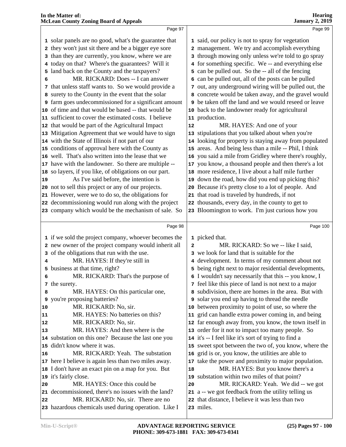| <b>McLean County Zoning Board of Appeals</b>                 |              | <b>January 2, 2019</b>                                 |
|--------------------------------------------------------------|--------------|--------------------------------------------------------|
| Page 97                                                      |              | Page 99                                                |
| 1 solar panels are no good, what's the guarantee that        |              | 1 said, our policy is not to spray for vegetation      |
| 2 they won't just sit there and be a bigger eye sore         |              | 2 management. We try and accomplish everything         |
| 3 than they are currently, you know, where we are            |              | 3 through mowing only unless we're told to go spray    |
| 4 today on that? Where's the guarantees? Will it             |              | 4 for something specific. We -- and everything else    |
| 5 land back on the County and the taxpayers?                 |              | 5 can be pulled out. So the -- all of the fencing      |
| MR. RICKARD: Does -- I can answer<br>6                       |              | 6 can be pulled out, all of the posts can be pulled    |
| 7 that unless staff wants to. So we would provide a          |              | 7 out, any underground wiring will be pulled out, the  |
| 8 surety to the County in the event that the solar           |              | 8 concrete would be taken away, and the gravel would   |
| <b>9</b> farm goes undecommissioned for a significant amount |              | 9 be taken off the land and we would reseed or leave   |
| 10 of time and that would be based -- that would be          |              | 10 back to the landowner ready for agricultural        |
| 11 sufficient to cover the estimated costs. I believe        |              | 11 production.                                         |
| 12 that would be part of the Agricultural Impact             | 12           | MR. HAYES: And one of your                             |
| 13 Mitigation Agreement that we would have to sign           |              | 13 stipulations that you talked about when you're      |
| 14 with the State of Illinois if not part of our             |              | 14 looking for property is staying away from populated |
| 15 conditions of approval here with the County as            |              | 15 areas. And being less than a mile -- Phil, I think  |
| 16 well. That's also written into the lease that we          |              | 16 you said a mile from Gridley where there's roughly, |
| 17 have with the landowner. So there are multiple --         |              | 17 you know, a thousand people and then there's a lot  |
| 18 so layers, if you like, of obligations on our part.       |              | 18 more residence, I live about a half mile further    |
| As I've said before, the intention is<br>19                  |              | 19 down the road, how did you end up picking this?     |
| 20 not to sell this project or any of our projects.          |              | 20 Because it's pretty close to a lot of people. And   |
| 21 However, were we to do so, the obligations for            |              | 21 that road is traveled by hundreds, if not           |
| 22 decommissioning would run along with the project          |              | 22 thousands, every day, in the county to get to       |
| 23 company which would be the mechanism of sale. So          |              | 23 Bloomington to work. I'm just curious how you       |
|                                                              |              |                                                        |
| Page 98                                                      |              | Page 100                                               |
| 1 if we sold the project company, whoever becomes the        |              | 1 picked that.                                         |
| 2 new owner of the project company would inherit all         | $\mathbf{2}$ | MR. RICKARD: So we -- like I said,                     |
| 3 of the obligations that run with the use.                  |              | 3 we look for land that is suitable for the            |
| MR. HAYES: If they're still in<br>4                          |              | 4 development. In terms of my comment about not        |
| 5 business at that time, right?                              |              | 5 being right next to major residential developments,  |
| MR. RICKARD: That's the purpose of<br>6                      |              | 6 I wouldn't say necessarily that this -- you know, I  |
| 7 the surety.                                                |              | 7 feel like this piece of land is not next to a major  |
| MR. HAYES: On this particular one,<br>8                      |              | 8 subdivision, there are homes in the area. But with   |
| <b>9</b> you're proposing batteries?                         |              | <b>9</b> solar you end up having to thread the needle  |
| MR. RICKARD: No, sir.<br>10                                  |              | 10 between proximity to point of use, so where the     |
| MR. HAYES: No batteries on this?<br>11                       |              | 11 grid can handle extra power coming in, and being    |
| MR. RICKARD: No, sir.<br>12                                  |              | 12 far enough away from, you know, the town itself in  |
| MR. HAYES: And then where is the<br>13                       |              | 13 order for it not to impact too many people. So      |
| 14 substation on this one? Because the last one you          |              | 14 it's -- I feel like it's sort of trying to find a   |
| 15 didn't know where it was.                                 |              | 15 sweet spot between the two of, you know, where the  |
| MR. RICKARD: Yeah. The substation<br>16                      |              | 16 grid is or, you know, the utilities are able to     |
| 17 here I believe is again less than two miles away.         |              | 17 take the power and proximity to major population.   |
| 18 I don't have an exact pin on a map for you. But           | 18           | MR. HAYES: But you know there's a                      |
| 19 it's fairly close.                                        |              | 19 substation within two miles of that point?          |
| MR. HAYES: Once this could be<br>20                          | 20           | MR. RICKARD: Yeah. We did -- we got                    |
| 21 decommissioned, there's no issues with the land?          |              | 21 a -- we got feedback from the utility telling us    |

 MR. RICKARD: No, sir. There are no hazardous chemicals used during operation. Like I

**In the Matter of:** 

**Hearing**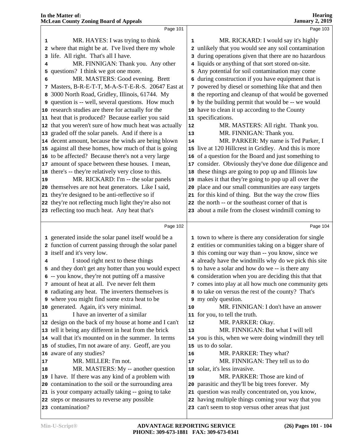|    | Page 101                                                                                          |    | Page 103                                                                                                     |  |
|----|---------------------------------------------------------------------------------------------------|----|--------------------------------------------------------------------------------------------------------------|--|
| 1  | MR. HAYES: I was trying to think                                                                  | 1  | MR. RICKARD: I would say it's highly                                                                         |  |
| 2  | where that might be at. I've lived there my whole                                                 |    | 2 unlikely that you would see any soil contamination                                                         |  |
| 3  | life. All right. That's all I have.                                                               |    | 3 during operations given that there are no hazardous                                                        |  |
| 4  | MR. FINNIGAN: Thank you. Any other                                                                |    | 4 liquids or anything of that sort stored on-site.                                                           |  |
| 5. | questions? I think we got one more.                                                               |    | 5 Any potential for soil contamination may come                                                              |  |
| 6  | MR. MASTERS: Good evening. Brett                                                                  |    | 6 during construction if you have equipment that is                                                          |  |
| 7  | Masters, B-R-E-T-T, M-A-S-T-E-R-S. 20647 East at                                                  |    | 7 powered by diesel or something like that and then                                                          |  |
|    | 8 3000 North Road, Gridley, Illinois, 61744. My                                                   |    | 8 the reporting and cleanup of that would be governed                                                        |  |
|    | <b>9</b> question is -- well, several questions. How much                                         |    | 9 by the building permit that would be -- we would                                                           |  |
|    | 10 research studies are there for actually for the                                                |    | 10 have to clean it up according to the County                                                               |  |
|    | 11 heat that is produced? Because earlier you said                                                |    | 11 specifications.                                                                                           |  |
|    | 12 that you weren't sure of how much heat was actually                                            | 12 | MR. MASTERS: All right. Thank you.                                                                           |  |
|    | 13 graded off the solar panels. And if there is a                                                 | 13 | MR. FINNIGAN: Thank you.                                                                                     |  |
|    | 14 decent amount, because the winds are being blown                                               | 14 | MR. PARKER: My name is Ted Parker, I                                                                         |  |
|    | 15 against all these homes, how much of that is going                                             |    | 15 live at 120 Hillcrest in Gridley. And this is more                                                        |  |
|    | 16 to be affected? Because there's not a very large                                               |    | 16 of a question for the Board and just something to                                                         |  |
|    | 17 amount of space between these houses. I mean,                                                  | 17 | consider. Obviously they've done due diligence and                                                           |  |
|    | 18 there's -- they're relatively very close to this.                                              |    | 18 these things are going to pop up and Illinois law                                                         |  |
| 19 | MR. RICKARD: I'm -- the solar panels                                                              |    | 19 makes it that they're going to pop up all over the                                                        |  |
|    | 20 themselves are not heat generators. Like I said,                                               |    | 20 place and our small communities are easy targets                                                          |  |
|    | 21 they're designed to be anti-reflective so if                                                   |    | 21 for this kind of thing. But the way the crow flies                                                        |  |
|    | 22 they're not reflecting much light they're also not                                             |    | 22 the north -- or the southeast corner of that is                                                           |  |
|    | 23 reflecting too much heat. Any heat that's                                                      |    | 23 about a mile from the closest windmill coming to                                                          |  |
|    |                                                                                                   |    |                                                                                                              |  |
|    |                                                                                                   |    |                                                                                                              |  |
|    | Page 102                                                                                          |    | Page 104                                                                                                     |  |
|    |                                                                                                   |    |                                                                                                              |  |
|    | 1 generated inside the solar panel itself would be a                                              |    | 1 town to where is there any consideration for single                                                        |  |
|    | 2 function of current passing through the solar panel                                             |    | 2 entities or communities taking on a bigger share of                                                        |  |
| 4  | 3 itself and it's very low.                                                                       |    | 3 this coming our way than -- you know, since we                                                             |  |
|    | I stood right next to these things                                                                |    | 4 already have the windmills why do we pick this site                                                        |  |
|    | 5 and they don't get any hotter than you would expect                                             |    | 5 to have a solar and how do we -- is there any                                                              |  |
|    | 6 -- you know, they're not putting off a massive<br>7 amount of heat at all. I've never felt them |    | 6 consideration when you are deciding this that that<br>7 comes into play at all how much one community gets |  |
|    | 8 radiating any heat. The inverters themselves is                                                 |    | 8 to take on versus the rest of the county? That's                                                           |  |
|    | 9 where you might find some extra heat to be                                                      |    | 9 my only question.                                                                                          |  |
|    | 10 generated. Again, it's very minimal.                                                           | 10 | MR. FINNIGAN: I don't have an answer                                                                         |  |
| 11 | I have an inverter of a similar                                                                   |    | 11 for you, to tell the truth.                                                                               |  |
|    | 12 design on the back of my house at home and I can't                                             | 12 | MR. PARKER: Okay.                                                                                            |  |
|    | 13 tell it being any different in heat from the brick                                             | 13 | MR. FINNIGAN: But what I will tell                                                                           |  |
|    | 14 wall that it's mounted on in the summer. In terms                                              |    | 14 you is this, when we were doing windmill they tell                                                        |  |
|    | 15 of studies, I'm not aware of any. Geoff, are you                                               |    | 15 us to do solar.                                                                                           |  |
|    | 16 aware of any studies?                                                                          | 16 | MR. PARKER: They what?                                                                                       |  |
| 17 | MR. MILLER: I'm not.                                                                              | 17 | MR. FINNIGAN: They tell us to do                                                                             |  |
| 18 | MR. MASTERS: My -- another question                                                               |    | 18 solar, it's less invasive.                                                                                |  |
|    | 19 I have. If there was any kind of a problem with                                                | 19 | MR. PARKER: Those are kind of                                                                                |  |
|    | 20 contamination to the soil or the surrounding area                                              |    | 20 parasitic and they'll be big trees forever. My                                                            |  |
|    | 21 is your company actually taking -- going to take                                               |    | 21 question was really concentrated on, you know,                                                            |  |
|    | 22 steps or measures to reverse any possible                                                      |    | 22 having multiple things coming your way that you                                                           |  |
|    | 23 contamination?                                                                                 |    | 23 can't seem to stop versus other areas that just                                                           |  |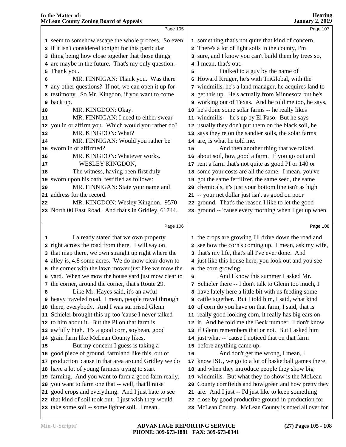| In the Matter of:<br><b>McLean County Zoning Board of Appeals</b>                                           | <b>Hearing</b><br><b>January 2, 2019</b> |                                                                                                             |  |  |
|-------------------------------------------------------------------------------------------------------------|------------------------------------------|-------------------------------------------------------------------------------------------------------------|--|--|
| Page 105                                                                                                    |                                          | Page 107                                                                                                    |  |  |
| 1 seem to somehow escape the whole process. So even                                                         |                                          | 1 something that's not quite that kind of concern.                                                          |  |  |
| 2 if it isn't considered tonight for this particular                                                        |                                          | 2 There's a lot of light soils in the county, I'm                                                           |  |  |
| thing being how close together that those things<br>3                                                       |                                          | 3 sure, and I know you can't build them by trees so,                                                        |  |  |
| 4 are maybe in the future. That's my only question.                                                         |                                          | 4 I mean, that's out.                                                                                       |  |  |
| Thank you.<br>5                                                                                             | 5                                        | I talked to a guy by the name of                                                                            |  |  |
| MR. FINNIGAN: Thank you. Was there<br>6                                                                     |                                          | 6 Howard Kruger, he's with TriGlobal, with the                                                              |  |  |
| any other questions? If not, we can open it up for<br>7                                                     |                                          | 7 windmills, he's a land manager, he acquires land to                                                       |  |  |
| testimony. So Mr. Kingdon, if you want to come<br>8                                                         |                                          | 8 get this up. He's actually from Minnesota but he's                                                        |  |  |
| back up.<br>9                                                                                               |                                          | 9 working out of Texas. And he told me too, he says,                                                        |  |  |
| MR. KINGDON: Okay.<br>10                                                                                    |                                          | 10 he's done some solar farms -- he really likes                                                            |  |  |
| MR. FINNIGAN: I need to either swear<br>11                                                                  |                                          | 11 windmills -- he's up by El Paso. But he says                                                             |  |  |
| 12 you in or affirm you. Which would you rather do?                                                         |                                          | 12 usually they don't put them on the black soil, he                                                        |  |  |
| MR. KINGDON: What?<br>13                                                                                    |                                          | 13 says they're on the sandier soils, the solar farms                                                       |  |  |
| MR. FINNIGAN: Would you rather be<br>14                                                                     |                                          | 14 are, is what he told me.                                                                                 |  |  |
| 15 sworn in or affirmed?                                                                                    | 15                                       | And then another thing that we talked                                                                       |  |  |
| MR. KINGDON: Whatever works.<br>16                                                                          |                                          | 16 about soil, how good a farm. If you go out and                                                           |  |  |
| WESLEY KINGDON,<br>17                                                                                       |                                          | 17 rent a farm that's not quite as good PI or 140 or                                                        |  |  |
| The witness, having been first duly<br>18                                                                   |                                          | 18 some your costs are all the same. I mean, you've                                                         |  |  |
| sworn upon his oath, testified as follows:<br>19                                                            |                                          | 19 got the same fertilizer, the same seed, the same                                                         |  |  |
| MR. FINNIGAN: State your name and<br>20                                                                     |                                          | 20 chemicals, it's just your bottom line isn't as high                                                      |  |  |
| 21 address for the record.                                                                                  |                                          | 21 -- your net dollar just isn't as good on poor                                                            |  |  |
| MR. KINGDON: Wesley Kingdon. 9570<br>22                                                                     |                                          | 22 ground. That's the reason I like to let the good                                                         |  |  |
| 23 North 00 East Road. And that's in Gridley, 61744.                                                        |                                          | 23 ground -- 'cause every morning when I get up when                                                        |  |  |
|                                                                                                             |                                          |                                                                                                             |  |  |
| Page 106                                                                                                    |                                          | Page 108                                                                                                    |  |  |
| I already stated that we own property<br>1                                                                  |                                          | 1 the crops are growing I'll drive down the road and                                                        |  |  |
| 2 right across the road from there. I will say on                                                           |                                          | 2 see how the corn's coming up. I mean, ask my wife,                                                        |  |  |
| 3 that map there, we own straight up right where the                                                        |                                          | 3 that's my life, that's all I've ever done. And                                                            |  |  |
| 4 alley is, 4.8 some acres. We do mow clear down to                                                         |                                          | 4 just like this house here, you look out and you see                                                       |  |  |
| 5 the corner with the lawn mower just like we mow the                                                       |                                          | 5 the corn growing.                                                                                         |  |  |
| 6 yard. When we mow the house yard just mow clear to                                                        | 6                                        | And I know this summer I asked Mr.                                                                          |  |  |
| the corner, around the corner, that's Route 29.<br>7                                                        |                                          | 7 Schieler there -- I don't talk to Glenn too much, I                                                       |  |  |
| Like Mr. Hayes said, it's an awful<br>8                                                                     |                                          | 8 have lately here a little bit with us feeding some                                                        |  |  |
| 9 heavy traveled road. I mean, people travel through                                                        |                                          | 9 cattle together. But I told him, I said, what kind                                                        |  |  |
| 10 there, everybody. And I was surprised Glenn                                                              |                                          | 10 of corn do you have on that farm, I said, that is                                                        |  |  |
| 11 Schieler brought this up too 'cause I never talked                                                       |                                          | 11 really good looking corn, it really has big ears on                                                      |  |  |
| 12 to him about it. But the PI on that farm is                                                              |                                          | 12 it. And he told me the Beck number. I don't know                                                         |  |  |
| 13 awfully high. It's a good corn, soybean, good                                                            |                                          | 13 if Glenn remembers that or not. But I asked him                                                          |  |  |
| 14 grain farm like McLean County likes.                                                                     |                                          | 14 just what -- 'cause I noticed that on that farm                                                          |  |  |
| But my concern I guess is taking a<br>15                                                                    |                                          | 15 before anything came up.                                                                                 |  |  |
| 16 good piece of ground, farmland like this, out of                                                         | 16                                       | And don't get me wrong, I mean, I                                                                           |  |  |
| 17 production 'cause in that area around Gridley we do                                                      |                                          | 17 know ISU, we go to a lot of basketball games there                                                       |  |  |
| 18 have a lot of young farmers trying to start                                                              |                                          | 18 and when they introduce people they show big                                                             |  |  |
| 19 farming. And you want to farm a good farm really,<br>20 you want to farm one that -- well, that'll raise |                                          | 19 windmills. But what they do show is the McLean<br>20 County cornfields and how green and how pretty they |  |  |
| 21 good crops and everything. And I just hate to see                                                        |                                          | 21 are. And I just -- I'd just like to keep something                                                       |  |  |
| 22 that kind of soil took out. I just wish they would                                                       |                                          | 22 close by good productive ground in production for                                                        |  |  |
| 23 take some soil -- some lighter soil. I mean,                                                             |                                          | 23 McLean County. McLean County is noted all over for                                                       |  |  |
|                                                                                                             |                                          |                                                                                                             |  |  |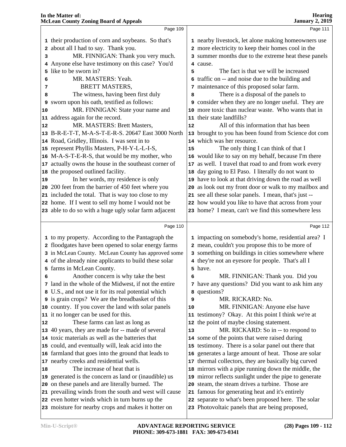| In the Matter of:<br><b>McLean County Zoning Board of Appeals</b> |                                                         |    | <b>Hearing</b><br><b>January 2, 2019</b>               |  |  |  |
|-------------------------------------------------------------------|---------------------------------------------------------|----|--------------------------------------------------------|--|--|--|
|                                                                   | Page 109                                                |    | Page 111                                               |  |  |  |
|                                                                   | 1 their production of corn and soybeans. So that's      |    | 1 nearby livestock, let alone making homeowners use    |  |  |  |
|                                                                   | 2 about all I had to say. Thank you.                    |    | 2 more electricity to keep their homes cool in the     |  |  |  |
| 3                                                                 | MR. FINNIGAN: Thank you very much.                      |    | 3 summer months due to the extreme heat these panels   |  |  |  |
| 4                                                                 | Anyone else have testimony on this case? You'd          |    | 4 cause.                                               |  |  |  |
| 5.                                                                | like to be sworn in?                                    | 5  | The fact is that we will be increased                  |  |  |  |
| 6                                                                 | MR. MASTERS: Yeah.                                      |    | 6 traffic on -- and noise due to the building and      |  |  |  |
| 7                                                                 | <b>BRETT MASTERS,</b>                                   |    | 7 maintenance of this proposed solar farm.             |  |  |  |
| 8                                                                 | The witness, having been first duly                     | 8  | There is a disposal of the panels to                   |  |  |  |
| 9                                                                 | sworn upon his oath, testified as follows:              |    | 9 consider when they are no longer useful. They are    |  |  |  |
| 10                                                                | MR. FINNIGAN: State your name and                       |    | 10 more toxic than nuclear waste. Who wants that in    |  |  |  |
|                                                                   | 11 address again for the record.                        |    | 11 their state landfills?                              |  |  |  |
| 12                                                                | MR. MASTERS: Brett Masters,                             | 12 | All of this information that has been                  |  |  |  |
|                                                                   | 13 B-R-E-T-T, M-A-S-T-E-R-S. 20647 East 3000 North      |    | 13 brought to you has been found from Science dot com  |  |  |  |
|                                                                   | 14 Road, Gridley, Illinois. I was sent in to            |    | 14 which was her resource.                             |  |  |  |
|                                                                   | 15 represent Phyllis Masters, P-H-Y-L-L-I-S,            | 15 | The only thing I can think of that I                   |  |  |  |
|                                                                   | 16 M-A-S-T-E-R-S, that would be my mother, who          |    | 16 would like to say on my behalf, because I'm there   |  |  |  |
|                                                                   | 17 actually owns the house in the southeast corner of   |    | 17 as well. I travel that road to and from work every  |  |  |  |
|                                                                   | 18 the proposed outlined facility.                      |    | 18 day going to El Paso. I literally do not want to    |  |  |  |
| 19                                                                | In her words, my residence is only                      |    | 19 have to look at that driving down the road as well  |  |  |  |
|                                                                   | 20 200 feet from the barrier of 450 feet where you      |    | 20 as look out my front door or walk to my mailbox and |  |  |  |
|                                                                   | 21 included the total. That is way too close to my      |    | 21 see all these solar panels. I mean, that's just --  |  |  |  |
|                                                                   | 22 home. If I went to sell my home I would not be       |    | 22 how would you like to have that across from your    |  |  |  |
|                                                                   | 23 able to do so with a huge ugly solar farm adjacent   |    | 23 home? I mean, can't we find this somewhere less     |  |  |  |
|                                                                   |                                                         |    |                                                        |  |  |  |
|                                                                   | Page 110                                                |    | Page 112                                               |  |  |  |
|                                                                   | 1 to my property. According to the Pantagraph the       |    | 1 impacting on somebody's home, residential area? I    |  |  |  |
|                                                                   | 2 floodgates have been opened to solar energy farms     |    | 2 mean, couldn't you propose this to be more of        |  |  |  |
|                                                                   | 3 in McLean County. McLean County has approved some     |    | 3 something on buildings in cities somewhere where     |  |  |  |
|                                                                   | 4 of the already nine applicants to build these solar   |    | 4 they're not an eyesore for people. That's all I      |  |  |  |
|                                                                   | 5 farms in McLean County.                               |    | 5 have.                                                |  |  |  |
| 6                                                                 | Another concern is why take the best                    | 6  | MR. FINNIGAN: Thank you. Did you                       |  |  |  |
|                                                                   | 7 land in the whole of the Midwest, if not the entire   |    | 7 have any questions? Did you want to ask him any      |  |  |  |
|                                                                   | 8 U.S., and not use it for its real potential which     |    | 8 questions?                                           |  |  |  |
|                                                                   | <b>9</b> is grain crops? We are the breadbasket of this | 9  | MR. RICKARD: No.                                       |  |  |  |
|                                                                   | 10 country. If you cover the land with solar panels     | 10 | MR. FINNIGAN: Anyone else have                         |  |  |  |
|                                                                   | 11 it no longer can be used for this.                   |    | 11 testimony? Okay. At this point I think we're at     |  |  |  |
| 12                                                                | These farms can last as long as                         |    | 12 the point of maybe closing statement.               |  |  |  |
|                                                                   | 13 40 years, they are made for -- made of several       | 13 | MR. RICKARD: So in -- to respond to                    |  |  |  |
|                                                                   | 14 toxic materials as well as the batteries that        |    | 14 some of the points that were raised during          |  |  |  |
|                                                                   | 15 could, and eventually will, leak acid into the       |    | 15 testimony. There is a solar panel out there that    |  |  |  |
|                                                                   | 16 farmland that goes into the ground that leads to     |    | 16 generates a large amount of heat. Those are solar   |  |  |  |
|                                                                   | 17 nearby creeks and residential wells.                 |    | 17 thermal collectors, they are basically big curved   |  |  |  |
| 18                                                                | The increase of heat that is                            |    | 18 mirrors with a pipe running down the middle, the    |  |  |  |
|                                                                   | 19 generated is the concern as land or (inaudible) us   |    | 19 mirror reflects sunlight under the pipe to generate |  |  |  |
|                                                                   | 20 on these panels and are literally burned. The        |    | 20 steam, the steam drives a turbine. Those are        |  |  |  |
|                                                                   | 21 prevailing winds from the south and west will cause  |    | 21 famous for generating heat and it's entirely        |  |  |  |
|                                                                   | 22 even hotter winds which in turn burns up the         |    | 22 separate to what's been proposed here. The solar    |  |  |  |
|                                                                   | 23 moisture for nearby crops and makes it hotter on     |    | 23 Photovoltaic panels that are being proposed,        |  |  |  |
|                                                                   |                                                         |    |                                                        |  |  |  |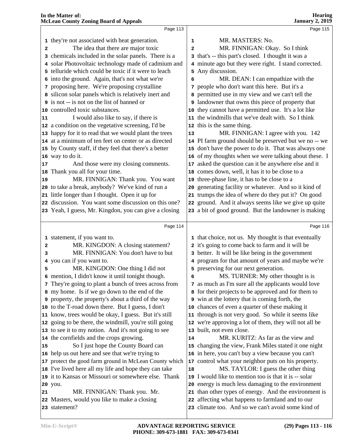|          | Page 113                                                      |                         | Page 115                                                                                               |  |
|----------|---------------------------------------------------------------|-------------------------|--------------------------------------------------------------------------------------------------------|--|
|          | 1 they're not associated with heat generation.                | 1                       | MR. MASTERS: No.                                                                                       |  |
| 2        | The idea that there are major toxic                           | $\overline{\mathbf{c}}$ | MR. FINNIGAN: Okay. So I think                                                                         |  |
|          | 3 chemicals included in the solar panels. There is a          |                         | 3 that's -- this part's closed. I thought it was a                                                     |  |
|          | 4 solar Photovoltaic technology made of cadmium and           |                         | 4 minute ago but they were right. I stand corrected.                                                   |  |
|          | 5 telluride which could be toxic if it were to leach          |                         | 5 Any discussion.                                                                                      |  |
|          | 6 into the ground. Again, that's not what we're               | 6                       | MR. DEAN: I can empathize with the                                                                     |  |
|          | 7 proposing here. We're proposing crystalline                 |                         | 7 people who don't want this here. But it's a                                                          |  |
|          | 8 silicon solar panels which is relatively inert and          |                         | 8 permitted use in my view and we can't tell the                                                       |  |
|          | <b>9</b> is not -- is not on the list of banned or            |                         | <b>9</b> landowner that owns this piece of property that                                               |  |
|          | 10 controlled toxic substances.                               |                         | 10 they cannot have a permitted use. It's a lot like                                                   |  |
| 11       | I would also like to say, if there is                         |                         | 11 the windmills that we've dealt with. So I think                                                     |  |
|          | 12 a condition on the vegetative screening, I'd be            |                         | 12 this is the same thing.                                                                             |  |
|          | 13 happy for it to read that we would plant the trees         | 13                      | MR. FINNIGAN: I agree with you. 142                                                                    |  |
|          | 14 at a minimum of ten feet on center or as directed          |                         | 14 PI farm ground should be preserved but we no -- we                                                  |  |
|          | 15 by County staff, if they feel that there's a better        |                         | 15 don't have the power to do it. That was always one                                                  |  |
|          | 16 way to do it.                                              |                         | 16 of my thoughts when we were talking about these. I                                                  |  |
| 17       | And those were my closing comments.                           |                         | 17 asked the question can it be anywhere else and it                                                   |  |
|          | 18 Thank you all for your time.                               |                         | 18 comes down, well, it has it to be close to a                                                        |  |
| 19       | MR. FINNIGAN: Thank you. You want                             |                         | 19 three-phase line, it has to be close to a                                                           |  |
|          | 20 to take a break, anybody? We've kind of run a              |                         | 20 generating facility or whatever. And so it kind of                                                  |  |
|          | 21 little longer than I thought. Open it up for               |                         | 21 trumps the idea of where do they put it? On good                                                    |  |
|          | 22 discussion. You want some discussion on this one?          |                         | 22 ground. And it always seems like we give up quite                                                   |  |
|          | 23 Yeah, I guess, Mr. Kingdon, you can give a closing         |                         | 23 a bit of good ground. But the landowner is making                                                   |  |
|          |                                                               |                         |                                                                                                        |  |
|          |                                                               |                         |                                                                                                        |  |
|          | Page 114                                                      |                         | Page 116                                                                                               |  |
|          |                                                               |                         |                                                                                                        |  |
|          | 1 statement, if you want to.                                  |                         | 1 that choice, not us. My thought is that eventually                                                   |  |
| 2        | MR. KINGDON: A closing statement?                             |                         | 2 it's going to come back to farm and it will be                                                       |  |
| 3        | MR. FINNIGAN: You don't have to but                           |                         | 3 better. It will be like being in the government                                                      |  |
|          | 4 you can if you want to.                                     |                         | 4 program for that amount of years and maybe we're                                                     |  |
| 5        | MR. KINGDON: One thing I did not                              |                         | 5 preserving for our next generation.                                                                  |  |
|          | 6 mention, I didn't know it until tonight though.             | 6                       | MS. TURNER: My other thought is is                                                                     |  |
|          | 7 They're going to plant a bunch of trees across from         |                         | 7 as much as I'm sure all the applicants would love                                                    |  |
|          | 8 my home. Is if we go down to the end of the                 |                         | 8 for their projects to be approved and for them to                                                    |  |
|          | <b>9</b> property, the property's about a third of the way    |                         | 9 win at the lottery that is coming forth, the                                                         |  |
|          | 10 to the T-road down there. But I guess, I don't             |                         | 10 chances of even a quarter of these making it                                                        |  |
|          | 11 know, trees would be okay, I guess. But it's still         |                         | 11 through is not very good. So while it seems like                                                    |  |
|          | 12 going to be there, the windmill, you're still going        |                         | 12 we're approving a lot of them, they will not all be                                                 |  |
|          | 13 to see it to my notion. And it's not going to see          |                         | 13 built, not even close.                                                                              |  |
|          | 14 the cornfields and the crops growing.                      | 14                      | MR. KURITZ: As far as the view and                                                                     |  |
|          | So I just hope the County Board can                           |                         | 15 changing the view, Frank Miles stated it one night                                                  |  |
|          | 16 help us out here and see that we're trying to              |                         | 16 in here, you can't buy a view because you can't                                                     |  |
|          | 17 protect the good farm ground in McLean County which        |                         | 17 control what your neighbor puts on his property.                                                    |  |
|          | 18 I've lived here all my life and hope they can take         | 18                      | MS. TAYLOR: I guess the other thing                                                                    |  |
|          | 19 it to Kansas or Missouri or somewhere else. Thank          |                         | 19 I would like to mention too is that it is -- solar                                                  |  |
|          | 20 you.                                                       |                         | 20 energy is much less damaging to the environment                                                     |  |
| 15<br>21 | MR. FINNIGAN: Thank you. Mr.                                  |                         | 21 than other types of energy. And the environment is                                                  |  |
|          | 22 Masters, would you like to make a closing<br>23 statement? |                         | 22 affecting what happens to farmland and to our<br>23 climate too. And so we can't avoid some kind of |  |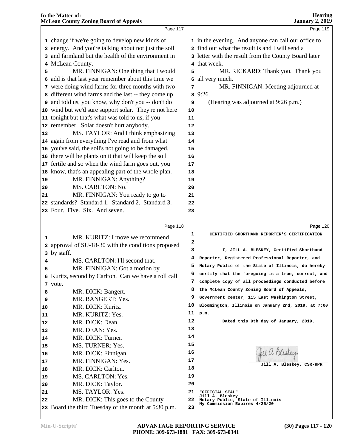|    | In the Matter of:<br><b>McLean County Zoning Board of Appeals</b> |    | <b>Hearing</b><br><b>January 2, 2019</b>             |
|----|-------------------------------------------------------------------|----|------------------------------------------------------|
|    | Page 117                                                          |    | Page 119                                             |
|    | 1 change if we're going to develop new kinds of                   |    | 1 in the evening. And anyone can call our office to  |
|    | 2 energy. And you're talking about not just the soil              |    | 2 find out what the result is and I will send a      |
|    | 3 and farmland but the health of the environment in               |    | 3 letter with the result from the County Board later |
|    | 4 McLean County.                                                  |    | 4 that week.                                         |
| 5  | MR. FINNIGAN: One thing that I would                              | 5  | MR. RICKARD: Thank you. Thank you                    |
|    | 6 add is that last year remember about this time we               | 6  | all very much.                                       |
|    | 7 were doing wind farms for three months with two                 | 7  | MR. FINNIGAN: Meeting adjourned at                   |
|    | 8 different wind farms and the last -- they come up               | 8  | 9:26.                                                |
|    | 9 and told us, you know, why don't you -- don't do                | 9  | (Hearing was adjourned at 9:26 p.m.)                 |
|    | 10 wind but we'd sure support solar. They're not here             | 10 |                                                      |
|    | 11 tonight but that's what was told to us, if you                 | 11 |                                                      |
|    | 12 remember. Solar doesn't hurt anybody.                          | 12 |                                                      |
| 13 | MS. TAYLOR: And I think emphasizing                               | 13 |                                                      |
|    | 14 again from everything I've read and from what                  | 14 |                                                      |
|    | 15 you've said, the soil's not going to be damaged,               | 15 |                                                      |
|    | 16 there will be plants on it that will keep the soil             | 16 |                                                      |
|    | 17 fertile and so when the wind farm goes out, you                | 17 |                                                      |
|    | 18 know, that's an appealing part of the whole plan.              | 18 |                                                      |
| 19 | MR. FINNIGAN: Anything?                                           | 19 |                                                      |
| 20 | MS. CARLTON: No.                                                  | 20 |                                                      |
| 21 | MR. FINNIGAN: You ready to go to                                  | 21 |                                                      |
|    | 22 standards? Standard 1. Standard 2. Standard 3.                 | 22 |                                                      |
|    | 23 Four. Five. Six. And seven.                                    | 23 |                                                      |
|    | Page 118                                                          |    | Page 120                                             |
| 1  | MR. KURITZ: I move we recommend                                   | 1  | CERTIFIED SHORTHAND REPORTER'S CERTIFICATION         |
|    | 2 approval of SU-18-30 with the conditions proposed               | 2  |                                                      |
|    | 3 by staff.                                                       | з  | I, JILL A. BLESKEY, Certified Shorthand              |
| 4  | MS. CARLTON: I'll second that.                                    | 4  | Reporter, Registered Professional Reporter, and      |
| 5  | MR. FINNIGAN: Got a motion by                                     | 5  | Notary Public of the State of Illinois, do hereby    |
|    | 6 Kuritz, second by Carlton. Can we have a roll call              | 6  | certify that the foregoing is a true, correct, and   |
|    | 7 vote.                                                           | 7  | complete copy of all proceedings conducted before    |
| 8  | MR. DICK: Bangert.                                                | 8  | the McLean County Zoning Board of Appeals,           |
| 9  | MR. BANGERT: Yes.                                                 | 9  | Government Center, 115 East Washington Street,       |
| 10 | MR. DICK: Kuritz.                                                 | 10 | Bloomington, Illinois on January 2nd, 2019, at 7:00  |
| 11 | MR. KURITZ: Yes.                                                  | 11 | p.m.                                                 |
| 12 | MR. DICK: Dean.                                                   | 12 | Dated this 9th day of January, 2019.                 |
| 13 | MR. DEAN: Yes.                                                    | 13 |                                                      |
| 14 | MR. DICK: Turner.                                                 | 14 |                                                      |
| 15 | MS. TURNER: Yes.                                                  | 15 |                                                      |
| 16 | MR. DICK: Finnigan.                                               | 16 | fell a. Bliskey                                      |
| 17 | MR. FINNIGAN: Yes.                                                | 17 |                                                      |
| 18 | MR. DICK: Carlton.                                                | 18 | Jill A. Bleskey, CSR-RPR                             |
| 19 | MS. CARLTON: Yes.                                                 | 19 |                                                      |
| 20 | MR. DICK: Taylor.                                                 | 20 |                                                      |
| 21 | MS. TAYLOR: Yes.                                                  | 21 | "OFFICIAL SEAL"                                      |
| 22 | MR. DICK: This goes to the County                                 | 22 | Jill A. Bleskey<br>Notary Public, State of Illinois  |
|    | 23 Board the third Tuesday of the month at 5:30 p.m.              | 23 | My Commission Expires 4/25/20                        |
|    |                                                                   |    |                                                      |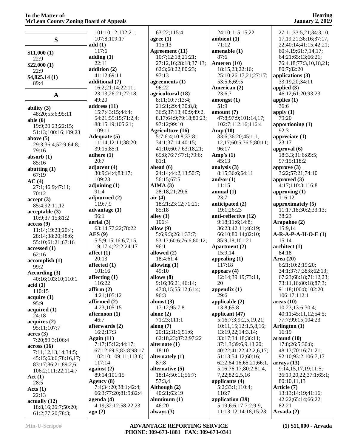| Accean County Zonnig board of Appears |                        |                                 |                                            |   |
|---------------------------------------|------------------------|---------------------------------|--------------------------------------------|---|
|                                       | 101:10,12;102:21;      | 63:22;115:4                     | 24:10;115:15,22                            |   |
|                                       | 107:8;109:17           | agree $(1)$                     | ambient (1)                                |   |
| \$                                    | add(1)                 | 115:13                          | 71:12                                      |   |
|                                       | 117:6                  | Agreement (11)                  | amenable (1)                               |   |
| \$11,000(1)                           | adding $(1)$           | 10:7;12:18;21:21;               | 87:6                                       |   |
| 22:9                                  | 22:11                  | 27:12,16;28:18;37:13;           | Ameren (10)                                |   |
| \$22,000(1)                           | addition (2)           | 62:3;68:22;80:23;               | 18:15,23;22:16;                            |   |
| 22:9                                  | 41:12;69:11            | 97:13                           | 25:10;26:17,21;27:17;                      | a |
| \$4,825.14(1)                         | additional (7)         | agreements $(1)$                | 53:5,6;69:5                                |   |
| 89:4                                  | 16:2;21:14;22:11;      | 96:22                           | American (2)                               | a |
| A                                     | 23:13;26:21;27:18;     | agricultural (18)               | 23:6,7                                     |   |
|                                       | 49:20                  | 8:11;10:7;13:4;                 | amongst(1)                                 | a |
| ability (3)                           | address (11)           | 21:21;29:4;30:8,8;              | 51:9                                       |   |
| 48:20;55:6;95:11                      | 15:7;43:15;44:4;       | 36:5;37:13;40:9;49:2,           | amount (7)                                 | a |
| able (6)                              | 54:21;55:15;71:2,4;    | 8, 17; 64: 9; 79: 18; 80: 23;   | 47:8;97:9;101:14,17;                       |   |
| 19:9;20:23;22:15;                     | 88:15,19;105:21;       | 97:12;99:10                     | 102:7;112:16;116:4                         | å |
| 51:13;100:16;109:23                   | 109:11                 | <b>Agriculture (16)</b>         | Amp $(10)$                                 |   |
| above (5)                             | Adequate (5)           | 5:7;6:4;10:8;33:8;              | 33:6;36:20;45:1,1,                         | a |
| 29:3;36:4;52:9;64:8;                  | 11:14;12:11;38:20;     | 34:1;37:14;40:15;               | 12,17;60:5;76:5;80:11;                     |   |
| 79:16                                 | 39:15:85:1             | 41:10;60:7;63:18,21;            | 96:17                                      |   |
| absorb (1)                            | adhere $(1)$           | 65:8;76:7;77:1;79:6;            | Amp's $(1)$                                |   |
| 85:16                                 | 20:7                   | 81:1                            | 45:13                                      |   |
| abutting (1)                          | adjacent $(4)$         | ahead $(6)$                     | analysis (3)                               | a |
| 67:19                                 | 30:9;34:4;83:17;       | 24:14;44:2,13;50:7;             | 8:15;36:6;64:11                            |   |
| AC(4)                                 | 109:23                 | 56:15;67:5                      | and/or $(1)$                               | a |
| 27:1;46:9;47:11;                      | adjoining $(1)$        | AIMA(3)                         | 11:15                                      |   |
| 70:12                                 | 91:4                   | 28:18,21;29:6                   | annual $(1)$                               | a |
| accept (3)                            | adjourned (2)          | air(4)                          | 23:7                                       |   |
| 85:4;92:11,12                         | 119:7,9                | 18:21;23:12;71:21;              | anticipated (2)                            | a |
| acceptable (3)                        | advantage (1)          | 85:18                           | 19:1;26:23                                 |   |
| 10:9;37:15;81:2                       | 96:1                   | alley $(1)$                     | anti-reflective (12)                       |   |
| access (9)                            | aerial (3)             | 106:4                           | 9:18;11:6;14:8;                            |   |
| 11:14;19:23;20:4;                     | 63:14;77:22;78:22      | allow $(9)$                     | 36:23;42:11;46:19;                         |   |
| 28:14;38:20;48:6;                     | $\text{AES}(9)$        | 5:6;9:3;26:1;33:7;              | 66:10;80:14;82:10;                         | F |
| 55:10;61:21;67:16                     | 5:5;9:15;16:6,7,15,    | 53:17;60:6;76:6;80:12;          | 85:9,18;101:21                             |   |
| accessed (1)                          | 19;17:4;22:2;24:17     | 96:1                            | Apartment (2)                              | a |
| 62:16                                 | affect $(1)$           | allowed (2)                     | 15:9,14                                    |   |
| accomplish (1)                        | 20:13                  | 18:4;61:4                       | appealing $(1)$                            | ŀ |
| 99:2                                  | affected $(1)$         | allowing $(1)$                  | 117:18                                     |   |
| According (3)                         | 101:16                 | 49:10                           | appears $(4)$                              |   |
| 40:16;103:10;110:1                    | affecting $(1)$        | allows $(8)$                    | 12:14;39:19;73:11,                         |   |
| acid(1)                               | 116:22                 | 9:16;36:21;46:14;               | 20                                         |   |
| 110:15                                | affirm(2)              | 47:8,15:55:12:61:4;             | appendix $(1)$                             |   |
| acquire (1)                           | 4:21;105:12            | 96:3                            | 29:6                                       |   |
| 95:9                                  | affirmed $(2)$         | almost $(3)$                    | applicable (2)                             | a |
| acquired (1)                          | 4:23;105:15            | 17:12;95:7,8                    | 13:8;65:8                                  |   |
| 24:18                                 | afternoon (1)          | alone $(2)$                     | applicant (47)                             |   |
| acquires (2)                          | 46:7<br>afterwards (2) | 71:23;111:1                     | 5:16;7:3;9:2,5,19,21;                      |   |
| 95:11;107:7                           | 16:2;17:3              | along $(7)$<br>20:12;31:6;51:6; | 10:11,15;12:1,5,8,16;<br>13:19,22;14:3,14; | ŀ |
| acres(3)                              | Again $(11)$           | 62:18,23;87:2;97:22             | 33:17;34:18;36:11;                         |   |
| 7:20;89:3;106:4                       | 7:17;15:12;44:17;      | alternate $(1)$                 | 37:1,3;39:6,9,13,20;                       | a |
| across (16)                           | 67:12;69:5;83:8;98:17; | 18:10                           | 40:22;41:22;42:2,6,17;                     |   |
| 7:11,12,13,14;34:5;                   | 102:10;109:11;113:6;   | alternately (1)                 | 51:13;54:12;60:16;                         |   |
| 45:15;63:6;78:16,17;                  | 117:14                 | 87:8                            | 62:2;64:16;65:21;66:1,                     | a |
| 83:17;86:21;89:2,6;                   | against $(2)$          | alternative (5)                 | 5,16;76:17;80:2;81:4,                      |   |
| 106:2;111:22;114:7                    | 89:14;101:15           | 18:14;50:11;56:7;               | 7,22;82:2,5,16                             |   |
| <b>Act</b> (1)                        | Agency (8)             | 57:3,4                          | applicants (4)                             |   |
| 28:5                                  | 7:4;34:20;38:1;42:4;   | Although (2)                    | 5:2;33:1;110:4;                            | ŀ |
| Acts(1)                               | 66:3;77:20;81:9;82:4   | 40:21;63:19                     | 116:7                                      |   |
| 22:13                                 | $a$ genda $(4)$        | aluminum $(1)$                  | application (39)                           |   |
| actually (12)<br>18:8,16;26:7;50:20;  | 4:19;32:12;58:22,23    | 46:20                           | 5:19;6:6,17;7:2;9:9,                       |   |
| 61.2.77.20.78.3                       | ago(2)                 | always $(3)$                    | 11;13:12;14:18;15:23;                      |   |
|                                       |                        |                                 |                                            |   |

 27:11;33:5,21;34:3,10, 17,19,21;36:16;37:17, 22;40:14;41:15;42:21; 60:4,19;61:7,14,17; 64:21;65:13;66:21; 76:4,18;77:3,10,18,21; 80:7;82:20 **applications (3)** 33:19,20;34:11 **applied (3)** 46:12;61:20;93:23 **applies (1)** 36:6 **apply (1)** 79:20 **apportioning (1)** 92:3 **appreciate (1)** 23:17 **approval (6)** 18:3,3;31:6;85:5; 97:15;118:2 **approve (3)** 3:22;57:21;74:10 **approved (3)** 4:17;110:3;116:8 **approving (1)** 116:12 **approximately (5)** 11:17,18;30:2;33:13; 38:23 **Arapahoe (2)** 15:9,14 **A-R-A-P-A-H-O-E (1)** 15:14 **architect (1)** 84:18 **Area (20)** 6:21;10:2;19:20; 34:1;37:7;38:8;62:13; 67:23;68:18;71:12,23; 73:11,16;80:18;87:3; 91:18;100:8;102:20; 106:17;112:1 **areas (10)** 10:23;13:6;30:4; 40:11;45:11,12;54:5; 77:7;99:15;104:23 **Arlington (1)** 16:19 **around (10)** 17:8;26:5;30:8; 48:13;70:16;71:21; 92:10;93:2;106:7,17 **arrays (13)** 9:14,15,17,19;11:5; 36:19,20,22;37:1;65:1; 80:10,11,13 **Article (7)** 13:13;14:19;41:16; 42:22;65:14;66:22; 82:21 **Arvada (2)**

61:2;77:20;78:3;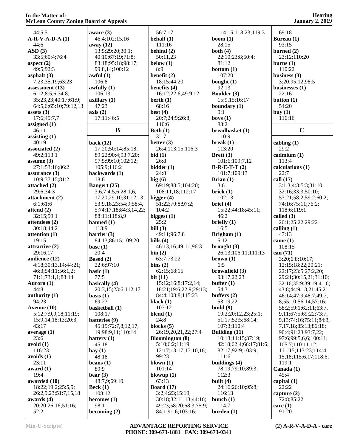| wichcan County Zoning Doard of Appeais |                        |                        |                        | $5411441$ y $2912$            |
|----------------------------------------|------------------------|------------------------|------------------------|-------------------------------|
| 44:5,5                                 | aware $(3)$            | 56:7,17                | 114:15;118:23;119:3    | 69:18                         |
| $A-R-V-A-D-A(1)$                       | 46:4;102:15,16         | behalf $(1)$           | boom $(1)$             | Bureau (1)                    |
| 44:6                                   | away $(12)$            | 111:16                 | 28:15                  | 93:15                         |
| ASD(3)                                 | 13:5;29:20;30:1;       | behind $(2)$           | both $(4)$             | burned $(2)$                  |
| 33:5;60:4;76:4                         | 40:10;67:19;71:8;      | 50:11,23               | 22:10;23:8;50:4;       | 23:12;110:20                  |
| aspect $(2)$                           | 83:18;95:18;98:17;     | below $(1)$            | 81:12                  | burns $(1)$                   |
| 49:5;92:3                              | 99:8,14;100:12         | 8:9                    | bottom $(1)$           | 110:22                        |
| asphalt $(3)$                          | awful $(1)$            | benefit $(2)$          | 107:20                 | business $(3)$                |
| 7:23;35:19;63:23                       | 106:8                  | 18:15;44:20            | bought $(1)$           | 3:20;95:12;98:5               |
| assessment $(13)$                      | awfully $(1)$          | benefits (4)           | 92:13                  | businesses $(1)$              |
| 6:12;8:5,6;34:8;                       | 106:13                 | 16:12;22:6;49:9,12     | Boulder (3)            | 22:16                         |
| 35:23,23;40:17;61:9;                   | axillary $(1)$         | berth $(1)$            | 15:9,15;16:17          | button $(1)$                  |
| 64:5,6;65:10;79:12,13                  | 47:23                  | 68:16                  | boundary (1)           | 54:20                         |
| assets $(3)$                           | axis(2)                | best $(4)$             | 9:1                    | buy $(1)$                     |
| 17:6;45:7,7                            | 17:11;46:5             | 20:7;24:9;26:8;        | boys $(1)$             | 116:16                        |
| assigned $(1)$                         |                        | 110:6                  | 83:2                   |                               |
| 46:11                                  | B                      | Beth $(1)$             | breadbasket (1)        | $\mathbf C$                   |
| assisting $(1)$                        |                        | 3:17                   | 110:9                  |                               |
| 40:19                                  | back $(12)$            | better $(3)$           | break $(1)$            | cabling $(1)$                 |
| associated (2)                         | 17:20;50:14;85:18;     | 26:4;113:15;116:3      | 113:20                 | 29:2                          |
| 49:2;113:1                             | 89:22;90:4;93:7,20;    | bid(1)                 | Brett $(3)$            | cadmium(1)                    |
| assume $(3)$                           | 97:5;99:10;102:12;     | 26:8                   | 101:6;109:7,12         | 113:4                         |
| 27:1;53:16;86:2                        | 105:9;116:2            | bidden(1)              | $B-R-E-T-T(2)$         | calculations (1)              |
| assurance $(3)$                        | backwards (1)          | 24:8                   | 101:7;109:13           | 22:7                          |
| 10:9;37:15;81:2                        | 18:8                   | big(6)                 | Brian $(1)$            | call (17)                     |
| attached $(2)$                         | <b>Bangert</b> (25)    | 69:19;88:5;104:20;     | 3:6                    | 3:1,3;4:3;5:3;31:10;          |
| 29:6;34:3                              | 3:6,7;4:5,6;28:1,6     | 108:11,18;112:17       | brick(1)               | 32:16;33:3;50:10;             |
| attachment (2)                         | 17,20;29:10;31:12,13;  | bigger $(4)$           | 102:13                 | 53:21;58:2;59:2;60:2;         |
| 6:1;61:6                               | 53:9,18,23;54:9;58:4,  | 51:22;70:8;97:2;       | brief (4)              | 74:16;75:11;76:2;             |
| attend $(2)$                           | 5;74:17,18;84:3,14,22; | 104:2                  | 15:22;44:18;45:11;     | 118:6;119:1                   |
| 32:15;59:1                             | 88:11;118:8,9          | biggest $(1)$          | 46:2                   | called $(3)$                  |
| attendees (2)                          | banned $(1)$           | 25:2                   | briefly $(1)$          | 20:1;25:22;29:22              |
| 30:18;44:21                            | 113:9                  | bill $(3)$             | 16:5                   | calling $(1)$                 |
| attention $(1)$                        | barrier $(3)$          | 49:11;96:7,8           | Brigham $(1)$          | 47:13                         |
| 19:15                                  | 84:13;86:15;109:20     | bills $(4)$            | 5:12                   | came $(1)$                    |
| attractive (2)                         | base $(1)$             | 46:13,16;49:11;96:3    | brought $(3)$          | 108:15                        |
| 29:16,17                               | 20:4                   | bin(2)                 | 26:13;106:11;111:13    | can $(71)$                    |
| audience (12)                          | <b>Based</b> $(2)$     | 63:7;73:22             | brown (1)              | 3:20;6:8;10:17;               |
| 4:18;30:13,14;44:21;                   | 22:6;97:10             | bins(2)                | 6:5                    | 12:15;18:22;20:21;            |
| 46:3;54:11;56:1,2;                     | basic $(1)$            | 62:15;68:15            | brownfield (3)         | 22:17;23:5;27:2,20;           |
| 71:1;73:1,1;88:14                      | 77:5                   | bit $(11)$             | 93:17,22,23            | 29:21;30:15,21;31:10;         |
| Aurora (1)                             | basically (4)          | 15:12;16:8;17:2,14;    | buffer $(1)$           | 32:16;35:9;39:19;41:6;        |
| 44:8                                   | 20:3,15:23:6;112:17    | 18:21;19:6;22:9;29:13; | 54:3                   | 43:8;44:9,13,21;45:21;        |
| authority $(1)$                        | basis $(1)$            | 84:4;108:8;115:23      | buffers $(2)$          | 46:14;47:9;48:7;49:7,         |
| 94:23                                  | 69:23                  | black $(1)$            | 53:19,22               | 8;55:10;56:14;57:16;          |
| Avenue (10)                            | basketball (1)         | 107:12                 | build $(9)$            | 58:2;59:1;62:11;63:7,         |
| 5:12;7:9,9,18;11:19;                   | 108:17                 | blend $(1)$            | 19:2;20:12,23;25:1;    | 9,11;67:5;69:22;73:7,         |
| 15:9,14;18:13;20:3;                    | batteries (9)          | 24:8                   | 51:17;52:5;68:14;      | 9, 13; 74: 16; 75: 11; 84: 3, |
| 43:17                                  | 45:19;72:7,8,12,17,    | blocks $(5)$           | 107:3;110:4            | 7,17,18;85:13;86:18;          |
| average $(1)$                          | 19;98:9,11;110:14      | 26:19,20,21,22;27:4    | Building (11)          | 90:4;91:23;93:7,22;           |
| 23:6                                   | battery $(1)$          | <b>Bloomington</b> (8) | 10:13;14:15;37:19;     | 97:6;99:5,6,6;100:11;         |
| avoid(1)                               | 45:18                  | 5:10;6:2;11:19;        | 42:18;62:4;66:17;81:6; | 105:7;110:11,12;              |
| 116:23                                 | bay(1)                 | 12:17;13:17;17:10,18;  | 82:17;92:9;103:9;      | 111:15;113:23;114:4,          |
| avoids(1)                              | 48:18                  | 99:23                  | 111:6                  | 15, 18; 115: 6, 17; 118: 6;   |
| 23:11                                  | beans $(1)$            | blown $(1)$            | buildings (4)          | 119:1                         |
| award $(1)$                            | 89:9                   | 101:14                 | 78:19;79:10;89:3;      | Canada (1)                    |
| 19:4                                   | bear $(3)$             | blowup $(1)$           | 112:3                  | 45:4                          |
| awarded (10)                           | 48:7,9;69:10           | 63:13                  | built $(4)$            | capital $(1)$                 |
| 18:22;19:2;25:5,9;                     | Beck(1)                | <b>Board</b> (17)      | 24:16;26:10;95:8;      | 22:22                         |
| 26:2,9,23;51:7,15,18                   | 108:12                 | 3:2;4:23;15:19;        | 116:13                 | capture $(2)$                 |
| awards $(4)$                           | becomes $(1)$          | 30:18;32:11,13;44:16;  | bunch $(1)$            | 72:8;85:22                    |
| 20:20;26:16;51:16;                     | 98:1                   | 49:23;58:20;68:3;75:9; | 114:7                  | care $(1)$                    |
| 52:2                                   | becoming $(2)$         | 84:1;91:6;103:16;      | burden(1)              | 91:20                         |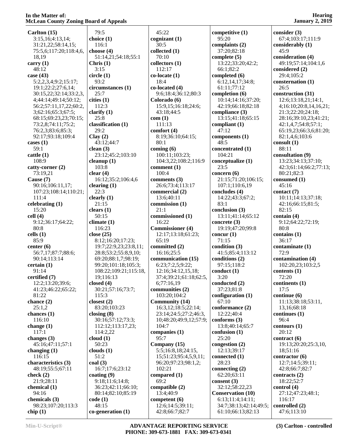| MCLean County Loning Board of Appeals |                       |                         |                          | January 2, 2019        |
|---------------------------------------|-----------------------|-------------------------|--------------------------|------------------------|
| Carlton (15)                          | 79:5                  | 45:22                   | competitive (1)          | consider $(3)$         |
| 3:15,16;4:13,14;                      | choice (1)            | cognizant(1)            | 95:20                    | 67:4;103:17;111:9      |
| 31:21,22;58:14,15;                    | 116:1                 | 30:5                    | complaints (2)           | considerably (1)       |
| 75:5,6;117:20;118:4,6,                | choose $(4)$          | collected(1)            | 37:20;82:18              | 45:9                   |
| 18,19                                 | 51:14,21;54:18;55:1   | 70:10                   | complete $(5)$           | consideration (4)      |
| carry $(1)$                           | Christ (1)            | collectors (1)          | 13:22;33:20;42:2;        | 49:19;57:14;104:1,6    |
| 48:12                                 | 3:15                  | 112:17                  | 66:1;82:2                | considered (2)         |
| case $(43)$                           | circle(1)             | $co-locate(1)$          | completed (6)            | 29:4;105:2             |
| 5:2,2,3,4;9:2;15:17;                  | 93:2                  | 18:4                    | 6:12,14,17;34:8;         | consternation (1)      |
| 19:1;22:2;27:6,14;                    | circumstances (1)     | $co-located(4)$         | 61:11;77:12              | 26:5                   |
| 30:15,22;32:14;33:2,3,                | 25:7                  | 9:6;18:4;36:12;80:3     | completion (6)           | construction (31)      |
| 4;44:14;49:14;50:12;                  | cities (1)            | Colorado (6)            | 10:14;14:16;37:20;       | 12:6;13:18,21;14:1,    |
| 56:2;57:11,17,22;60:2,                | 112:3                 | 15:9,15;16:18;24:6;     | 42:19;66:18;82:18        | 4;16:10;20:8,14,16,21; |
| 3;62:16;65:3;67:5;                    | clarify $(1)$         | 43:18;44:5              | compliance (3)           | 21:3;22:20;24:18;      |
| 68:15;69:23,23;70:15;                 | 25:8                  | com(1)                  | 13:15;41:18;65:15        | 28:16;39:10,23;41:21;  |
| 73:2,8;74:11;75:2;                    | classification (1)    | 111:13                  | compliant (1)            | 42:1,4,7;54:8;57:1;    |
| 76:2,3;83:6;85:3;                     | 29:2                  | comfort (4)             | 47:12                    | 65:19,23;66:3,6;81:20; |
| 92:17;93:18;109:4                     | Clay(2)               | 8:19;36:10;64:15;       | components (1)           | 82:1,4,6;103:6         |
| cases $(1)$                           | 43:12;44:7            | 80:1                    | 48:5                     | consult (1)            |
| 59:1                                  | clean $(3)$           | coming $(6)$            | concentrated (1)         | 88:11                  |
| cattle(1)                             | 23:12;45:2;103:10     | 100:11;103:23;          | 104:21                   | consultation (9)       |
| 108:9                                 | cleanup $(1)$         | 104:3,22;108:2;116:9    | conceptualize (1)        | 13:23;34:13;37:10;     |
| catty-corner (2)                      | 103:8                 | comment (1)             | $23:\bar{5}$             | 42:3;61:14;66:2;77:13; |
| 73:19,21                              | clear(4)              | 100:4                   | concern $(6)$            | 80:21;82:3             |
| Cause (7)                             | 16:12;35:2;106:4,6    | comments $(3)$          | 21:15;71:20;106:15;      | consumed (1)           |
| 90:16;106:11,17;                      | clearing $(1)$        | 26:6;73:4;113:17        | 107:1;110:6,19           | 45:16                  |
| 107:23;108:14;110:21;                 | 22:3                  | commercial (2)          | concludes (4)            | contact (7)            |
| 111:4                                 | clearly $(1)$         | 13:6;40:11              | 14:22;43:3;67:2;         | 10:11;14:13;37:18;     |
| celebrating (1)                       | 21:15                 | commission (1)          | 83:1                     | 42:16;66:15;81:5;      |
| 15:20                                 | clears $(1)$          | 21:1                    | conclusion (3)           | 82:15                  |
| cell(4)                               | 50:15                 | commissioned (1)        | 13:11;41:14;65:12        | contain $(4)$          |
| 9:12;36:17;64:22;                     | climate(1)            | 16:22                   | concrete $(3)$           | 9:12;64:22;72:19;      |
| 80:8                                  | 116:23                | <b>Commissioner</b> (4) | 19:19;47:20;99:8         | 80:8                   |
| cells $(1)$                           | close $(25)$          | 12:17;13:18;61:23;      | concur $(1)$             | contains (1)           |
| 85:9                                  | 8:12;16:20;17:23;     | 65:19                   | 71:15                    | 36:17                  |
| center $(6)$                          | 19:7;22:9,23;23:8,11; | committed (2)           | condition $(3)$          | contaminate (1)        |
| 56:7,17;87:7;88:6;                    | 28:8;53:2;55:8,9,10;  | 16:16:25:5              | 41:5;85:4;113:12         | 72:9                   |
| 90:14;113:14                          | 69:20;88:1,7;98:19;   | communication (15)      | conditions (2)           | contamination (4)      |
| certain(1)                            | 99:20;101:18;105:3;   | 6:23;7:2,5;9:22;        | 97:15;118:2              | 102:20,23;103:2,5      |
| 91:14                                 | 108:22;109:21;115:18, | 12:16;34:12,15,18;      | conduct $(1)$            | contents $(1)$         |
| certified (7)                         | 19;116:13             | 37:4;39:21;61:18;62:5,  | 3:20                     | 72:20                  |
| 12:2;13:20;39:6;                      | closed $(4)$          | 6;77:16,19              | conducted (2)            | continents (1)         |
| 41:23;46:22;65:22;                    | 30:21;57:16;73:7;     | communities (2)         | 37:23;81:8               | 17:5                   |
| 81:22                                 | 115:3                 | 103:20;104:2            | configuration $(1)$      | continue (6)           |
| chance $(2)$                          | closest $(2)$         | <b>Community (14)</b>   | 67:10                    | 11:13;38:18;53:11,     |
| 25:1,2                                | 83:20;103:23          | 16:3,12;18:5;22:14;     | conformance (2)          | 13, 16: 68: 18         |
| chances (1)                           | closing $(8)$         | 23:14;24:5;27:2;46:3,   | 12:22:40:4               | continues (1)          |
| 116:10                                | 30:16;57:12;73:3;     | 10;48:20;49:9,12;57:9;  | conforms $(3)$           | 96:4                   |
| change $(1)$                          | 112:12;113:17,23;     | 104:7                   | 13:8;40:14;65:7          | contours(1)            |
| 117:1                                 | 114:2,22              | companies $(1)$         | confusion (1)            | 20:12                  |
| changes $(3)$                         | cloud(1)              | 95:7                    | 25:20                    | contract(6)            |
| 45:16;47:11;57:1                      | 50:23                 | Company (15)            | congestion $(2)$         | 19:13;20:20;25:3,10,   |
| changing $(1)$                        | clouds $(1)$          | 5:5;16:8,18;24:15,      | 12:13;39:17              | 18;51:16               |
| 116:15                                | 51:2                  | 15;51:23;95:4,5,9,11;   | connected (1)            | contractor (6)         |
| characteristics (3)                   | coal(3)               | 96:20;97:23;98:1,2;     | 28:23                    | 12:7;14:5;39:11;       |
| 48:19;55:5;67:11                      | 16:7;17:6;23:12       | 102:21                  | connecting $(2)$         | 42:8;66:7;82:7         |
| check $(2)$                           | coating $(9)$         | compared (1)            | 62:20;63:11              | contracts (2)          |
| 21:9;28:11                            | 9:18;11:6;14:8;       | 69:2                    | consent $(3)$            | 18:22;52:7             |
| chemical (1)                          | 36:23;42:11;66:10;    | compatible $(2)$        | 32:12;58:22,23           | control (4)            |
| 94:16                                 | 80:14;82:10;85:19     | 13:4;40:9               | <b>Conservation (10)</b> | 27:12;47:23;48:1;      |
| chemicals (3)                         | code(1)               | competent $(6)$         | 6:13;11:4;14:11;         | 116:17                 |
| 98:23;107:20;113:3                    | 48:15                 | 12:6;14:5;39:11;        | 34:7;38:13;42:14;49:5;   | controlled (2)         |
| chip(1)                               | $co-generation (1)$   | 42:8;66:7;82:7          | 61:10;66:13;82:13        | 47:6;113:10            |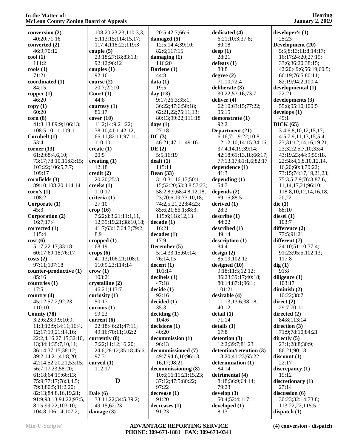| conversion (2)         | 108:20,23,23;110:3,3,  | 20:5;42:7;66:6         | dedicated (4)           | developer's $(1)$          |
|------------------------|------------------------|------------------------|-------------------------|----------------------------|
| 40:20;71:16            | 5;113:15;114:15,17;    | damaged $(5)$          | 6:21;10:3;37:8;         | 25:23                      |
| converted $(2)$        | 117:4;118:22;119:3     | 12:5;14:4;39:10;       | 80:18                   | Development (20)           |
| 46:9;70:12             | couple $(5)$           | 82:6;117:15            | deep $(1)$              | 5:5;8:13;11:8;14:17;       |
| $\text{cool}(1)$       | 23:18;27:18;83:13;     | damaging $(1)$         | 28:21                   | 16:17;24:20;27:19;         |
| 111:2                  | 92:12;96:12            | 116:20                 | defeats $(1)$           | 33:6;36:20;38:15;          |
| $\cosh(1)$             | couples $(1)$          | Darlene (1)            | 88:8                    | 42:20;49:6;56:19;60:5;     |
| 71:21                  | 92:16                  | 44:8                   | degree (2)              | 66:19;76:5;80:11;          |
| coordinated (1)        | course $(2)$           | data(1)                | 71:10;72:4              | 82:19;94:2;100:4           |
| 84:15                  | 20:7;22:10             | 19:5                   | deliberate (3)          | developmental (1)          |
| copper $(1)$           | Court $(1)$            | day $(13)$             | 30:22;57:16;73:7        | 22:21                      |
| 46:20                  | 44:8                   | 9:17;26:3;35:1;        | deliver $(4)$           | developments (3)           |
| copy(1)                | courtesy $(1)$         | 36:22;47:6;50:18;      | 62:10;63:15;77:22;      | 55:8;95:10;100:5           |
| 60:20                  | 86:17                  | 62:21,22;75:11,13;     | 95:15                   | develops(1)                |
| corr(8)                | cover(10)              | 80:13;99:22;111:18     | demonstrate (1)         | 45:1                       |
| 41:8,13;89:9;106:13;   | 11:2;14:9;21:22;       | days $(1)$             | 92:2                    | DICK(65)                   |
| 108:5, 10, 11; 109: 1  | 38:10;41:1;42:12;      | 27:18                  | Department (21)         | 3:4,6,8,10,12,15,17;       |
| Cornbelt (1)           | 66:11;82:11;97:11;     | DC(3)                  | 6:16;7:1;9:22;10:8,     | 4:5,7,9,11,13,15;5:4,      |
| 53:4                   | 110:10                 | 46:21;47:11;49:16      | 12;12:10;14:15;34:16;   | 23;31:12,14,16,19,21,      |
| corner $(13)$          | create $(1)$           | DE(2)                  | 37:4,14,19;39:14;       | 23;32:2,5,7,10;33:4;       |
| 61:2;68:4,6,10;        | 20:5                   | 5:5;16:19              | 42:18;61:13,18;66:17;   | 43:19,23;44:9;55:18,       |
| 73:17:78:10,11:83:15;  | creating $(1)$         | dealt(1)               | 77:13,17;81:1,6;82:17   | 22;58:4,6,8,10,12,14,      |
| 103:22;106:5,7,7;      | 12:18                  | 115:11                 | dependence (1)          | 16,20;60:3;70:22;          |
| 109:17                 | $\text{credit}(2)$     | Dean $(33)$            | 41:3                    | 73:15;74:17,19,21,23;      |
| cornfields (3)         | 20:20;25:3             | 3:10;31:16,17;50:1,    | depending $(1)$         | 75:3,5,7,9;76:3;87:6,      |
| 89:10;108:20;114:14    | creeks $(1)$           | 15;52:20;53:3,8;57:23; | 54:7                    | 11, 14, 17, 21; 96: 10;    |
|                        | 110:17                 | 58:2,8,9;68:4,8,12,18, |                         |                            |
| corn's $(1)$           |                        |                        | depends $(2)$           | 118:8, 10, 12, 14, 16, 18, |
| 108:2                  | criteria (1)           | 23;70:6,19;73:10,18;   | 69:15;88:5              | 20,22                      |
| Corporate (1)          | 27:10                  | 74:2,5,21,22;84:23;    | derived $(1)$           | die(1)                     |
| 45:3                   | $\text{crop}(16)$      | 85:6,21;86:1;88:3;     | 28:3                    | 88:10                      |
| Corporation (2)        | 7:22;8:3,21;11:1,11,   | 115:6;118:12,13        | describe (1)            | diesel $(1)$               |
| 16:7;17:4              | 12;35:19,21;38:10,18;  | decade(1)              | 44:22                   | 103:7                      |
| corrected (1)          | 41:7;63:17;64:3;79:2,  | 16:21                  | described (1)           | difference (2)             |
| 115:4                  | 8,9                    | decades(1)             | 49:14                   | 77:5;91:21                 |
| cost(6)                | cropped $(1)$          | 17:9                   | description (1)         | different (7)              |
| 5:17;22:17;33:18;      | 68:19                  | December (5)           | 84:4                    | 24:10;51:10;77:4;          |
| 60:17;69:18;76:17      | crops $(6)$            | 5:14;33:15;60:14;      | design $(2)$            | 91:23;95:5;102:13;         |
| costs(2)               | 41:13;106:21;108:1;    | 76:14,15               | 85:19;102:12            | 117:8                      |
| 97:11;107:18           | 110:9,23;114:14        | decent(1)              | designed (10)           | dig(1)                     |
| counter-productive (1) | $\text{crow}(1)$       | 101:14                 | 9:18;11:5;12:12;        | 91:8                       |
| 85:16                  | 103:21                 | decibels(1)            | 36:23;39:17;40:18;      | diligence $(1)$            |
| countries (1)          | crystalline (2)        | 47:18                  | 80:14;87:1;96:1;        | 103:17                     |
| 17:5                   | 46:21;113:7            | decide(1)              | 101:21                  | diminish $(2)$             |
| country $(4)$          | curiosity $(1)$        | 92:16                  | desirable (4)           | 10:22;38:7                 |
| 45:12;57:2;92:23;      | 50:17                  | decided(1)             | 11:13;13:6;38:18;       | direct $(2)$               |
| 110:10                 | curious $(1)$          | 35:3                   | 40:12                   | 29:7;70:11                 |
| County (78)            | 99:23                  | deciding (1)           | detail (1)              | directed $(2)$             |
| 3:2;6:23;9:9;10:9;     | current $(6)$          | 104:6                  | 71:14                   | 84:8;113:14                |
| 11:3;12:9;14:11;16:4,  | 22:18;46:21;47:11;     | decisions(1)           | details(1)              | direction $(3)$            |
| 12;17:19;21:14,16;     | 49:16;70:11;102:2      | 40:20                  | 67:8                    | 71:9;78:10;84:21           |
| 22:2,4,16;27:15;32:10, | currently (8)          | decommission (1)       | detention (3)           | directly $(5)$             |
| 13;34:4;35:7,10,11;    | 7:22;11:12;16:20;      | 96:13                  | 12:2;39:7;81:23         | 23:1;28:8;30:9;            |
| 36:14;37:15;38:12;     | 24:6;28:12;35:18;45:6; | decommissioned (7)     | detention/retention (3) | 86:21;90:18                |
| 39:2,14,21;41:8,20;    | 97:3                   | 49:7;94:6,10;96:13,    | 13:20;41:23;65:22       | discount(1)                |
| 42:14;52:20,21;53:15;  | curved $(1)$           | 16, 17; 98: 21         | determination (1)       | 22:17                      |
| 56:7,17,23;58:20;      | 112:17                 | decommissioning (8)    | 84:14                   | discrepancy $(1)$          |
| 61:18;64:19;66:13;     |                        | 10:6;16:11;21:15,23;   | detrimental (4)         | 19:12                      |
| 75:9;77:17;78:3,4,5;   | D                      | 37:12;47:5;80:22;      | 8:18;36:9;64:14;        | discretionary $(1)$        |
| 79:3;80:5;81:2,20;     |                        | 97:22                  | 79:23                   | 27:14                      |
| 82:13;84:8,16,19,21;   | Dale $(6)$             | decrease(1)            | develop $(3)$           | discussion (6)             |
| 91:9;93:13;94:22;97:5, | 33:11,22;34:5;39:2;    | 91:20                  | 50:4;52:4;117:1         | 30:23;32:14;73:8;          |
| 8,15;99:22;103:10;     | 49:15:62:23            | decreases(1)           | developed $(1)$         | 113:22,22;115:5            |
|                        |                        | 91:23                  | 8:13                    |                            |
| 104:8;106:14;107:2;    | damage $(3)$           |                        |                         | dispatch $(1)$             |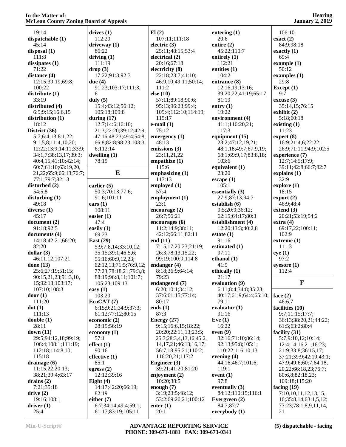| 19:14                         | drives(1)                                  | El(2)                                     | entering $(1)$             | 106:10                      |
|-------------------------------|--------------------------------------------|-------------------------------------------|----------------------------|-----------------------------|
| dispatchable (1)              | 112:20                                     | 107:11;111:18                             | 20:6                       | exact(2)                    |
| 45:14                         | driveway $(1)$                             | electric $(3)$                            | entire $(2)$               | 84:9:98:18                  |
| disposal $(1)$                | 86:22                                      | 25:11;48:15;53:4                          | 45:22;110:7                | exactly $(1)$               |
| 111:8                         | driving $(1)$                              | electrical (2)                            | entirely $(1)$             | 69:4                        |
| dissipates(1)                 | 111:19                                     | 20:16:67:18                               | 112:21                     | example $(1)$               |
| 71:22                         | drop(3)                                    | electricity (8)                           | entities (1)               | 50:12                       |
| distance (4)                  | 17:22;91:3;92:3                            | 22:18;23:7;41:10;                         | 104:2                      | examples $(1)$              |
| 12:15;39:19;69:8;             | due $(4)$                                  | 46:9,10;49:11;50:14;                      | entrance (8)               | 29:8                        |
| 100:22                        | 91:23;103:17;111:3,                        | 111:2                                     | 12:16,19;13:16;            | Except $(1)$                |
| distribute (1)                | 6                                          | else $(10)$                               | 39:20,22;41:19;65:17;      | 9:7                         |
| 33:19                         | duly $(5)$                                 | 57:11;89:18;90:6;                         | 81:19                      | excuse(3)                   |
| distributed (4)               |                                            |                                           |                            |                             |
|                               | 15:4;43:12;56:12;                          | 95:13;96:23;99:4;                         | entry $(1)$<br>19:22       | 35:14,15;76:15              |
| 6:9;9:15;16:6,15              | 105:18;109:8                               | 109:4;112:10;114:19;<br>115:17            |                            | exhibit $(2)$               |
| distribution (1)              | during $(17)$                              |                                           | environment (4)            | 5:18;60:18                  |
| 18:12                         | 12:7;14:6;16:10;                           | $e$ -mail $(1)$                           | 41:1;116:20,21;            | existing $(1)$              |
| District (36)                 | 21:3;22:20;39:12;42:9;                     | 75:12                                     | 117:3                      | 11:23                       |
| 5:7;6:4,13;8:1,22;            | 47:16;48:23;49:4;54:8;                     | emergency $(1)$                           | equipment (15)             | expect (8)                  |
| 9:1,5,8;11:4,10,20;           | 66:8;82:8;98:23;103:3,                     | 48:13                                     | 23:2;47:12,19,21;          | 16:9;21:4,6;22:22;          |
| 12:22;13:9;14:11;33:9;        | 6;112:14                                   | emissions (3)                             | 48:1,18;49:7;67:9,19;      | 26:9;71:11;94:9;102:5       |
| 34:1,7;38:13,17;39:3;         | dwelling $(1)$                             | 23:11,21,22                               | 68:1;69:9,17;83:8,18;      | experience (7)              |
| 40:4,15;41:10;42:14;          | 78:19                                      | empathize $(1)$                           | 103:6                      | 12:7;14:5;17:9;             |
| 60:7;61:10;63:19,20,          |                                            | 115:6                                     | equivalent (1)             | 39:11;42:8;66:7;82:7        |
| 21, 22; 65: 9; 66: 13; 76: 7; | E                                          | emphasizing (1)                           | 23:20                      | explains $(1)$              |
| 77:1;79:7;82:13               |                                            | 117:13                                    | escape(1)                  | 32:9                        |
| disturbed (2)                 | earlier $(5)$                              | employed (1)                              | 105:1                      | explore(1)                  |
| 54:5,8                        | 50:3;70:13;77:6;                           | 57:4                                      | essentially (3)            | 18:15                       |
| disturbing $(1)$              | 91:6;101:11                                | employment (1)                            | 27:9;87:13;94:7            | $\text{export}(2)$          |
| 49:18                         | ears $(1)$                                 | 23:1                                      | establish (6)              | 46:9;48:4                   |
| diverse $(1)$                 | 108:11                                     | encourage $(2)$                           | 9:5;20:9;36:12;            | extend $(3)$                |
| 45:17                         | easier $(1)$                               | 26:7;56:21                                | 62:15;64:17;80:3           | 20:21;53:19;54:2            |
| document(2)                   | 47:4                                       | encourages (6)                            | establishment (4)          | extra(4)                    |
|                               |                                            |                                           |                            |                             |
| 91:18;92:5                    |                                            | 11:2;14:9;38:11;                          | 12:20;13:3;40:2,8          | 69:17,22;100:11;            |
| documents (4)                 | easily $(1)$<br>69:23                      |                                           | estate(1)                  | 102:9                       |
|                               |                                            | 42:12;66:11;82:11                         | 91:16                      |                             |
| 14:18;42:21;66:20;            | East $(29)$                                | end $(11)$                                |                            | extreme $(1)$               |
| 82:20<br>dollar $(3)$         | 5:9;7:8,14;33:10,12;<br>35:15;39:1;46:5,6; | 7:15,17;20:23;21:19;<br>26:3;78:13,15,22; | estimated (1)<br>97:11     | 111:3                       |
|                               |                                            |                                           |                            | eye(1)                      |
| 46:11,12;107:21               | 55:16;60:9,12,23;                          | 99:19;100:9;114:8                         | ethanol $(1)$<br>41:9      | 97:2                        |
| done (13)                     | 62:12,13;71:5;76:9,12;                     | endanger $(4)$                            |                            | eyesore $(1)$               |
| 25:6;27:19;51:15;             | 77:23;78:18,21;79:3,8;                     | 8:18;36:9;64:14;                          | ethically (1)              | 112:4                       |
| 90:15,21,23;91:3,10,          | 88:19;96:8,11;101:7;                       | 79:23                                     | 21:17                      |                             |
| 15;92:13;103:17;              | 105:23;109:13                              | endangered (7)                            | evaluation (9)             | $\mathbf F$                 |
| 107:10;108:3                  | easy $(1)$                                 | 6:20;10:1;34:12;                          | 6:11;8:4;34:8;35:23;       |                             |
| door(1)                       | 103:20                                     | 37:6;61:15;77:14;                         | 40:17;61:9;64:4;65:10;     | face $(2)$                  |
| 111:20                        | EcoCAT(7)                                  | 80:17                                     | 79:11                      | 46:6,7                      |
| dot(1)                        | 6:15;9:21;34:9;37:3;                       | ends $(1)$                                | evaluator $(1)$            | facilities (10)             |
| 111:13                        | 61:12;77:12;80:15                          | 87:3                                      | 91:16                      | 9:7;11:15;17:7;             |
| double(1)                     | economic $(2)$                             | Energy $(27)$                             | Eve $(1)$                  | 36:13:38:20,21:44:22;       |
| 28:11                         | 28:15;56:19                                | 9:15;16:6,15;18:22;                       | 16:22                      | 61:5;63:2;80:4              |
| down $(11)$                   | economy $(1)$                              | 20:20:22:11,13:23:5;                      | even(9)                    | facility $(31)$             |
| 29:5;94:12,18;99:19;          | 57:1                                       | 25:3;28:3,4,13,16;45:2,                   | 32:16;71:10;86:14;         | 5:7;9:10,12;10:14;          |
| 106:4;108:1;111:19;           | effect $(1)$                               | 14, 17, 21; 46: 13, 16, 17;               | 92:13;95:8;105:1;          | 12:4;14:16,21;16:23;        |
| 112:18;114:8,10;              | 90:16                                      | 56:7,18;95:21;110:2;                      | 110:22;116:10,13           | 21:9;33:8;36:15,17;         |
| 115:18                        | effective $(1)$                            | 116:20,21;117:2                           | evening $(4)$              | 37:21;39:9;42:19;43:1;      |
| drainage (6)                  | 85:1                                       | Engineer (3)                              | 44:16;46:7;101:6;          | 47:9;49:6;60:7;64:18,       |
| 11:15,22;20:13;               | egress $(2)$                               | 39:21;41:20;81:20                         | 119:1                      | 20,22;66:18,23;76:7;        |
| 38:21;39:4;63:17              | 12:12;39:16                                | enjoyment $(2)$                           | event $(1)$                | 80:6,8;82:18,23;            |
| drains $(2)$                  | Eight $(4)$                                | 10:20;38:5                                | 97:8                       | 109:18;115:20               |
| 7:21;35:18                    | 14:17;42:20;66:19;                         | enough $(7)$                              | eventually $(3)$           | facing $(19)$               |
| drive(2)                      | 82:19                                      | 3:19;23:5;48:12;                          | 84:12;110:15;116:1         | 7:10,10,11,12,13,15,        |
| 19:16;108:1                   | either $(7)$                               | 53:2;69:20,21;100:12                      | Evergreen $(2)$            | 16;35:8,14;63:1,5,12;       |
| driver(1)<br>25:4             | 6:7;34:14;49:4;59:1;<br>61:17;83:19;105:11 | enter $(1)$<br>20:1                       | 84:7;87:7<br>everybody (1) | 77:23;78:1,8,9,11,14,<br>21 |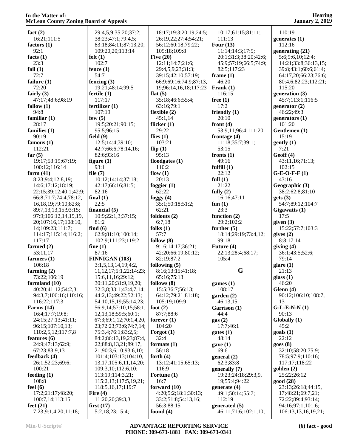| fact $(2)$                          | 29:4,5,9;35:20;37:2;            | 18:17;19:3;20:19;24:5;    | 10:17;61:15;81:11;                      | 110:19                                   |
|-------------------------------------|---------------------------------|---------------------------|-----------------------------------------|------------------------------------------|
| 16:21;111:5                         | 38:23;47:1;79:4,5;              |                           | 111:13                                  |                                          |
|                                     |                                 | 26:19,22;27:4;54:21;      |                                         | generates $(1)$                          |
| factors $(1)$                       | 83:18;84:11;87:13,20;           | 56:12;60:18;79:22;        | Four $(13)$                             | 112:16                                   |
|                                     |                                 |                           |                                         |                                          |
| 92:1                                | 109:20,20;113:14                | 105:18;109:8              | 11:14;14:3;17:5;                        | generating (21)                          |
| facts $(1)$                         | felt(1)                         | Five $(20)$               | 20:1;31:3;38:20;42:6;                   | 5:6;9:6,10;12:4;                         |
|                                     |                                 |                           |                                         |                                          |
| 23:3                                | 102:7                           | 12:11;14:7;21:6;          | 45:9;57:19;66:5;74:9;                   | 14:21;33:8;36:13,15;                     |
| fail $(1)$                          | fence $(1)$                     | 29:4,5,9,23;31:3;         | 82:5;117:23                             | 39:8;43:1;60:6;61:4;                     |
|                                     |                                 |                           |                                         |                                          |
| 72:7                                | 54:7                            | 39:15;42:10;57:19;        | frame(1)                                | 64:17,20;66:23;76:6;                     |
| failure $(1)$                       | fencing $(3)$                   | 66:9;69:16;74:9;87:13,    | 46:20                                   | 80:4,6;82:23;112:21;                     |
|                                     |                                 |                           |                                         |                                          |
| 72:20                               | 19:21;48:14;99:5                | 19;96:14,16,18;117:23     | Frank $(1)$                             | 115:20                                   |
|                                     |                                 |                           |                                         |                                          |
| fairly $(3)$                        | fertile $(1)$                   | flat $(5)$                | 116:15                                  | generation (3)                           |
| 47:17;48:6;98:19                    | 117:17                          | 35:18;46:6;55:4;          | free $(1)$                              | 45:7;113:1;116:5                         |
|                                     |                                 |                           |                                         |                                          |
| fallow $(1)$                        | fertilizer (1)                  | 63:16;79:1                | 17:2                                    | generator $(2)$                          |
| 94:8                                | 107:19                          | flexible $(2)$            | friendly $(1)$                          | 46:22;49:3                               |
|                                     |                                 |                           |                                         |                                          |
| familiar $(1)$                      | few $(5)$                       | 45:1,14                   | 20:10                                   | generators $(1)$                         |
| 28:17                               | 19:5;20:21;90:15;               | flicker $(1)$             | front $(4)$                             | 101:20                                   |
|                                     |                                 |                           |                                         |                                          |
| families $(1)$                      | 95:5;96:15                      | 29:22                     | 53:9,11;96:4;111:20                     | Gentlemen (1)                            |
| 90:19                               | field $(9)$                     | flies $(1)$               | frontage $(4)$                          | 15:19                                    |
|                                     |                                 |                           |                                         |                                          |
| famous $(1)$                        | 12:5;14:4;39:10;                | 103:21                    | 11:18:35:7:39:1:                        | gently(1)                                |
|                                     |                                 |                           |                                         |                                          |
| 112:21                              | 42:7;66:6;78:14,16;             | flip $(1)$                | 53:15                                   | 7:21                                     |
| far $(5)$                           | 82:6;93:16                      | 95:13                     | fronts $(1)$                            | Geoff(4)                                 |
|                                     |                                 |                           |                                         |                                          |
| 19:17;53:19;67:19;                  | figure $(1)$                    | floodgates $(1)$          | 49:16                                   | 43:11,16;71:13;                          |
| 100:12;116:14                       | 93:1                            | 110:2                     | fulfill $(1)$                           | 102:15                                   |
|                                     |                                 |                           |                                         |                                          |
| farm $(41)$                         | file $(7)$                      | flow $(1)$                | 22:12                                   | $G-E-O-F-F(1)$                           |
|                                     |                                 | 20:13                     | full $(1)$                              | 43:16                                    |
| 8:23;9:4;12:8,19;                   | 10:12;14:14;37:18;              |                           |                                         |                                          |
| 14:6;17:12;18:19;                   | 42:17;66:16;81:5;               | foggier $(1)$             | 21:22                                   | Geographic (3)                           |
|                                     |                                 |                           |                                         |                                          |
| 22:15:39:12:40:1:42:9:              | 82:16                           | 62:22                     | fully $(2)$                             | 38:2;62:8;81:10                          |
| 66:8;71:7;74:4;78:12,               | final $(1)$                     | foggy $(4)$               | 16:16;47:11                             | gets(3)                                  |
|                                     |                                 |                           |                                         |                                          |
| 16, 18, 19; 79: 10; 82: 8;          | 22:5                            | 35:1;50:18;51:2;          | fun $(1)$                               | 54:7;89:12;104:7                         |
| 89:7,13,13,15;93:15;                | financial $(5)$                 | 62:21                     | 23:3                                    | Gigawatts (1)                            |
|                                     |                                 |                           |                                         |                                          |
| 97:9;106:12,14,19,19,               | 10:9;22:1,3;37:15;              | foldouts (2)              | function $(2)$                          | 17:5                                     |
| 20;107:16,17;108:10,                | 81:2                            | 6:7,18                    | 29:2;102:2                              | given $(3)$                              |
|                                     |                                 |                           |                                         |                                          |
| 14;109:23;111:7;                    | find $(6)$                      | folks $(1)$               | further $(5)$                           | 15:22;57:7;103:3                         |
|                                     |                                 |                           |                                         |                                          |
| 114:17;115:14;116:2;                | 62:9;81:10;100:14;              | 57:7                      | 18:14;29:19;73:4,12;                    | gives $(2)$                              |
| 117:17                              | 102:9;111:23;119:2              | follow $(8)$              | 99:18                                   | 8:8;17:14                                |
|                                     |                                 |                           |                                         |                                          |
| farmed (2)                          | fine $(1)$                      | 9:16;14:17;36:21;         | Future (4)                              | giving $(4)$                             |
| 53:11,17                            | 87:16                           | 42:20;66:19;80:12;        | 22:13;28:4;68:17;                       | 36:1;43:5;52:6;                          |
|                                     |                                 |                           |                                         |                                          |
| farmers $(1)$                       | FINNIGAN (103)                  | 82:19;87:2                | 105:4                                   | 79:14                                    |
| 106:18                              |                                 | following $(5)$           |                                         |                                          |
|                                     | 3:1,5,13,14,19;4:2,             |                           |                                         | glare(1)                                 |
| farming $(2)$                       | 11, 12, 17; 5: 1, 22; 14: 23;   | 8:16;13:15;41:18;         | G                                       | 21:13                                    |
|                                     |                                 |                           |                                         |                                          |
| 73:22;106:19                        | 15:6,11,16;29:12;               | 65:16;75:13               |                                         | glass $(1)$                              |
| farmland (10)                       | 30:11,20;31:9,19,20;            | follows $(8)$             | games $(1)$                             | 46:20                                    |
|                                     |                                 |                           |                                         |                                          |
| 40:20;41:12;54:2,3;                 | 32:3,8;33:1;43:4,7,14;          | 15:5;36:7;56:13;          | 108:17                                  | Glenn (4)                                |
| 94:3,7;106:16;110:16;               | 44:2,13;49:22;52:13;            | 64:12;79:21;81:18;        | garden(2)                               | 90:12;106:10;108:7,                      |
|                                     |                                 |                           |                                         |                                          |
| 116:22;117:3                        | 54:10,15,19;55:14,23;           | 105:19:109:9              | 46:13,15                                | 13                                       |
| Farms $(14)$                        | 56:9,14;57:10,15;58:1,          | foot $(2)$                | Garrison (1)                            | $G-L-E-N-N(1)$                           |
|                                     |                                 |                           |                                         |                                          |
| 16:4;17:7;19:8;                     | 12,13,18;59:5;60:1;             | 87:7;88:6                 | 44:4                                    | 90:13                                    |
| 24:15;27:13;41:11;                  | 67:3;69:1,12;70:1,4,20,         | forever $(1)$             | gas(2)                                  | Globally (1)                             |
|                                     |                                 |                           |                                         |                                          |
| 96:15;107:10,13;                    |                                 |                           |                                         | 45:2                                     |
|                                     |                                 |                           |                                         |                                          |
|                                     | 23;72:23;73:6;74:7,14;          | 104:20                    | 17:7;46:1                               |                                          |
| 110:2,5,12;117:7,8                  | 75:3,4;76:1;83:2,5;             | Forgot $(1)$              | gates (1)                               | $\text{goals}$ (1)                       |
|                                     |                                 |                           |                                         |                                          |
| features $(6)$                      | 84:2;86:13,19,23;87:4,          | 32:4                      | 48:14                                   | 22:12                                    |
| 24:9;47:13;62:9;                    | 22;88:8,13,21;89:17,            | formats $(1)$             | gave $(1)$                              | goes(8)                                  |
|                                     |                                 |                           |                                         |                                          |
| 67:23;83:9,13                       | 21;90:3,6,10;93:6,10;           | 56:18                     | 69:6                                    | 32:10;58:20;75:9;                        |
| feedback(4)                         | 101:4;103:13;104:10,            | forth $(4)$               | general(2)                              | 78:5;97:9;110:16;                        |
|                                     |                                 |                           |                                         |                                          |
| 26:1;52:23;69:6;                    | 13, 17; 105: 6, 11, 14, 20;     | 13:12;41:15;65:13;        | 62:3;83:8                               | 117:17:118:22                            |
| 100:21                              | 109:3,10;112:6,10;              | 116:9                     |                                         | $\text{golden} (2)$                      |
|                                     |                                 |                           | generally (7)                           |                                          |
| feeding $(1)$                       | 113:19;114:3,21;                | Fortune (1)               | 19:23;24:18;29:3,9,                     | 25:22;26:12                              |
| 108:8                               |                                 | 16:7                      |                                         |                                          |
|                                     | 115:2,13;117:5,19,21;           |                           | 19;55:4;94:22                           | good (28)                                |
| feel $(6)$                          | 118:5,16,17;119:7               | forward $(10)$            | generate $(4)$                          | 23:13;26:18;44:15,                       |
|                                     |                                 |                           |                                         |                                          |
| 17:2;21:17;48:20;                   | Fire $(4)$                      | 4:20;5:2;18:1;30:13;      | 49:1;50:14;55:7;                        | 17;48:21;69:7,21;                        |
| 100:7,14;113:15                     | 11:20,20;39:3,3                 | 33:2;51:8;54:13,16;       | 112:19                                  | 72:22;89:4;93:14;                        |
|                                     |                                 |                           |                                         |                                          |
| feet $(21)$<br>7:23;9:1,4,20;11:18; | first $(17)$<br>5:2,18,23;15:4; | 56:3;88:15<br>found $(4)$ | generated $(5)$<br>46:11;71:6;102:1,10; | 94:16;97:1;101:6;<br>106:13,13,16,19,21; |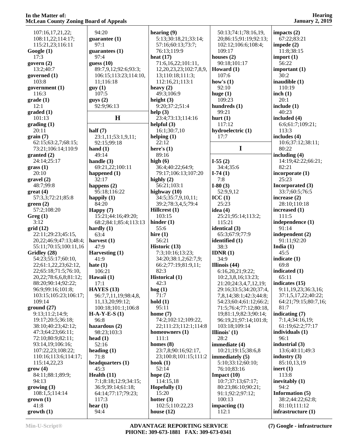| 107:16,17,21,22;              | 94:20                         | hearing $(9)$                       | 50:13;74:1;78:16,19,         | impacts $(2)$               |
|-------------------------------|-------------------------------|-------------------------------------|------------------------------|-----------------------------|
| 108:11,22;114:17;             | guarantee $(1)$               | 5:13;30:18,21;33:14;                | 20;86:15;91:19;92:13;        | 67:22;83:21                 |
| 115:21,23;116:11              | 97:1                          | 57:16;60:13;73:7;                   | 102:12;106:6;108:4;          | impede $(2)$                |
| Google(1)                     | guarantees $(1)$              | 76:13;119:9                         | 109:17                       | 11:8;38:15                  |
| 17:3                          | 97:4                          | heat $(17)$                         | houses $(2)$                 | import $(1)$                |
| govern $(2)$                  | guess $(10)$                  | 71:6,16,22;101:11,                  | 90:18;101:17                 | 56:22                       |
| 13:2;40:7                     | 89:7,9,12;92:6;93:3;          | 12, 20, 23, 23; 102: 7, 8, 9,       | Howard $(1)$                 | important $(1)$             |
| governed $(1)$                | 106:15;113:23;114:10,         | 13;110:18;111:3;                    | 107:6                        | 30:2                        |
| 103:8                         | 11;116:18                     | 112:16,21;113:1                     | how's $(1)$                  | inaudible (1)               |
| government (1)                | guy(1)                        | heavy $(2)$                         | 92:10                        | 110:19                      |
| 116:3                         | 107:5                         | 49:3;106:9                          | huge $(1)$                   | inch $(1)$                  |
| grade(1)                      | gays(2)                       | height $(3)$                        | 109:23                       | 20:1                        |
| 12:1                          | 92:9;96:13                    | 9:20;37:2;51:4                      | hundreds (1)                 | include $(1)$               |
| graded(1)                     |                               | help $(3)$                          | 99:21                        | 40:23                       |
| 101:13                        | H                             | 23:4;73:13;114:16                   | hurt $(1)$                   | included (4)                |
| grading(1)                    |                               | helpful $(3)$                       | 117:12                       | 6:6;61:7;109:21;            |
| 20:11                         | half $(7)$                    | 16:1;30:7,10                        | hydroelectric (1)            | 113:3                       |
| grain(7)                      | 23:1,11;53:1,9,11;            | helping $(1)$                       | 17:7                         | includes (4)                |
| 62:15;63:2,7;68:15;           | 92:15;99:18                   | 22:12                               |                              | 10:6;37:12;38:11;           |
| 73:21;106:14;110:9            | hand $(1)$                    | here's $(1)$                        | $\mathbf I$                  | 80:22                       |
| granted (2)                   | 49:14                         | 89:16                               |                              | including (4)               |
| 24:14;25:17                   | handle $(3)$                  | high $(6)$                          | $I-55(2)$                    | 14:19;42:22;66:21;<br>82:21 |
| grass(1)<br>20:10             | 69:21,22;100:11               | 36:4;40:22;64:9;                    | 34:4;35:6                    |                             |
| gravel(2)                     | happened $(1)$<br>32:17       | 79:17;106:13;107:20<br>highly $(2)$ | $I-74(1)$                    | incorporate (1)<br>25:23    |
| 48:7;99:8                     |                               | 56:21;103:1                         | 7:8<br>$I-80(3)$             | Incorporated (3)            |
| $gr(4)$                       | happens $(2)$<br>95:18;116:22 | highway $(10)$                      | 52:9,9,12                    | 33:7;60:5;76:5              |
| 57:3,3;72:21;85:8             | happily $(1)$                 | 34:5;35:7,9,10,11;                  | ICC(1)                       | increase $(2)$              |
| green(2)                      | 84:20                         | 39:2;78:3,4,5;79:4                  | 25:23                        | 28:10;110:18                |
| 57:2;108:20                   | Happy $(7)$                   | Hillcrest (1)                       | idea $(4)$                   | increased $(1)$             |
| Greg(1)                       | 15:21;44:16;49:20;            | 103:15                              | 25:21;95:14;113:2;           | 111:5                       |
| 3:12                          | 68:2;84:1;85:4;113:13         | hinder $(1)$                        | 115:21                       | independence (1)            |
| grid(12)                      | hardly $(1)$                  | 55:6                                | identical (3)                | 91:14                       |
| 22:11;29:23;45:15,            | 63:4                          | hire $(1)$                          | 65:3;67:9;77:9               | independent (2)             |
| 20, 22; 46: 9; 47: 13; 48: 4; | harvest $(1)$                 | 56:21                               | identified (1)               | 91:11;92:20                 |
| 55:11;70:15;100:11,16         | 47:9                          | Historic (13)                       | 38:3                         | India $(1)$                 |
| Gridley (28)                  | Harvesting (1)                | 7:3;10:16;13:23;                    | IDNR $(1)$                   | 45:5                        |
| 54:23;55:17;60:10,            | 41:9                          | 34:20;38:1,2;62:7,9;                | 34:9                         | indicate $(1)$              |
| 22;61:1,22,23;62:12,          | hate $(1)$                    | 66:2;77:19;81:9,11;                 | Illinois $(44)$              | 69:8                        |
| 22;65:18;71:5;76:10,          | 106:21                        | 82:3                                | 6:16,20,21;9:22;             | indicated (1)               |
| 20,22;78:6,6,8;81:12;         | Hawaii (1)                    | <b>Historical</b> (1)               | 10:2,3,8,16;13:23;           | 65:11                       |
| 88:20;90:14;92:22;            | 17:1                          | 42:3                                | 21:20;24:3,4,7,12,19;        | indicates (15)              |
| 96:9;99:16;101:8;             | HAYES $(13)$                  | $\log(1)$                           | 29:16;33:5;34:20;37:4,       | 9:11,19,23;36:3,16;         |
| 103:15;105:23;106:17;         | 96:7,7,11,19;98:4,8,          | 71:7                                | 7,8,14;38:1;42:3;44:8;       | 37:1,5,17,22;40:22;         |
| 109:14                        | 11, 13, 20; 99: 12;           | hold(1)                             | 54:23;60:4;61:12;66:2;       | 64:21;79:15;80:7,16;        |
| ground(27)                    | 100:18;101:1;106:8            | 95:11                               | 71:5;76:4;77:12;80:18,       | 81:7                        |
| 9:13;11:2;14:9;               | $H-A-Y-E-S(1)$                | home $(7)$                          | 19;81:1,9;82:3;90:14;        | indicating (7)              |
| 19:17;20:5;36:18;             | 96:8                          | 74:2;102:12;109:22,                 | 96:19,21;97:14;101:8;        | 7:1,4;34:16,19;             |
| 38:10;40:23;42:12;            | hazardous $(2)$               | 22;111:23;112:1;114:8               | 103:18;109:14                | 61:19;62:2;77:17            |
| 47:3;64:23;66:11;             | 98:23;103:3                   | homeowners $(1)$                    | Illinois' $(1)$              | individuals $(1)$           |
| 72:10;80:9;82:11;             | head $(1)$                    | 111:1                               | 28:2                         | 96:1                        |
| 93:14,19;106:16;              | 52:16                         | homes $(8)$                         | immediate (4)                | industrial (3)              |
| 107:22,23;108:22;             | heading $(1)$                 | 23:7,8;90:16;92:17,                 | 10:21;19:15;38:6,8           | 13:6;40:11;49:3             |
| 110:16;113:6;114:17;          | 71:8                          | 23;100:8;101:15;111:2               | immediately (5)              | industry $(3)$              |
| 115:14,22,23                  | headquarters (1)              | hook $(1)$<br>52:14                 | 5:10;33:12;60:10;            | 85:10,13,19                 |
| grow(4)<br>84:11;88:1;89:9;   | 45:3<br>Health $(11)$         | hope $(2)$                          | 76:10:83:16<br>Impact $(10)$ | inert $(1)$<br>113:8        |
| 94:13                         | 7:1;8:18;12:9;34:15;          | 114:15,18                           | 10:7;37:13;67:17;            | inevitably (1)              |
| growing (3)                   | 36:9;39:14;61:18;             | Hopefully $(1)$                     | 80:23;86:10;90:21;           | 94:2                        |
| 108:1,5;114:14                | 64:14;77:17;79:23;            | 15:20                               | 91:1;92:2;97:12;             | Information (5)             |
| $\mathbf{grow}(1)$            | 117:3                         | hotter $(3)$                        | 100:13                       | 38:2;44:22;62:8;            |
| 41:8                          | hear $(1)$                    | 102:5;110:22,23                     | impacting $(1)$              | 81:10;111:12                |
| growth(1)                     | 94:4                          | house $(12)$                        | 112:1                        | infrastructure (1)          |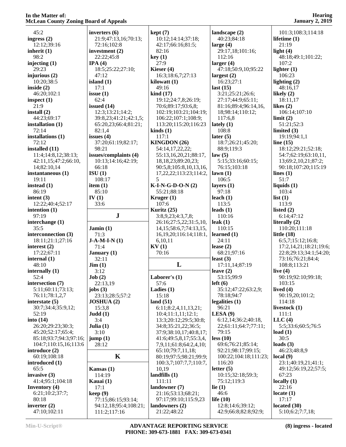|                                |                                       |                                 |                                          | $54$ anuary $2, 201$               |
|--------------------------------|---------------------------------------|---------------------------------|------------------------------------------|------------------------------------|
|                                |                                       |                                 |                                          |                                    |
| 45:2                           | inverters $(6)$                       | kept(7)                         | landscape (2)                            | 101:3;108:3;114:18                 |
| ingress $(2)$                  | 21:9;47:13,16;70:13;                  | 10:12;14:14;37:18;              | 40:23;84:18                              | lifetime $(1)$                     |
| 12:12;39:16                    | 72:16;102:8                           | 42:17;66:16;81:5;               | large $(4)$                              | 21:19                              |
| inherit $(1)$                  | investment $(2)$                      | 82:16                           | 29:17,18;101:16;                         | light $(4)$                        |
| 98:2                           | 22:22;45:8                            | key(1)                          | 112:16                                   | 48:18;49:1;101:22;                 |
| injecting $(1)$                | IPA(4)                                | 27:9                            | larger $(4)$                             | 107:2                              |
| 29:23                          | 18:5;25:22;27:10;                     | Kieser $(4)$                    | 47:18;50:9,10;95:22                      | lighter $(1)$                      |
| injurious $(2)$                | 47:12                                 | 16:3;18:6,7;27:13               | largest $(2)$                            | 106:23                             |
| 10:20;38:5                     | island $(1)$                          | kilowatt(1)                     | 16:23;27:1                               | lighting $(2)$                     |
|                                |                                       |                                 |                                          |                                    |
| inside $(2)$                   | 17:1                                  | 49:16                           | last $(15)$                              | 48:16,17                           |
| 46:20;102:1                    | issue $(1)$                           | $\operatorname{kind}(17)$       | 3:21;25:21;26:6;                         | likely $(2)$                       |
| inspect $(1)$                  | 62:4                                  | 19:12;24:7,8;26:19;             | 27:17;44:9;65:11;                        | 18:11,17                           |
| 21:9                           | issued $(14)$                         | 70:6;89:17;93:6,8;              | 81:16;89:4;96:14,16,                     | likes $(2)$                        |
| install $(2)$                  | 12:3;13:21;14:2;                      | 102:19;103:21;104:19;           | 18;98:14;110:12;                         | 106:14;107:10                      |
| 44:23;69:17                    | 39:8,23;41:21;42:1,5;                 | 106:22;107:1;108:9;             | 117:6,8                                  | limit(2)                           |
| installation $(1)$             | 65:20,23;66:4;81:21;                  | 113:20;115:20;116:23            | lately $(1)$                             | 51:21;52:3                         |
| 72:14                          | 82:1,4                                | $\boldsymbol{\text{kinds}}$ (1) | 108:8                                    | limited $(3)$                      |
| installations (1)              | issues $(4)$                          | 117:1                           | later $(5)$                              | 19:19;94:1,1                       |
| 72:12                          | 37:20;61:19;82:17;                    | KINGDON (26)                    | 18:7;26:21;45:20;                        | line $(15)$                        |
|                                |                                       |                                 |                                          |                                    |
| installed (11)                 | 98:21                                 | 54:14,17,22,22;                 | 88:9;119:3                               | 18:12;29:21;52:18;                 |
| 11:4;14:8,12;38:13;            | issues/complaints (4)                 | 55:13,16,20,21;88:17,           | law(5)                                   | 54:7;62:19;63:10,11,               |
| 42:11,15;47:2;66:10,           | 10:13;14:16;42:19;                    | 18, 18, 23; 89: 20, 23;         | 5:15;33:16;60:15;                        | 13;69:2,10,21;87:2;                |
| 14;82:10,14                    | 66:18                                 | 90:5,8;105:8,10,13,16,          | 76:15;103:18                             | 90:18;107:20;115:19                |
| instantaneous (1)              | ISU(1)                                | 17, 22, 22; 113: 23; 114: 2,    | lawn(1)                                  | lines $(1)$                        |
| 19:11                          | 108:17                                | 5                               | 106:5                                    | 51:7                               |
| instead $(1)$                  | item $(1)$                            | $K-I-N-G-D-O-N(2)$              | layers $(1)$                             | liquids $(1)$                      |
| 86:19                          | 85:10                                 | 55:21;88:18                     | 97:18                                    | 103:4                              |
| intent $(3)$                   | IV(1)                                 | Kruger $(1)$                    | leach $(1)$                              | list $(1)$                         |
| 12:22;40:4;52:17               | 33:6                                  | 107:6                           | 113:5                                    | 113:9                              |
|                                |                                       |                                 |                                          |                                    |
| intention $(1)$                |                                       | Kuritz (25)                     | leads $(1)$                              | listed $(2)$                       |
| 97:19                          | ${\bf J}$                             | 3:8,9,23;4:3,7,8;               | 110:16                                   | 6:14;47:12                         |
| interchange (1)                |                                       | 26:16;27:5,22;31:5,10,          | leak $(1)$                               | literally $(2)$                    |
| 35:5                           | Jamin $(1)$                           | 14, 15; 58: 6, 7; 74: 13, 15,   | 110:15                                   | 110:20;111:18                      |
| interconnection (3)            | 71:3                                  | 16, 19, 20; 116; 14; 118; 1,    | learned $(1)$                            | little $(18)$                      |
| 18:11;21:1;27:16               | $J-A-M-I-N(1)$                        | 6,10,11                         | 24:11                                    | 6:5,7;15:12;16:8;                  |
|                                |                                       |                                 |                                          |                                    |
| interest $(2)$                 | 71:4                                  | KV(1)                           | lease $(2)$                              | 17:2,14,21;18:21;19:6;             |
|                                |                                       |                                 |                                          |                                    |
| 17:22;67:11                    | January (1)                           | 70:16                           | 68:21;97:16                              | 22:8;29:13;34:1;54:20;             |
| internal (1)                   | 32:11                                 |                                 | least $(3)$                              | 73:16;76:21;84:4;                  |
| 48:10                          | $\text{Jim} (1)$                      | L                               | 17:11,14;87:19                           | 108:8;113:21                       |
| internally $(1)$               | 3:12                                  |                                 | leave $(2)$                              | live $(4)$                         |
| 52:4                           | Job(2)                                | Laborer's $(1)$                 | 53:15;99:9                               | 90:19;92:10;99:18;                 |
| intersection (7)               | 22:13,19                              | 57:6                            | left(6)                                  | 103:15                             |
| 5:11;60:11;73:13;              | jobs $(3)$                            | Ladies $(1)$                    | 35:12;47:22;63:2,9;                      | lived $(4)$                        |
| 76:11;78:1,2,7                 | 23:13;28:5;57:2                       | 15:18                           | 78:18;94:7                               | 90:19,20;101:2;                    |
| interstate $(5)$               | <b>JOSHUA (2)</b>                     | land $(51)$                     | legalities $(1)$                         | 114:18                             |
| 30:7;34:4;35:9,12;             | 15:3,8                                | 6:11;8:2,4,11,13,21;            | 96:21                                    | livestock (1)                      |
| 52:19                          | Judd(1)                               | 10:4;11:1,11;12:1;              | LESA(9)                                  | 111:1                              |
|                                |                                       |                                 | 6:12,14;36:2;40:18,                      |                                    |
| into $(14)$                    | 3:4                                   | 13:3;20:12;29:5;30:8;           |                                          | LLC(4)                             |
| 26:20;29:23;30:3;              | Julia $(1)$                           | 34:8;35:21,22;36:5;             | 22;61:11;64:7;77:11;                     | 5:5;33:6;60:5;76:5                 |
| 45:20;52:17;65:4;              | 3:10                                  | 37:9;38:10,17;40:8,17;          | 79:15                                    | load $(1)$                         |
| 85:18;93:7;94:3;97:16;         | jump(1)                               | 41:6;49:5,8,17;55:3,4,          | less(10)                                 | 30:5                               |
| 104:7;110:15,16;113:6          | 28:12                                 | 7,9,11;61:8;64:2,4,10;          | 69:6;76:21;85:14;                        | loads $(3)$                        |
| introduce $(2)$                |                                       | 65:10;79:7,11,18;               | 92:21;98:17;99:15;                       | 46:23;48:8,9                       |
| 60:19;108:18                   | $\mathbf K$                           | 80:19;97:5;98:21;99:9;          | 100:22;104:18;111:23;                    | local(9)                           |
| introduced (1)                 |                                       | 100:3,7;107:7,7;110:7,          | 116:20                                   | 23:1;40:19,21;41:1;                |
| 65:5                           | Kansas $(1)$                          | 10,19                           | letter $(5)$                             | 49:12;56:19,22;57:5;               |
| invasive $(3)$                 | 114:19                                | landfills $(1)$                 | 10:15;32:18;59:3;                        | 67:23                              |
| 41:4;95:1;104:18               | Kauai (1)                             | 111:11                          | 75:12;119:3                              | locally(1)                         |
|                                |                                       |                                 |                                          |                                    |
| Inventory (4)                  | 17:1                                  | landowner (7)                   | lie $(1)$                                | 22:16                              |
| 6:21;10:2;37:7;                | keep(9)                               | 21:16;53:13;68:21;              | 46:6                                     | locate $(1)$                       |
| 80:18                          | 77:15;86:15;93:14;                    | 97:17;99:10;115:9,23            | life $(10)$                              | 17:17                              |
| inverter $(2)$<br>47:10;102:11 | 94:12,18;95:4;108:21;<br>111:2;117:16 | landowners (2)<br>21:22;48:22   | 12:8;14:6;39:12;<br>42:9;66:8;82:8;92:9; | located $(30)$<br>5:10;6:2;7:7,18; |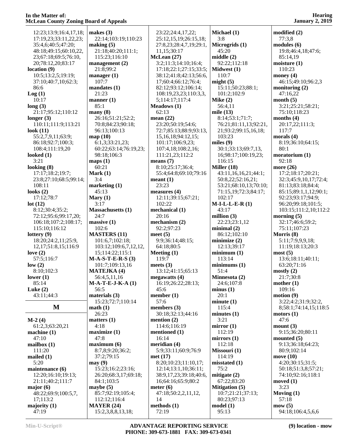| 12:23;13:9;16:4,17,18; | makes $(3)$                            |                |
|------------------------|----------------------------------------|----------------|
| 17:19,23;33:11,22,23;  | 22:14;103:19;110:23                    |                |
| 35:4,6;40:5;47:20;     | making (5)                             |                |
| 48:18;49:15;60:10,22,  | 21:18;40:20;111:1;                     |                |
| 23;67:18;69:5;76:10,   | 115:23;116:10                          | M              |
| 20;78:12,20;83:17      | management $(2)$                       |                |
| location (9)           | 21:8;99:2                              |                |
| 10:5;13:2,5;19:19;     | manager $(1)$                          |                |
| 37:10;40:7,10;62:3;    | 107:7                                  |                |
| 86:6                   | mandates (1)                           |                |
|                        |                                        |                |
| Log(1)                 | 21:23                                  |                |
| 10:17                  | manner $(1)$<br>85:1                   | M              |
| long(3)                |                                        |                |
| 21:17;95:12;110:12     | many(8)                                |                |
| longer (3)             | 26:16;51:21;52:2;                      | m <sub>6</sub> |
| 110:11;111:9;113:21    | 70:8;84:23;90:18;                      |                |
| look (11)              | 96:13;100:13                           |                |
| 55:2,7,9,11;63:9;      | map (10)                               |                |
| 86:18;92:7;100:3;      | 6:1,3;33:21,23;                        |                |
| 108:4;111:19,20        | 60:22;63:14;76:19,23;                  |                |
| looked (1)             | 98:18;106:3                            |                |
| 3:21                   | maps(1)                                | m <sub>f</sub> |
| looking (8)            | 60:21                                  |                |
| 17:17;18:2;19:7;       | Mark $(1)$                             |                |
| 23:8;27:10;68:5;99:14; | 3:4                                    | m <sub>f</sub> |
| 108:11                 | marketing $(1)$                        |                |
| looks (2)              | 45:13                                  | m <sub>f</sub> |
| 17:12;78:7             | Mary $(1)$                             |                |
| lot(12)                | 3:17                                   |                |
| 8:12;30:4;35:2;        | <b>Massachusetts (1)</b>               | m <sub>f</sub> |
| 72:12;95:6;99:17,20;   | 24:7                                   |                |
| 106:18;107:2;108:17;   | massive (1)                            | m <sub>f</sub> |
| 115:10;116:12          | 102:6                                  |                |
| lottery (9)            | <b>MASTERS (11)</b>                    | m <sub>f</sub> |
| 18:20;24:2,11;25:9,    | 101:6,7;102:18;                        |                |
| 12,17;51:8,15;116:9    | 103:12;109:6,7,12,12,                  |                |
|                        |                                        |                |
|                        |                                        | M <sub>0</sub> |
| love $(2)$             | 15;114:22;115:1                        |                |
| 57:5;116:7             | $M-A-S-T-E-R-S(3)$                     | m <sub>f</sub> |
| low(2)<br>8:10;102:3   | 101:7;109:13,16<br><b>MATEJKA (4)</b>  |                |
|                        |                                        | me             |
| lower(1)               | 56:4,5,11,16                           |                |
| 85:14                  | $M-A-T-E-J-K-A(1)$                     |                |
| Luke $(2)$             | 56:5                                   |                |
| 43:11;44:3             | materials (3)                          | m <sub>f</sub> |
|                        | 15:23;72:7;110:14                      |                |
| M                      | math(1)                                | m <sub>f</sub> |
|                        | 26:23                                  | m <sub>f</sub> |
| M-2 (4)                | matters $(1)$                          |                |
| 61:2,3;63:20,21        | 4:18                                   |                |
| machine (1)            | maximize (1)                           | m <sub>f</sub> |
| 47:10                  | 47:8                                   |                |
| mailbox (1)            | maximum(6)                             | m <sub>f</sub> |
| 111:20                 | 8:7,8;9:20;36:2;                       |                |
| mailed (1)             | 37:2;79:15                             | m <sub>f</sub> |
| 5:20                   | may(9)                                 |                |
| maintenance (6)        | 15:23;16:2;23:16;                      |                |
| 12:20;16:10;19:13;     | 26:20;68:3,17;69:18;                   |                |
| 21:11;40:2;111:7       | 84:1;103:5                             |                |
| major (6)              | maybe (5)                              | m <sub>f</sub> |
| 48:22;69:9;100:5,7,    | 85:7;92:19;105:4;                      |                |
| 17;113:2               | 112:12;116:4                           |                |
| majority (1)<br>47:19  | <b>MAYER (24)</b><br>15:2,3,8,8,13,18; | m <sub>f</sub> |

0:23 19,23;  $12,12,$  $9:18;$  23:22;24:4,17,22; 25:12,15,19;26:15,18; 27:8,23;28:4,7,19;29:1, 11,15;30:17 **McLean (27)** 3:2;11:3;14:10;16:4; 17:18;22:1;27:15;33:5; 38:12;41:8;42:13;56:6, 17;60:4;66:12;76:4; 82:12;93:12;106:14; 108:19,23,23;110:3,3, 5;114:17;117:4 **Meadows (1)** 62:13 **mean (22)** 23:20;50:19;54:6; 72:7;85:13;88:9;93:13, 15,16,18;94:12,15; 101:17;106:9,23; 107:4,18;108:2,16; 111:21,23;112:2 **means (7)** 8:10;25:17;36:4; 55:4;64:8;69:10;79:16 **meant (1)** 23:23 **measures (4)** 12:11;39:15;67:21; 102:22 **mechanical (1)** 20:16 **mechanism (2)** 92:2;97:23 **meet (5)** 9:9;36:14;48:15; 64:18;80:5 **Meeting (1)** 119:7 **meets (3)** 13:12;41:15;65:13 **megawatts (4)** 16:19;26:22;28:13; 45:6 **member (1)** 57:6 **members (3)** 30:18;32:13;44:16 **mention (2)** 114:6;116:19 **mentioned (1)** 16:14 **meridian (4)** 5:9;33:11;60:9;76:9 **met (17)** 8:20;10:23;11:10,17; 12:14;13:1,10;36:11; 38:9,17,23;39:18;40:6, 16;64:16;65:9;80:2 **meter (6)** 47:18;50:2,2,11,12, 14 **methods (1)** 72:19

**Michael (1)** 3:8 **Microgrids (1)** 45:20 **middle (2)** 92:22;112:18 **Midwest (1)** 110:7 **might (5)** 15:11;50:23;88:1; 101:2;102:9 **Mike (2)** 56:4,11 **mile (13)** 8:14;53:1;71:7; 76:21;81:11,13;92:21, 21;93:2;99:15,16,18; 103:23 **miles (9)** 30:1;33:13;69:7,13, 16;98:17;100:19,23; 116:15 **Miller (18)** 43:11,16,16,21;44:1; 50:8,22;52:16,21; 53:21;68:10,13;70:10; 71:15,19;72:3;84:17; 102:17 **M-I-L-L-E-R (1)** 43:17 **million (3)** 22:23;23:1,12 **minimal (2)** 86:12;102:10 **minimize (2)** 12:13;39:17 **minimum (1)** 113:14 **minimums (1)** 51:4 **Minnesota (2)** 24:6;107:8 **minus (1)** 20:1 **minute (1)** 115:4 **minutes (1)** 3:21 **mirror (1)** 112:19 **mirrors (1)** 112:18 **Missouri (1)** 114:19 **misstated (1)** 75:2 **mitigate (2)** 67:22;83:20 **Mitigation (5)** 10:7;21:21;37:13; 80:23;97:13 **model (1)** 95:13

**modified (2)** 77:3,8 **modules (6)** 19:8;46:4,18;47:6; 85:14,19 **moisture (1)** 110:23 **money (4)** 46:15;49:10;96:2,3 **monitoring (2)** 47:16,22 **month (5)** 3:21;25:21;58:21; 75:10;118:23 **months (4)** 20:17,22;111:3; 117:7 **morals (4)** 8:19;36:10;64:15; 80:1 **moratorium (1)** 92:18 **more (26)** 17:2;18:17;20:21; 32:3;45:9,10,17;72:4; 81:13;83:18;84:4; 85:15;89:1,1,12;90:1; 92:23;93:17;94:9; 96:20;99:18;101:5; 103:15;111:2,10;112:2 **morning (5)** 32:17;46:6;59:2; 75:11;107:23 **Morris (8)** 5:11;7:9,9,9,18; 11:19;18:13;20:3 **most (5)** 13:6;18:11;40:11; 63:20;71:16 **mostly (2)** 21:7;30:8 **mother (1)** 109:16 **motion (9)** 3:22;4:2;31:9;32:2, 8;58:1;74:14,15;118:5 **motors (1)** 47:6 **mount (3)** 9:15;36:20;80:11 **mounted (5)** 9:13;36:18;64:23; 80:9;102:14 **move (10)** 4:20;30:15;31:5; 50:18;51:3,8;57:21; 74:10;92:16;118:1 **moved (1)** 3:23 **Moving (1)** 57:18 **mow (5)** 94:18;106:4,5,6,6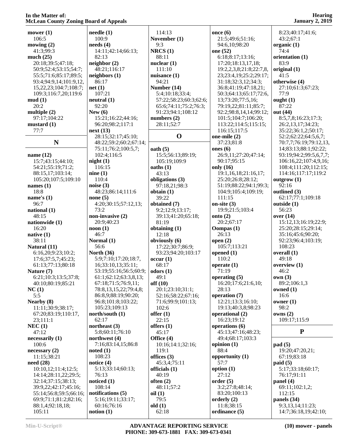| Accedin County Zoning Doar a of Appeals |                             |                        |                         |                        |
|-----------------------------------------|-----------------------------|------------------------|-------------------------|------------------------|
| mower $(1)$                             | $\bf{needed}$ (1)           | 114:13                 | once $(6)$              | 8:23;40:17;41:6;       |
|                                         | 100:9                       |                        |                         |                        |
| 106:5                                   |                             | November (1)           | 21:5;49:6;51:16;        | 43:2;67:1              |
| mowing (2)                              | needs(4)                    | 9:3                    | 94:6,10;98:20           | organic $(1)$          |
| 41:3;99:3                               | 14:11;42:14;66:13;          | NRCS(1)                | one (52)                | 74:4                   |
| much $(25)$                             | 82:13                       | 88:11                  | 6:18;8:17;13:16;        | orientation (1)        |
| 20:18;39:5;47:18;                       | neighbour(2)                | nuclear $(1)$          | 17:20;18:13,17,18;      | 83:9                   |
| 50:9;52:4;53:15;54:7;                   | 48:21;116:17                | 111:10                 | 19:2,2,3,8;21:8;22:7,8, | original (1)           |
| 55:5;71:6;85:17;89:5;                   | neighbors (1)               | nuisance (1)           | 23;23:4,19;25:2;29:17;  | 41:5                   |
| 93:4;94:9,14;101:9,12,                  | 86:17                       | 94:21                  | 31:18;32:3,12;34:3;     | otherwise (4)          |
|                                         | net(1)                      | Number (14)            | 36:8;41:19;47:18,21;    | 27:10;61:3;67:23;      |
| 15,22,23;104:7;108:7;                   |                             |                        |                         |                        |
| 109:3;116:7,20;119:6                    | 107:21                      | 5:4;10:18;33:4;        | 50:3;64:13;65:17;72:6,  | 77:9                   |
| mud(1)                                  | neutral (1)                 | 57:22;58:23;60:3;62:6; | 13;73:20;77:5,16;       | ought $(1)$            |
| 20:2                                    | 92:20                       | 65:6;74:11;75:2;76:3;  | 79:19,22;81:11;85:7;    | 87:22                  |
| multiple $(2)$                          | New $(6)$                   | 91:23;94:1;108:12      | 92:2;98:8,14,14;99:12;  | out (44)               |
| 97:17;104:22                            | 15:21;16:22;44:16;          | numbers $(2)$          | 101:5;104:7;106:20;     | 8:5,7,8;16:23;17:3;    |
| mustard (1)                             | 96:20;98:2;117:1            | 28:11;52:7             | 113:22;114:5;115:15;    | 26:2,13,17;34:23;      |
| 77:7                                    | next(13)                    |                        | 116:15;117:5            | 35:22;36:1,2;50:17;    |
|                                         | 28:15;32:17;45:10;          | $\mathbf 0$            | one-mile (2)            | 52:2;62:22;64:5,6,7;   |
| N                                       | 48:22;59:2;60:2;67:14;      |                        | 37:23;81:8              | 70:7,7;76:19;79:12,13, |
|                                         |                             |                        |                         |                        |
|                                         | 75:11;76:2;100:5,7;         | oath(5)                | ones $(6)$              | 14;83:13;88:1;92:22;   |
| name $(12)$                             | 102:4;116:5                 | 15:5;56:13;89:19;      | 26:9,11;27:20;47:14;    | 93:19;94:2;99:5,6,7,7; |
| 15:7;43:15;44:10;                       | night(1)                    | 105:19;109:9           | 90:17;95:15             | 106:16,22;107:4,9,16;  |
| 54:21;55:19;71:2;                       | 116:15                      | oaths(1)               | only (16)               | 108:4;111:20;112:15;   |
| 88:15,17;103:14;                        | nine(1)                     | 43:13                  | 19:1,16,18;21:16,17;    | 114:16;117:17;119:2    |
| 105:20;107:5;109:10                     | 110:4                       | obligations (3)        | 25:20;26:8;28:12;       | outgrow $(1)$          |
| names $(1)$                             | noise $(3)$                 | 97:18,21:98:3          | 51:19;88:22;94:1;99:3;  | 92:16                  |
| 18:8                                    | 48:23;86:14;111:6           | obtain (1)             | 104:9;105:4;109:19;     | outlined (3)           |
| name's $(1)$                            | none $(5)$                  | 39:22                  | 111:15                  | 62:17;77:1;109:18      |
|                                         |                             |                        |                         |                        |
| 96:7                                    | 4:20;30:15;57:12,13;        | obtained (7)           | on-site $(3)$           | outside (1)            |
| national (1)                            | 73:2                        | 9:2;12:9;13:17;        | 19:9;21:5;103:4         | 56:23                  |
| 48:15                                   | non-invasive (2)            | 39:13;41:20;65:18;     | onto $(2)$              | over $(14)$            |
| nationwide (1)                          | 20:9;40:23                  | 81:19                  | 20:2;67:17              | 15:12,13;16:19;22:9;   |
| 16:20                                   | $\textbf{noon}(\textbf{1})$ | obtaining (1)          | <b>Oompas</b> (1)       | 25:20;28:15;29:14;     |
| native $(1)$                            | 46:7                        | 12:18                  | 26:13                   | 35:16;45:6;90:20;      |
| 38:11                                   | Normal (1)                  | obviously (6)          | open $(2)$              | 92:23;96:4;103:19;     |
| Natural (11)                            | 56:6                        | 17:22;30:7;86:9;       | 105:7;113:21            | 108:23                 |
| 6:16,20;9:23;10:2;                      | <b>North (36)</b>           | 93:23;94:20;103:17     | opened $(1)$            | overall (1)            |
| 17:6;37:5,7;45:23;                      | 5:9;7:10;17:20;18:7,        | occur(1)               | 110:2                   | 49:18                  |
|                                         |                             |                        |                         |                        |
| 61:13;77:13;80:18                       | 16;33:10,13;35:11;          | 68:17                  | operate $(1)$           | overview (1)           |
| Nature (7)                              | 53:19;55:16;56:5;60:9;      | odors $(1)$            | 71:19                   | 46:2                   |
| 6:21;10:3;13:5;37:8;                    | 61:1;62:12;63:3,8,13;       | 49:1                   | operating $(5)$         | own(3)                 |
| 40:10;80:19;85:21                       | 67:18;71:5;76:9,11;         | off(10)                | 16:20;17:6;21:6,10;     | 89:2;106:1,3           |
| NC(1)                                   | 78:8,13,15,22;79:4,8;       | 20:1;23:10;31:1;       | 28:13                   | owned $(1)$            |
| 5:5                                     | 86:8,9;88:19;90:20;         | 52:16;58:22;67:16;     | operation (7)           | 16:6                   |
| Nearby (8)                              | 96:8;101:8;103:22;          | 71:6;99:9;101:13;      | 12:21;13:3;16:10;       | owner $(1)$            |
| 11:11;30:9;38:17;                       | 105:23;109:13               | 102:6                  | 19:13;40:3,8;98:23      | 98:2                   |
| 67:20;83:19;110:17,                     | north/south (1)             | offer $(1)$            | operational (2)         | owns(2)                |
| 23;111:1                                | 62:17                       | 22:15                  | 16:23;19:12             | 109:17;115:9           |
|                                         | northeast $(3)$             |                        | operations (6)          |                        |
| NEC(1)                                  |                             | offers $(1)$           |                         |                        |
| 47:12                                   | 5:8;60:11;76:10             | 45:17                  | 45:13;47:16;48:23;      | ${\bf P}$              |
| necessarily (1)                         | northwest (4)               | Office (4)             | 49:4;68:17;103:3        |                        |
| 100:6                                   | 7:16;83:14,15;86:8          | 10:16;14:1;32:16;      | opinion $(1)$           | pad(5)                 |
| necessary(2)                            | noted(1)                    | 119:1                  | 88:4                    | 19:20;47:20,21;        |
| 11:15;38:21                             | 108:23                      | offices $(3)$          | opportunity (1)         | 67:19;83:18            |
| need(28)                                | notice $(4)$                | 45:3,4;75:11           | 57:7                    | paid(5)                |
| 10:10,12;11:4;12:5;                     | 5:13;33:14;60:13;           | officials $(1)$        | option $(1)$            | 5:17:33:18:60:17;      |
| 14:14;28:11,22;29:5;                    | 76:13                       | 40:19                  | 27:12                   | 76:17;91:11            |
|                                         | noticed $(1)$               | often $(2)$            | order(5)                | panel $(4)$            |
| 32:14;37:15;38:13;                      |                             |                        |                         |                        |
| 39:9,22;42:17;45:16;                    | 108:14                      | 48:11;57:2             | 3:2;27:8;48:14;         | 69:11;102:1,2;         |
| 55:14;56:8;59:5;66:16;                  | notifications (5)           | oil(1)                 | 83:20;100:13            | 112:15                 |
| 69:9;71:1;81:2;82:16;                   | 5:16;19:11;33:17;           | 79:5                   | orderly $(2)$           | panels $(34)$          |
| 88:1,4;92:18,18;                        | 60:16;76:16                 | old(1)                 | 11:8;38:15              | 9:3,13,14;11:23;       |
| 105:11                                  | notion(1)                   | 62:18                  | ordinance (5)           | 14:7;36:18,19;42:10;   |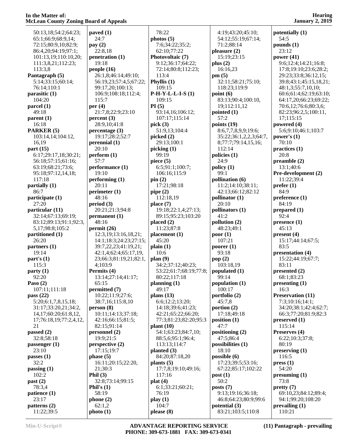| $\overline{\phantom{a}}$                    | т т                                        |       |
|---------------------------------------------|--------------------------------------------|-------|
| 50:13,18;54:2;64:23;                        | paved $(1)$                                |       |
| 65:1;66:9;68:9,14;                          | 24:7                                       | ph    |
| 72:15;80:9,10;82:9;<br>86:4,20;94:19;97:1;  | pay $(2)$<br>22:8,18                       |       |
| 101:13,19;110:10,20;                        | penetration (1)                            | Ph    |
| 111:3,8,21;112:23;                          | 19:18                                      |       |
| 113:3,8                                     | people (16)                                |       |
| Pantagraph (5)                              | 26:1,8;46:14;49:10;                        |       |
| 5:14;33:15;60:14;<br>76:14;110:1            | 56:19,23;57:4,5;67:22;<br>99:17,20;100:13; | Ph    |
| parasitic (1)                               | 106:9;108:18;112:4;                        | $P-I$ |
| 104:20                                      | 115:7                                      |       |
| parcel (1)                                  | per $(4)$                                  | PI    |
| 49:18                                       | 21:7,8;22:9;23:10                          |       |
| parent (1)<br>16:18                         | percent(3)<br>28:9,10;41:8                 |       |
| PARKER (5)                                  | percentage (3)                             | pic   |
| 103:14,14;104:12,                           | 19:17;28:2;52:7                            | pic   |
| 16,19                                       | perennial (1)                              |       |
| part (15)                                   | 20:10                                      | pic   |
| 6:17;29:17,18;30:21;                        | perform (1)                                |       |
| 56:18;57:15;61:16;<br>63:19;68:21;73:6;     | 57:7<br>performance (1)                    | pie   |
| 95:18;97:12,14,18;                          | 19:10                                      |       |
| 117:18                                      | performing(1)                              | pir   |
| partially (1)                               | 20:11                                      |       |
| 86:7                                        | perimeter (1)                              | pip   |
| participate (1)<br>27:20                    | 48:16<br>period (3)                        | pla   |
| particular (11)                             | 20:21;21:3;94:8                            |       |
| 32:14;67:13;69:19;                          | permannent(1)                              |       |
| 83:12;89:13;91:1;92:3,                      | 48:16                                      | pla   |
| 5,17;98:8;105:2<br>partitioned (1)          | permit (26)<br>12:3, 19; 13: 16, 18, 21;   | pla   |
| 26:20                                       | 14:1;18:3;24:23;27:15;                     |       |
| partners (1)                                | 39:7,22,23;41:19,21;                       | pla   |
| 19:14                                       | 42:1,4;62:4;65:17,19,                      |       |
| part's(1)                                   | 23;66:3;81:19,21;82:1,                     | pla   |
| 115:3<br>party (1)                          | 4;103:9<br>Permits (4)                     |       |
| 92:20                                       | 13:14;27:14;41:17;                         |       |
| <b>Paso</b> (2)                             | 65:15                                      | pla   |
| 107:11;111:18                               | permitted (7)                              |       |
| pass (22)                                   | 10:22;11:9;27:6;<br>38:7,16;115:8,10       | pla   |
| 5:20;6:1,7,8,15,18;<br>31:17;33:20,21;34:2, | person(8)                                  |       |
| 14, 17; 60: 20; 61: 8, 12,                  | 10:11;14:13;37:18;                         |       |
| 17;76:18,19;77:2,4,12,                      | 42:16;66:15;81:5;                          |       |
| 21                                          | 82:15;91:14                                | pla   |
| passed (2)<br>32:8;58:18                    | personnel (2)<br>19:9;21:5                 |       |
| passenger (1)                               | perspective (2)                            |       |
| 23:10                                       | 17:15;19:7                                 | pla   |
| passes (1)                                  | phase (5)                                  |       |
| 32:2                                        | 16:11;20:15;22:20,                         | pla   |
| passing (1)<br>102:2                        | 21;30:3<br>Phil $(3)$                      |       |
| past (2)                                    | 32:8;73:14;99:15                           | pla   |
| 78:3,4                                      | Phil's $(1)$                               |       |
| patience (1)                                | 58:19                                      |       |
| 23:17                                       | phone(2)                                   | pla   |
| patterns (2)<br>11:22;39:5                  | 62:1,2<br>photo(1)                         | ple   |
|                                             |                                            |       |

 78:22 **photos (5)** 7:6;34:22;35:2; 62:10;77:22 **Photovoltaic (7)** 9:12;36:17;64:22; 72:14;80:8;112:23; 113:4 **Phyllis (1)** 109:15 **P-H-Y-L-L-I-S (1)** 109:15 **PI (5)** 93:14,16;106:12; 107:17;115:14 **pick (3)** 51:9,13;104:4 **picked (2)** 29:13;100:1 **picking (1)** 99:19 **piece (5)** 6:5;91:1;100:7; 106:16;115:9 **pin (2)** 17:21;98:18 **pipe (2)** 112:18,19 **place (7)** 19:18;22:1,4;27:13; 89:15;95:23;103:20 **placed (2)** 11:23;87:8 **placement (1)** 45:20 **plain (1)** 10:6 **plan (9)** 34:2;37:12;40:23; 53:22;61:7;68:19;77:8; 80:22;117:18 **planning (1)** 49:17 **plans (13)** 6:6;12:2;13:20; 14:18;39:6;41:23; 42:21;65:22;66:20; 77:3;81:23;82:20;95:3 **plant (10)** 54:1;63:23;84:7,10; 88:5,6;95:1;96:4; 113:13;114:7 **planted (3)** 84:20;87:18,20 **plants (5)** 17:7,8;19:10;49:16; 117:16 **plat (4)** 6:1;33:21;60:21; 76:19 **play (1)** 104:7 **please (8)**

 4:19;43:20;45:10; 54:12;55:19;67:14; 71:2;88:14 **pleasure (2)** 15:19;23:15 **plus (2)** 16:16,23 **pm (5)** 32:11;58:21;75:10; 118:23;119:9 **point (6)** 83:13;90:4;100:10, 19;112:11,12 **pointed (1)** 57:2 **points (19)** 8:6,7,7,8,9,9;19:6; 35:22;36:1,2,2,3;64:7, 8;77:7;79:14,15,16; 112:14 **policies (1)** 24:9 **policy (1)** 99:1 **pollination (6)** 11:2;14:10;38:11; 42:13;66:12;82:12 **pollinator (1)** 20:10 **pollinators (1)** 41:2 **pollution (2)** 48:23;49:1 **poor (1)** 107:21 **poorer (1)** 93:18 **pop (2)** 103:18,19 **populated (1)** 99:14 **population (1)** 100:17 **portfolio (2)** 45:7,8 **portion (2)** 17:18;49:18 **position (1)** 47:7 **positioning (2)** 47:5;86:4 **possibilities (1)** 18:10 **possible (6)** 17:23;39:5;53:16; 67:22;85:17;102:22 **post (1)** 50:2 **posts (7)** 9:13;19:16;36:18; 46:8;64:23;80:9;99:6 **potential (3)** 83:21;103:5;110:8

**potentially (1)** 54:5 **pounds (1)** 23:12 **power (41)** 9:6;12:4;14:21;16:8; 17:8;19:10;23:6;28:2; 29:23;33:8;36:12,15; 39:8;43:1;45:15,18,21; 48:1,3;55:7,10,10; 60:6;61:4;62:19;63:10; 64:17,20;66:23;69:22; 70:6,12;76:6;80:3,6; 82:23;96:2,5;100:11, 17;115:15 **powered (4)** 5:6;9:10;46:1;103:7 **power's (1)** 70:10 **practices (1)** 20:8 **preamble (2)** 13:1;40:6 **Pre-development (2)** 11:22;39:4 **prefer (1)** 84:9 **preference (1)** 84:19 **prepared (1)** 92:4 **presence (1)** 45:13 **present (4)** 15:17;44:14;67:5; 83:5 **presentation (4)** 15:22;44:19;67:7; 83:11 **presented (2)** 68:1;83:23 **presenting (1)** 16:3 **Preservation (11)** 7:3;10:16;14:1; 34:20;38:1;42:4;62:7; 66:3;77:20;81:9;82:3 **preserved (1)** 115:14 **Preserves (4)** 6:22;10:3;37:8; 80:19 **preserving (1)** 116:5 **press (1)** 54:20 **presuming (1)** 73:8 **pretty (7)** 69:10,23;84:12;89:4; 94:1;99:20;108:20 **prevailing (1)** 110:21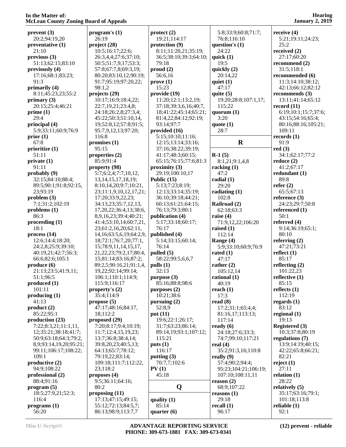**Hearing January 2, 2019**

| prevent(3)                       | program's $(1)$                                 | pro        |
|----------------------------------|-------------------------------------------------|------------|
| 20:2;94:19,20                    | 26:19                                           | I          |
| preventative (1)                 | project (28)                                    | pro        |
| 21:10                            | 10:5;16:17;22:6;                                | 8          |
| previous(3)<br>51:13;62:15;83:10 | 26:3,4,4;27:6;37:10;<br>50:5;51:7,9,17;53:3;    | 3<br>7     |
| previously (4)                   | 57:8;67:7,8;69:3,19;                            | pro        |
| 17:16;68:1;83:23;                | 80:20;83:10,12;90:19;                           | 5          |
| 91:3                             | 91:7;95:19;97:20,22;                            | pro        |
| primarily (4)                    | 98:1,2                                          | 1          |
| 8:11;45:23,23;55:2               | projects (29)                                   | pro        |
| primary (3)                      | 10:17;16:9;18:4,22;                             | 1          |
| 20:15;25:4;46:21                 | 22:7,19,21;23:4,8;                              | 3          |
| prime(1)                         | 24:18;26:2,8;27:3,4;                            | 1          |
| 29:4                             | 45:22;50:3;51:10,14,                            | 8          |
| principal (4)                    | 19;52:8,12;57:8;91:5;                           | ç          |
| 5:9;33:11;60:9;76:9              | 95:7,9,12,13;97:20;                             | pro        |
| prior(1)<br>67:8                 | 116:8                                           | 5<br>1     |
| prioritize (1)                   | promises $(1)$<br>95:15                         | 3          |
| 51:11                            | properties (2)                                  | 4          |
| private (1)                      | 85:9;91:4                                       | 6          |
| 91:11                            | property (98)                                   | pro        |
| probably (9)                     | 5:7;6:2,4;7:7,10,12,                            | 2          |
| 32:15;84:10;88:4;                | 13, 14, 15, 17, 18, 19;                         | Pul        |
| 89:5;90:1;91:8;92:15,            | 8:10,14,20;9:7;10:21,                           | 5          |
| 23;93:19                         | 23;11:1,9,10,12,17,21;                          | 1          |
| problem(3)                       | 17:20;33:9,22,23;                               | 3          |
| 7:1;31:2;102:19                  | 34:13,23;35:7,12,13,                            | $\epsilon$ |
| problems (1)                     | 17, 20, 22; 36: 4, 13; 38: 6,                   | 7          |
| 86:3                             | 8,9,16,23;39:4;40:21;<br>41:4;53:10,14;60:7,21, | pul<br>5   |
| procedureding(1)<br>18:1         | 23;61:2,16,20;62:11,                            | 7          |
| process(14)                      | 14, 16; 63: 5, 6, 19; 64: 2, 9,                 | pul        |
| 12:6;14:4;18:20;                 | 18;72:1;76:7,20;77:1,                           | 5          |
| 24:2,8;25:9;39:10;               | 15;78:9,11,14,15,17,                            | 7          |
| 40:19,21;42:7;56:3;              | 21, 22, 23; 79: 2, 17; 80: 4,                   | pul        |
| 66:6;82:6;105:1                  | 15;81:14;83:16;87:2;                            | 5          |
| produce (6)                      | 89:2,5;90:16,21;91:1,4,                         | pul        |
| 21:13;23:5;41:9,11;              | 19,22;92:14;99:14;                              | 3          |
| 51:1;96:5                        | 106:1;110:1;114:9;                              | pur        |
| produced (1)<br>101:11           | 115:9;116:17                                    | 8          |
| producing (1)                    | property's $(2)$<br>35:4;114:9                  | pul<br>1   |
| 41:13                            | propose(5)                                      | pul        |
| product(2)                       | 47:17;48:16;84:17,                              | 5          |
| 85:22;95:1                       | 18;112:2                                        | put        |
| production (23)                  | proposed (29)                                   | 1          |
| 7:22;8:3,21;11:1,11,             | 7:20;8:17;9:4;10:19;                            | 3          |
| 12;35:21;38:18;41:7;             | 11:7;12:4,15,19,23;                             | 8          |
| 50:9;63:18;64:3;79:2,            | 13:7;36:8;38:4,14;                              | 1          |
| 8,9;93:14,19,20;95:21;           | 39:8,20,23;40:5,13;                             | put        |
| 99:11;106:17;108:22;             | 64:13;65:7;78:12;                               | I          |
| 109:1<br>productive (2)          | 79:19,22;83:14;<br>109:18;111:7;112:22,         | put<br>7   |
| 94:9;108:22                      | 23;118:2                                        | PV         |
| professional (2)                 | proposes (4)                                    | 4          |
| 88:4;91:16                       | 9:5;36:11;64:16;                                |            |
| program (5)                      | 80:2                                            |            |
| 18:5;27:9,21;52:3;               | proposing $(11)$                                |            |
| 116:4                            | 17:13;47:15;49:15;                              | qua        |
| programs(1)                      | 55:12;72:13;84:5,7;                             | 8          |
| 56:20                            | 86:13;98:9;113:7,7                              | qua        |

|                              | $\text{protect}(2)$                     | 5:8;           |
|------------------------------|-----------------------------------------|----------------|
|                              | 19:21;114:17                            | 76:8           |
|                              | protection (9)                          | questio        |
|                              | 8:11;11:20,21;35:19;                    | 24:2           |
| );                           | 36:5;38:10;39:3;64:10;                  | quick          |
| $\overline{\mathbf{S}}$<br>, | 79:18<br>prod(2)                        | 19:5<br>quickl |
| 19;                          | 56:6,16                                 | 20:1           |
| 2;                           | prove(1)                                | quiet (        |
|                              | 15:23                                   | 47:1           |
|                              | provide (19)                            | quite (        |
| ;                            | 11:20;12:1;13:2,19;                     | 19:2           |
|                              | 37:18;39:3,6,16;40:7,                   | 115:           |
| ŀ;                           | 18;41:22;45:14;65:21;                   | quoru          |
| 4,                           | 81:4,22;84:12;92:19;                    | 3:20           |
| :5;                          | 93:14;97:7                              | quote          |
| ;                            | provided (16)                           | 28:7           |
|                              | 5:15;10:10;11:16;<br>12:15;13:14;33:16; |                |
|                              | 37:16;38:22;39:19;                      |                |
|                              | 41:17;48:3;60:15;                       | $R-1(5)$       |
|                              | 65:15;76:15;77:6;81:3                   | 8:1,2          |
|                              | proximity(3)                            | rackin         |
| ,                            | 29:19;100:10,17                         | 47:2           |
|                              | Public (15)                             | radial         |
| 21,                          | 5:13;7:23;8:19;                         | 29:2           |
| , 21;                        | 12:13;33:14;35:19;                      | radiat         |
|                              | 36:10;39:18;44:21;                      | 102:           |
| 3,                           | 60:13;61:21;64:15;                      | Railro         |
| 3:6,                         | 76:13;79:3;80:1                         | 62:1           |
| 21;                          | publication (4)                         | raise (        |
| ,21,                         | 5:17;33:18;60:17;<br>76:17              | 71:9           |
| 1,<br>2,9,                   | published (4)                           | raised<br>112: |
| :1,                          | 5:14;33:15;60:14;                       | Range          |
| 7,                           | 76:14                                   | 5:9;           |
| .4,                          | pulled $(5)$                            | rated          |
| 2;                           | 58:22;99:5,6,6,7                        | 47:1           |
| 1,4,                         | pulls (1)                               | rather         |
|                              | 32:13                                   | 105:           |
|                              | purpose (3)                             | ration         |
|                              | 85:16;88:8;98:6                         | 40:1           |
|                              | purposes $(2)$                          | reach          |
|                              | 10:21;38:6                              | 17:3           |
|                              | pursuing (2)<br>52:8,9                  | read (<br>17:2 |
|                              | put (11)                                | 81:1           |
|                              | 19:6;22:1;26:17;                        | 117:           |
| $\Theta$                     | 31:7;63:23;86:14;                       | ready          |
| ;                            | 89:14,19;93:1;107:12;                   | 24:1           |
|                              | 115:21                                  | 74:7           |
|                              | puts $(1)$                              | real (4        |
|                              | 116:17                                  | 35:2           |
|                              | putting (3)                             | really         |
| 22,                          | 70:7,7;102:6                            | 57:4           |
|                              | PV(1)                                   | 95:2           |
|                              | 45:18                                   | 107:           |
|                              | Q                                       | reason<br>68:9 |
|                              |                                         | reason         |
|                              | quality $(1)$                           | 29:1           |
| ;                            | 85:14                                   | recall         |
|                              | quarter $(6)$                           | 96:1           |
|                              |                                         |                |

| 5:8;33:9;60:8;71:7;     | receive (4)              |
|-------------------------|--------------------------|
| 76:8;116:10             | 5:21;19:                 |
| question's (1)          | 25:2                     |
| 24:22                   | received (2              |
| quick (1)               | 27:17;60                 |
| 19:5                    | recommen                 |
| quickly (2)<br>20:14,22 | 31:5;118                 |
| quiet (1)               | recommen<br>11:3;14:     |
| 47:17                   | 42:13;66                 |
| quite (5)               | recommen                 |
| 19:20;28:8;107:1,17;    | 13:11;41                 |
| 115:22                  | record (11)              |
| quorum (1)              | 6:19;10:                 |
| 3:20                    | 43:15;54                 |
| quote (1)               | 80:16;88                 |
| 28:7                    | 109:11                   |
|                         | records (1)              |
| R                       | 91:9                     |
|                         | red(3)                   |
| <b>R-1</b> (5)          | 34:1;62:                 |
| 8:1,21;9:1,4,8          | reduce(2)                |
| racking (1)<br>47:2     | 41:2;67:                 |
|                         | redundant<br>89:8        |
| radial (1)<br>29:20     | refer $(2)$              |
| radiating (1)           | 65:5;67:                 |
| 102:8                   | reference (              |
| Railroad (2)            | 24:23;29                 |
| 62:18;63:3              | referenced               |
| raise (4)               | 50:1                     |
| 71:9,12,22;106:20       | referred (4              |
| raised (1)              | 9:14;36:                 |
| 112:14                  | 80:10                    |
| Range (4)               | referring (              |
| 5:9;33:10;60:9;76:9     | 47:21;73                 |
| rated (1)               | reflect $(1)$            |
| 47:17                   | 85:17                    |
| rather $(2)$            | reflecting               |
| 105:12,14               | 101:22,2                 |
| rational (1)            | reflective (             |
| 40:19                   | 85:15<br>reflects $(1)$  |
| reach (1)<br>17:3       | 112:19                   |
| read (8)                | regards (1)              |
| 17:2;31:1;65:4,4;       | 83:12                    |
| 81:16,17;113:13;        | regional (1              |
| 117:14                  | 19:13                    |
| ready (6)               | <b>Registered</b>        |
| 24:18;27:6;33:3;        | 10:3;37:                 |
| 74:7;99:10;117:21       | <b>regulation</b>        |
| real (4)                | 13:9;14:                 |
| 35:2;91:3,16;110:8      | 42:22;65                 |
| really (9)              | 82:21                    |
| 57:4;90:2;94:4;         | reject (1)               |
| 95:23;104:21;106:19;    | 27:11                    |
| 107:10;108:11,11        | relation (1)             |
| reason (2)              | 28:22                    |
| 68:9;107:22             | relatively (<br>35:17;63 |
| reasons (1)<br>29:18    | 101:18;1                 |
| recall (1)              | reliable (1)             |
| 96:17                   | 92:1                     |
|                         |                          |

 5:21;19:11;24:23; 25:2 **received (2)** ;60:20  $\text{end } (2)$ 18:1 **rended** (**6**) 11:3;14:10;38:12; 42:13;66:12;82:12 **rends** (3) 13:11;41:14;65:12  $\bf{11)}$  6:19;10:1;15:7;37:6; 43:15;54:16;65:4; 80:16;88:16;105:21; 109:11 **records (1)** 91:9 **red (3)** 52:17;77:2 **ra**) 57:17 *r***edual**  $(1)$  89:8 **refer (2)** 65:5;67:13 **re** (3) 24:23;29:7;50:8 **red** (1) 50:1 **(4)**  9:14;36:19;65:1; 80:10 **referring (2)** 47:21;73:21 **r**  85:17 **reflecting (2)** 101:22,23 *r***e** (1) 85:15 **(1)**  112:19 **regards (1)** 83:12 **regional (1)** 19:13 **red** (3) 37:8;80:19 *ons* (7) 13:9;14:19;40:15; 42:22;65:8;66:21; 82:21 **reject (1)** 27:11 **(1)**  28:22 **ry** (5)  $3:16;79:1;$ 8;113:8 **reliable (1)** 92:1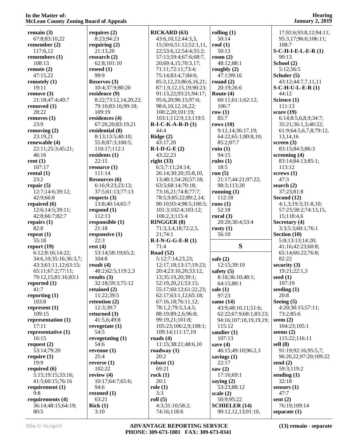| remain $(3)$                             | requ        |
|------------------------------------------|-------------|
| 67:8;83:10,22<br>remember (2)            | 8:          |
| 117:6,12                                 | requ<br>21  |
| remembers (1)                            | resea       |
| 108:13                                   | 62          |
| remote (2)<br>47:15,22                   | rese<br>99  |
| remotely (1)                             | Rese        |
| 19:11                                    | 10          |
| remove (3)                               | resid       |
| 21:18;47:4;49:7<br>removed (1)           | 8:<br>79    |
| 28:22                                    | 10          |
| removes (1)                              | resid       |
| 23:9                                     | 67<br>resid |
| removing $(2)$<br>23:19,21               | 8:          |
| renewable (4)                            | 55          |
| 22:11;25:3;45:21;                        | 11          |
| 46:16                                    | resid       |
| rent(1)<br>107:17                        | 22<br>reso  |
| rental $(1)$                             | 11          |
| 23:2                                     | Reso        |
| repair $(5)$<br>12:7;14:6;39:12;         | 6:<br>37    |
| 42:9;66:8                                | resp        |
| repaired (6)                             | 13          |
| 12:6;14:5;39:11;                         | resp        |
| 42:8;66:7;82:7<br>repairs $(1)$          | 11<br>resp  |
| 82:8                                     | 21          |
| repeat $(1)$                             | resp        |
| 55:18                                    | 22          |
| report $(19)$<br>6:12;8:16;14:22;        | rest<br>53  |
| 34:6,10;35:16;36:3,7;                    | 10          |
| 43:3;61:11,12;63:15;                     | resu        |
| 65:11;67:2;77:11;<br>79:12,15;81:16;83:1 | 48<br>resu  |
| reported (1)                             | 32          |
| 41:7                                     | retai       |
| reporting (1)                            | 11          |
| 103:8<br>represent (1)                   | reteı<br>12 |
| 109:15                                   | retu:       |
| representation (1)                       | 41          |
| 17:11                                    | reve        |
| representative (1)<br>16:15              | 54<br>reve  |
| request $(2)$                            | 54          |
| 53:14;79:20                              | reve        |
| require (1)<br>19:9                      | 25<br>reve  |
| required (6)                             | 10          |
| 5:15;19:15;33:16;                        | revio       |
| 41:5;60:15;76:16                         | 10          |
| requirement (1)<br>9:8                   | 94<br>rezo  |
| requirements (4)                         | 63          |
| 36:14;48:15;64:19;                       | <b>Rick</b> |
| 80:5                                     | 3:          |

| requires (2)                        | RI  |
|-------------------------------------|-----|
| 8:23;94:23                          |     |
| requiring (2)                       |     |
| 21:13,20                            |     |
| research (2)<br>62:8;101:10         |     |
| reseed (1)                          |     |
| 99:9                                |     |
| Reserves (3)                        |     |
| 10:4;37:9;80:20                     |     |
| residence (9)                       |     |
| 8:22;73:12,14,20,22;                |     |
| 79:10;83:16;99:18;                  |     |
| 109:19                              |     |
| residences (4)                      |     |
| 67:20,20;83:19,21                   | R-  |
| residential (8)<br>8:13;13:5;40:10; | Ri  |
| 55:8;87:3;100:5;                    |     |
| 110:17;112:1                        | R-  |
| residents (1)                       |     |
| 22:15                               | rig |
| resource (1)                        |     |
| 111:14                              |     |
| Resources (6)                       |     |
| 6:16;9:23;23:13;                    |     |
| 37:5;61:13;77:13                    |     |
| respects (3)                        |     |
| 13:8;40:14;65:7                     |     |
| respond (1)<br>112:13               |     |
| responsible (1)                     | RI  |
| 21:18                               |     |
| responsive (1)                      |     |
| 22:3                                | R-  |
| rest(4)                             |     |
| 53:14;58:19;65:2;                   | Ro  |
| 104:8                               |     |
| result (4)                          |     |
| 48:2;62:5;119:2,3                   |     |
| results (3)<br>32:18;59:3;75:12     |     |
| retained (2)                        |     |
| 11:22;39:5                          |     |
| retention (2)                       |     |
| 12:3;39:7                           |     |
| returned (3)                        |     |
| 41:5,6;49:8                         |     |
| revegetate (1)                      |     |
| 54:5                                |     |
| revegetating (1)                    | ro  |
| 54:6                                |     |
| revenue (1)                         | ro  |
| 25:4                                |     |
| reverse (1)<br>102:22               | ro  |
| review (4)                          | ro  |
| 10:17;64:7;65:6;                    |     |
| 94:6                                | rol |
| rezoned (1)                         |     |
| 63:21                               | rol |
| Rick(1)                             |     |
| 3:10                                |     |

| <b>RICKARD (63)</b>            | rollin             |
|--------------------------------|--------------------|
| 43:6, 10, 12; 44: 3, 3,        | 50:                |
|                                |                    |
| 15;50:6;51:12;52:1,11,         | roof (             |
| 22;53:6,12;54:4;55:2;          | 50:                |
| 57:13;59:4;67:6;68:7,          | room               |
| 20;69:4,15;70:3,17;            | 48:                |
| 71:11;72:11;73:4;              | rough              |
| 75:14;83:4,7;84:6;             | 47:                |
| 85:3,12,23;86:6,16,21;         | round              |
| 87:1,9,12,15,19;90:23;         | 20:                |
|                                | <b>Route</b>       |
| 91:13,22;93:21;94:17;          |                    |
| 95:6,20;96:15;97:6;            | 60:                |
| 98:6,10,12,16,22;              | 106                |
| 100:2,20;101:19;               | row(               |
| 103:1;112:9,13;119:5           | 85:                |
| $R-I-C-K-A-R-D(1)$             | rows               |
| 44:4                           | 9:1'               |
| Ridge $(2)$                    | 64:                |
| 43:17,20                       | 85:                |
|                                |                    |
| $R-I-D-G-E(2)$                 | ruin (             |
| 43:22,23                       | 94:                |
| right (33)                     | rules              |
| 6:5;7:11;24:14;                | 18:                |
| 26:14;30:20;35:8,10,           | run(               |
| 13;48:1;54:20;57:18;           | 21:                |
| 63:5;68:14;70:18;              | 98:                |
| 73:16,21;74:8;77:7;            | runni              |
| 78:5,9;85:22;89:2,14;          | 112                |
|                                |                    |
| 90:10;93:4;98:5;100:5;         | runs (             |
| 101:3;102:4;103:12;            | 52:                |
| 106:2,3;115:4                  | rural              |
|                                |                    |
| <b>RINGGER (8)</b>             | 20:                |
| 71:3,3,4,18;72:2,5,            | rusty              |
| 21;74:1                        | 56:                |
|                                |                    |
| $R-I-N-G-G-E-R(1)$             |                    |
| 71:4                           |                    |
| <b>Road</b> (52)               |                    |
| 5:12;7:14,23,23;               | safe(              |
| 12:17,18;13:17;19:23;          | 12:                |
| 20:4;23:10,20;33:12,           | safety             |
| 13;35:19,20;39:1;              | 8:1                |
| 52:19,20,21;53:15;             | 64:                |
| 55:17;60:12;61:22,23;          | sale (1            |
| 62:17;63:1,12;65:18;           | 97:                |
| 67:16,18;76:11,12;             | same               |
|                                | 43:                |
| 78:1,2;79:3,3,4,5;             |                    |
| 88:19;89:2,6;96:8;             | 62:                |
| 99:19,21;101:8;                | 94:                |
| 105:23;106:2,9;108:1;          | 115                |
| 109:14;111:17,19               | sandi              |
| roads $(4)$                    | 107                |
| 11:15:38:21:48:6,10            | save (             |
| roadway (1)                    | 46:                |
| 20:2                           | saving             |
| robust(1)                      | 22:                |
| 69:21                          | saw (2             |
| rock(1)                        |                    |
|                                | 17:                |
| 20:1                           | saying             |
| role(1)                        | 53:                |
| 3:3                            | scale              |
| roll(5)                        | 50:                |
| 4:3;31:10;58:2;<br>74:16;118:6 | <b>SCHI</b><br>90: |

| rolling (1)                                   | 1          |
|-----------------------------------------------|------------|
| 50:14<br>$\text{root}(1)$                     | ç<br>1     |
| 50:13<br>room (2)                             | $S-C$<br>ç |
| 48:12;88:1                                    | Sch        |
| roughly (2)<br>47:1;99:16                     | 5<br>Sch   |
| round(2)<br>20:19;26:6                        | 4<br>S-C   |
| Route (4)                                     | 4          |
| 60:11;61:1;62:12;<br>106:7                    | Sci<br>1   |
| row(1)                                        | sco        |
| 85:7<br>rows (10)                             | 6<br>3     |
| 9:12,14;36:17,19;<br>64:22;65:1;80:8,10;      | 6<br>1     |
| 85:2:87:7                                     | scr        |
| ruin (1)<br>94:15                             | 8<br>scr   |
| rules (1)<br>18:5                             | 8<br>1     |
| run(5)                                        | scr        |
| 21:17;44:21;97:22;<br>98:3;113:20             | 4<br>sea   |
| running $(1)$<br>112:18                       | 3          |
| runs (1)                                      | Sec<br>4   |
| 52:18<br>rural (3)                            | 5<br>1     |
| 20:20;30:4;53:4                               | Sec        |
| rusty $(1)$                                   | 3          |
| 56:10                                         | Sec        |
| S                                             | 5<br>4     |
|                                               | 6          |
| safe $(2)$<br>12:15;39:19                     | 8<br>sec   |
| safety (5)                                    | 1          |
| 8:18;36:10;48:1;<br>64:15;80:1                | see<br>1   |
| sale (1)<br>97:23                             | see<br>2   |
| same (14)                                     | See        |
| 43:9;48:10,11;51:6;<br>62:22;67:9;68:1;83:23; | 4<br>7     |
| 94:16;107:18,19,19,19;                        | see<br>l   |
| 115:12                                        | see        |
| sandier (1)<br>107:13<br>save (4)             | 1<br>sell  |
| 46:15;49:10;96:2,3                            | ς          |
| savings (1)<br>22:17                          | 9<br>sen   |
| saw(2)<br>17:16;69:1                          | 5<br>sen   |
| saying $(2)$                                  | 3          |
| 53:23;88:12<br>scale (2)                      | sen<br>4   |
| 50:9;95:22<br><b>SCHIELER (14)</b>            | sen<br>7   |

 17;92:6;93:8,12;94:11; 95:3,17;96:6;106:11; 108:7 **S-C-H-I-E-L-E-R (1)** 90:13 **School (2)** 5:12;56:5 **Schuler (5)** 43:12;44:7,7,11,11 **S-C-H-U-L-E-R (1)** 44:12 **Science (1)** 111:13 **score (19)** 6:14;8:5,6,8,9;34:7; 35:21;36:1,3;40:22; 61:9;64:5,6,7,8;79:12, 13,14,16 **screen (3)** 83:15;84:5;86:3 **screening (4)** 83:14;84:13;85:1; 113:12 **screws (1)** 47:3 **search (2)** 37:23;81:8 **Second (12)** 4:1,3;19:3;31:8,10; 57:23;58:2;74:13,15, 15;118:4,6 **Secretary (4)** 3:3;5:3;60:1;76:1 **Section (10)** 5:8;13:13;14:20; 41:16;42:23;60:8; 65:14;66:22;76:8; 82:22 **security (3)** 19:21;22:1,3 **seed (1)** 107:19 **seeding (1)** 20:8 **Seeing (5)** 4:20;30:15;57:11; 73:2;85:6 **seem (2)** 104:23;105:1 **seems (2)** 115:22;116:11 **sell (8)** 91:19;92:16;95:5,7; 96:20,22;97:20;109:22 **send (2)** 59:3;119:2 **sending (1)** 32:18 **sensors (1)** 47:7 **sent (2)** 76:19;109:14 **separate (1)**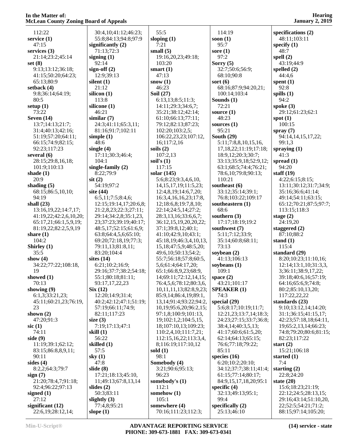| 112:22                 | 30:4,10;41:12;46:23;             | 55:5                          | 114:19                                          | specifications (2)     |
|------------------------|----------------------------------|-------------------------------|-------------------------------------------------|------------------------|
| service $(1)$          | 55:8;84:13;94:8;97:9             | sloping $(1)$                 | soon $(1)$                                      | 48:11;103:11           |
| 47:15                  | significantly $(2)$              | 7:21                          | 95:7                                            | specify $(1)$          |
| services $(3)$         | 71:13;72:3                       | small $(5)$                   | sore $(1)$                                      | 48:7                   |
| 21:14;23:2;45:14       | signing $(1)$                    | 19:16,20,23;49:18;            | 97:2                                            | spell $(2)$            |
| set $(8)$              | 92:14                            | 103:20                        | Sorry $(5)$                                     | 43:19;44:9             |
| 9:13:13:12:36:18;      | sign-off $(2)$                   | smart $(1)$                   | 32:7;50:6;56:9;                                 | spelled $(2)$          |
| 41:15;50:20;64:23;     | 12:9;39:13                       | 47:13                         | 68:10;90:8                                      | 44:4,6                 |
| 65:13:80:9             | silent $(1)$                     | snow(1)                       | sort $(6)$                                      | spent $(1)$            |
| setback $(4)$          | 21:12                            | 46:23                         | 68:16;87:9;94:20,21;                            | 92:8                   |
| 9:8:36:14:64:19;       | silicon $(1)$                    | Soil (27)                     | 100:14;103:4                                    | spills $(1)$           |
| 80:5                   | 113:8                            | 6:13,13;8:5;11:3;             | Sounds $(1)$                                    | 94:2                   |
| setup $(1)$            | silicone (1)                     | 14:11;29:3;34:6,7;            | 72:21                                           | spoke $(3)$            |
| 73:22                  | 46:21                            | 35:21;38:12;42:14;            | source $(1)$                                    | 29:12;61:23;62:1       |
| Seven $(14)$           | similar(7)                       | 61:10;66:13;77:11;            | 48:23                                           | spot $(1)$             |
| 13:7;14:13;21:7;       | 24:3;41:11;65:3,11;              | 79:12;82:13;87:23;            | sources $(1)$                                   | 100:15                 |
| 31:4;40:13;42:16;      | 81:16;91:7;102:11                | 102:20;103:2,5;               | 95:21                                           | spray $(7)$            |
| 51:19;57:20;64:11;     | simple $(1)$                     | 106:22,23,23;107:12,          | South $(29)$                                    | 94:14,14,15,17,22;     |
| 66:15;74:9;82:15;      | 48:6                             | 16;117:2,16                   | 5:11;7:8,8,10,15,16,                            | 99:1.3                 |
| 92:23;117:23           |                                  | soils $(2)$                   | 17, 18, 22; 11: 19; 17: 18;                     |                        |
| several (6)            | single $(4)$<br>17:11;30:3;46:4; | 107:2,13                      | 18:9,12;20:3;30:7;                              | spraying $(1)$<br>41:3 |
| 28:15;29:8,16,18;      | 104:1                            |                               |                                                 |                        |
| 101:9;110:13           | single-family $(2)$              | soil's $(1)$<br>117:15        | 33:13;35:9,18;52:9,12;<br>63:1;68:5;74:4;76:21; | spread $(1)$<br>94:20  |
|                        |                                  |                               |                                                 |                        |
| shade $(1)$            | 8:22;79:9                        | solar $(145)$                 | 78:6,10;79:8;90:13;                             | staff $(19)$           |
| 20:9                   | $s$ it $(2)$                     | 5:6;8:23;9:3,4,6,10,          | 110:21                                          | 4:22;6:15;8:15;        |
| shading $(5)$          | 54:19;97:2                       | 14, 15, 17, 19; 11: 5, 23;    | southeast (6)                                   | 13:11;30:12;31:7;34:9; |
| 68:15;86:5,10,10;      | site $(44)$                      | 12:4,8,19;14:6,7,20;          | 33:12;35:14;39:1;                               | 35:16;36:6;41:14;      |
| 94:19                  | 6:5,11;7:5;8:4,6;                | 16:3,4,16,16,23;17:8,         | 76:8;103:22;109:17                              | 49:14;54:11;63:15;     |
| shall $(23)$           | 12:15;19:14,17;20:6,8;           | 12;18:6,8;19:7,8,10;          | southeastern $(1)$                              | 65:12;70:21;87:5;97:7; |
| 13:16,19,22;14:7,17;   | 21:2,8,23;22:3;27:11;            | 22:14;24:5,14;27:2;           | 68:6                                            | 113:15;118:3           |
| 41:19,22;42:2,6,10,20; | 29:14;34:2,8;35:1,23,            | 28:3,13,16;33:6,6,7;          | southern $(3)$                                  | stage $(2)$            |
| 65:17,21;66:1,5,9,19;  | 23;37:23;39:19;40:17;            | 36:12,15,19,20,20,22;         | 17:17;18:19;19:2                                | 24:19,20               |
| 81:19,22;82:2,5,9,19   | 48:5,17;52:15;61:6,9;            | 37:1;39:8,12;40:1;            | southwest (7)                                   | staggered $(2)$        |
| share $(1)$            | 63:8;64:4,5,6;65:10;             | 41:10;42:9,10;43:1;           | 5:11;7:12;33:9;                                 | 87:10:88:2             |
| 104:2                  | 69:20;72:18,19;77:3;             | 45:18,19;46:3,4,10,13,        | 35:14;60:8;68:11;                               | stand $(1)$            |
| Shirley (1)            | 79:11,13;81:8,11;                | 15, 18; 47: 5, 9; 48: 5, 20;  | 73:13                                           | 115:4                  |
| 35:5                   | 83:20;104:4                      | 49:6,10:50:13:54:2;           | soybean $(2)$                                   | standard (29)          |
| show $(4)$             | sites $(14)$                     | 55:7;56:18;57:8;60:5,         | 41:13;106:13                                    | 8:20;10:23;11:10,16;   |
| 34:22;77:22;108:18,    | 6:21;10:2;16:9;                  | 5,6;61:4;64:17,20;            | soybeans $(1)$                                  | 12:14;13:1,10;31:3,3,  |
| 19                     | 29:16;37:7;38:2;54:18;           | 65:1;66:8,9,23;68:9,          | 109:1                                           | 3;36:11;38:9,17,22;    |
| showed $(1)$           | 55:1;80:18;81:11;                | 14;69:11;72:12,14,15;         | space $(2)$                                     | 39:18;40:6,16;57:19;   |
| 70:13                  | 93:17,17,22,23                   | 76:4,5,6;78:12;80:3,6,        | 43:21;101:17                                    | 64:16;65:6,9;74:8;     |
| showing $(9)$          | Six(12)                          | 10,11,11,13;82:8,9,23;        | <b>SPEAKER (1)</b>                              | 80:2;85:10,13,20;      |
| 6:1,3;33:21,23;        | 12:20;14:9;31:4;                 | 85:9,14;86:4,19;89:1,         | 74:3                                            | 117:22,22,22           |
| 45:11;60:21,23;76:19,  | 40:2;42:12;47:1;51:19;           | 13, 14; 91: 4; 93: 22; 94: 2, | special (29)                                    | standards $(23)$       |
| 23                     | 57:19:66:11:74:9;                | 10,19;95:6,20;96:2,15;        | 5:6;8:17;10:19;11:7;                            | 9:10;13:12,14;14:20;   |
| shown $(2)$            | 82:11;117:23                     | 97:1,8;100:9;101:13,          | 12:21, 23; 13:7, 14; 18:3;                      | 31:1;36:15;41:15,17;   |
| 47:20;91:3             | size $(3)$                       | 19;102:1,2;104:5,15,          | 24:23;27:15;33:7;36:8;                          | 42:23;57:18,18;64:11,  |
| $\rm$ sic $(1)$        | 7:19;17:13;47:1                  | 18;107:10,13;109:23;          | 38:4,14;40:3,5,13;                              | 19;65:2,13,14;66:23;   |
| 74:11                  | skill $(1)$                      | 110:2,4,10;111:7,21;          | 41:17;60:6;61:5,20;                             | 74:8;79:20;80:6;81:15; |
| side $(9)$             | 56:22                            | 112:15, 16, 22; 113:3, 4,     | 62:14;64:13;65:15;                              | 82:23:117:22           |
| 11:19;39:1;62:12;      | skilled (1)                      | 8;116:19;117:10,12            | 76:6;77:18;79:22;                               | start $(2)$            |
| 83:15;86:8,8,9,11;     | 57:5                             | sold $(1)$                    | 85:11                                           | 15:21;106:18           |
| 90:11                  | sky $(1)$                        | 98:1                          | species $(16)$                                  | started $(1)$          |
| sides $(4)$            | 47:8                             | Somebody (4)                  | 6:20;10:2;20:10;                                | 7:4                    |
| 8:2,2;64:3;79:7        | slide (8)                        | 3:21;90:6;95:13;              | 34:12;37:7;38:11;41:4;                          | starting $(2)$         |
| sign(7)                | 17:21;18:13;45:10,               | 96:23                         | 61:15;77:14;80:17;                              | 22:8;24:20             |
| 21:20;78:4,7;91:18;    | 11;49:13;67:8,13,14              | somebody's (1)                | 84:9,15,17,18,20;95:1                           | state $(20)$           |
| 92:4;96:22;97:13       | slides $(2)$                     | 112:1                         | specific $(4)$                                  | 15:6;18:23;21:19;      |
| signed $(1)$           | 50:3;83:11                       | somehow (1)                   | 32:13;49:13;95:1;                               | 22:12;24:5;28:13,15;   |
| 27:12                  | slightly $(3)$                   | 105:1                         | 99:4                                            | 29:16;43:14;51:10,20,  |
| significant $(12)$     | 77:4,8;95:21                     | somewhere (4)                 | specifically $(2)$                              | 22;52:5;54:21;71:2;    |
| 22:6,19;28:12,14;      | slope $(1)$                      | 70:16;111:23;112:3;           | 25:13;46:10                                     | 88:15;97:14;105:20;    |
|                        |                                  |                               |                                                 |                        |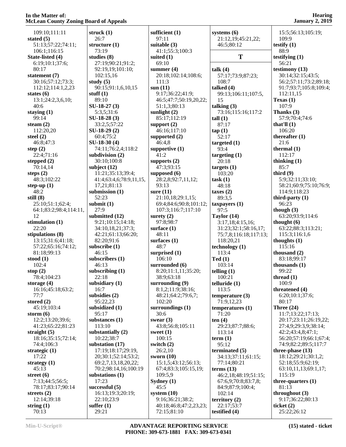| $\sim$ 0 and $\sim$ 0<br>₻ |                |
|----------------------------|----------------|
| 109:10;111:11              | strı           |
| stated (5)                 | 2              |
| 51:13;57:22;74:11;         | strı           |
| 106:1;116:15               | 7              |
| State-listed (4)           | stu            |
| 6:19;10:1;37:6;            | 2              |
| 80:17                      | 9              |
| statement (7)              | 1              |
| 30:16;57:12;73:3;          | stu            |
| 112:12;114:1,2,23          | 9              |
| states $(6)$               | stui           |
| 13:1;24:2,3,6,10;          | 8              |
| 40:6                       | SU.            |
| staying $(1)$              | 5              |
| 99:14                      | SU.            |
| steam $(2)$                | 3              |
| 112:20,20                  | SU.            |
| steel $(2)$                | 6              |
| 46:8;47:3                  | SU.            |
| step $(2)$                 | 7              |
| 22:4;71:16                 | sub            |
| stepped (2)                | 3              |
| 70:14,14                   | sub            |
| steps (2)                  | 1              |
| 48:3;102:22                | 4              |
| step-up $(1)$              | 1              |
| 48:2                       | sub            |
| still (8)                  | 5              |
| 25:10;51:1;62:4;           | sub            |
| 64:1;83:2;98:4;114:11,     | 2              |
| 12                         | sub            |
| stimulation (1)            | 9              |
| 22:20                      | 3              |
| stipulations (8)           | 4              |
| 13:15;31:6;41:18;          | 8              |
| 57:22;65:16;74:12;         | sub            |
| 81:18;99:13                | 4              |
| stood $(1)$                | sub            |
| 102:4                      | 4              |
| stop $(2)$                 | sub            |
| 78:4;104:23                | $\overline{2}$ |
| storage $(4)$              | sub            |
| 16:16;45:18;63:2;          | 1              |
| 77:7                       | sub            |
| stored $(2)$               | 9              |
| 45:19;103:4                | sub            |
| storm $(6)$                | 9              |
| 12:2;13:20;39:6;           | sub            |
| 41:23;65:22;81:23          | 1              |
| straight $(5)$             | sub            |
| 18:16;35:15;72:14;         | 1              |
| 74:4;106:3                 | sub            |
| strategic $(1)$            | 1              |
| 17:22                      | $\overline{2}$ |
| strategy $(1)$             | б              |
| 45:13                      | 7              |
| street $(6)$               | sub            |
| 7:13;44:5;56:5;            | 1              |
| 78:17;83:17;90:14          | suc            |
| streets $(2)$              | 1              |
| 12:14;39:18                | 2              |
| string $(1)$               | sufi           |
| 70:13                      | $\overline{c}$ |

| struck (1)<br>26:7                     | sufficient $(1)$<br>97:11    |
|----------------------------------------|------------------------------|
| structure (1)                          | suitable (3)                 |
| 73:19<br>studies (8)                   | 41:1;55:3;10<br>suited (1)   |
| 27:19;90:21;91:2;                      | 69:10                        |
| 92:19,19;101:10;                       | summer $(4)$                 |
| 102:15,16                              | 20:18;102:14                 |
| study $(5)$                            | 111:3                        |
| 90:15;91:1,6,10,15                     | sum(11)                      |
| stuff $(1)$                            | 9:17;36:22;4                 |
| 89:10                                  | 46:5;47:7;50                 |
| $SU-18-27(3)$                          | 51:1,3;80:13                 |
| 5:3,5;31:6                             | sunlight $(2)$               |
| $SU-18-28(3)$                          | 85:17;112:1                  |
| 33:2,5;57:22                           | support $(2)$<br>46:16;117:1 |
| SU-18-29 (2)<br>60:4;75:2              | supported $(2)$              |
| $SU-18-30(4)$                          | 46:4,8                       |
| 74:11;76:2,4;118:2                     | supportive $(1)$             |
| subdivision (2)                        | 41:2                         |
| 30:10;100:8                            | supports $(2)$               |
| subject (12)                           | 47:3;93:15                   |
| 11:21;35:13;39:4;                      | supposed (6)                 |
| 41:4;63:4,6;78:9,11,15,<br>17,21;81:13 | 28:2,8;92:7,<br>93:13        |
| submission (1)                         | sure $(11)$                  |
| 52:23                                  | 21:10,18;29                  |
| submit (1)                             | 69:4;84:6;90                 |
| 27:9                                   | 107:3;116:7                  |
| submitted (12)                         | surety $(2)$                 |
| 9:21;10:15;14:18;                      | 97:8;98:7                    |
| 34:10,18,21;37:3;                      | surface $(1)$<br>48:11       |
| 42:21;61:13;66:20;<br>82:20;91:6       | surfaces $(1)$               |
| subscribe (1)                          | 48:7                         |
| 46:15                                  | surprised $(1)$              |
| subscribers (1)                        | 106:10                       |
| 46:13                                  | surrounded (6                |
| subscribing $(1)$                      | 8:20;11:1,11                 |
| 22:18                                  | 38:9;63:18                   |
| subsidiary (1)<br>16:7                 | surrounding (                |
| subsidies (2)                          | 8:1,2;11:9;3<br>48:21;64:2;7 |
| 95:22,23                               | 102:20                       |
| subsidized (1)                         | surroundings                 |
| 95:17                                  | 30:6                         |
| substances (1)                         | swear $(3)$                  |
| 113:10                                 | 43:8;56:8;10                 |
| substantially (2)<br>10:22;38:7        | sweet $(1)$<br>100:15        |
| substation (17)                        | switch (2)                   |
| 17:19;18:17;29:19,                     | 26:2,10                      |
| 20;30:1;52:14;53:2;                    | sworn $(10)$                 |
| 69:2,7,13,18,20,22;                    | 15:1,5;43:12                 |
| 70:2;98:14,16;100:19                   | 67:4;83:3;10                 |
| substations (1)<br>17:23               | 109:5,9<br>Sydney (1)        |
| successful (5)                         | 45:5                         |
| 16:13;19:3;20:19;                      | system $(10)$                |
| 22:10;23:9                             | 9:16;36:21;3                 |
| suffer $(1)$                           | 40:18;46:8;4                 |
| 29:21                                  | 72:15;81:10                  |

| sufficient $(1)$<br>97:11         | syst<br>2             |
|-----------------------------------|-----------------------|
| suitable (3)                      | $\overline{4}$        |
| 41:1;55:3;100:3                   |                       |
| suited (1)<br>69:10               |                       |
| summer $(4)$                      | talk                  |
| 20:18;102:14;108:6;               | 5′                    |
| 111:3                             | 10                    |
| sum(11)                           | talk                  |
| 9:17;36:22;41:9;                  | 9                     |
| 46:5;47:7;50:19,20,22;            | 1:<br>talk            |
| 51:1,3;80:13<br>sunlight $(2)$    | 7.                    |
| 85:17;112:19                      | tall                  |
| support $(2)$                     | 8′                    |
| 46:16;117:10                      | tap                   |
| supported (2)                     | 51                    |
| 46:4,8                            | targ                  |
| supportive (1)<br>41:2            | 9.<br>targ            |
| supports $(2)$                    | $\overline{2}$        |
| 47:3;93:15                        | targ                  |
| supposed (6)                      | 10                    |
| 28:2,8;92:7,11,12;                | task                  |
| 93:13                             | $\overline{4}$        |
| sure $(11)$<br>21:10,18;29:1,15;  | taxe<br>8             |
| 69:4;84:6;90:8;101:12;            | taxp                  |
| 107:3;116:7;117:10                | 9′                    |
| surety $(2)$                      | Tay                   |
| 97:8;98:7                         | $\mathfrak{Z}$ :      |
| surface (1)<br>48:11              | $\overline{3}$<br>7:  |
| surfaces (1)                      | 1                     |
| 48:7                              | tech                  |
| surprised $(1)$                   | $\mathbf{1}$          |
| 106:10                            | Ted                   |
| surrounded (6)                    | 10                    |
| 8:20;11:1,11;35:20;<br>38:9;63:18 | telli<br>10           |
| surrounding (9)                   | tellu                 |
| 8:1,2;11:9;38:16;                 | $1\,$                 |
| 48:21;64:2;79:6,7;                | tem                   |
| 102:20                            | 7                     |
| surroundings $(1)$<br>30:6        | tem<br>$\overline{7}$ |
| swear $(3)$                       | ten                   |
| 43:8;56:8;105:11                  | $2^{\prime}$          |
| sweet $(1)$                       | 1                     |
| 100:15                            | tern                  |
| switch (2)                        | 9:                    |
| 26:2,10<br>sworn $(10)$           | tern<br>3,            |
| 15:1,5;43:12;56:13;               | $7^{\prime}$          |
| 67:4;83:3;105:15,19;              | tern                  |
| 109:5,9                           | 4                     |
| Sydney $(1)$                      | 6                     |
| 45:5                              | 8                     |
| system $(10)$<br>9:16;36:21;38:2; | 10<br>terr            |
| 40:18;46:8;47:2,23,23;            | $\mathbf{2}^{\prime}$ |

**systems (6)** 21:12,19;45:21,22; 46:5;80:12  $\bf{T}$   $\qquad$   $\bf{t}$ **talk (4)** 57:17;73:9;87:23; 108:7 **talked (4)** 99:13;106:11;107:5, 15 **talking (3)** 73:16;115:16;117:2 **tall (1)** 87:17 **tap (1)** 52:17 **targeted (1)** 93:4 **targeting (1)** 20:18 **targets (1)** 103:20 **task (1)** 48:18 **taxes (2)** 89:3,5 **taxpayers (1)** 97:5 **Taylor (14)** 3:17,18;4:15,16; 31:23;32:1;58:16,17; 75:7,8;116:18;117:13; 118:20,21 echnology (1) 113:4 **Ted (1)** 103:14 **telling (1)** 100:21 **telluride (1)** 113:5 **emperature (3)**  71:9,12,23 emperatures (1) 71:20 **en** (4) 29:23;87:7;88:6; 113:14  $erm (1)$  95:12 **erminated** (5) 34:13;37:11;61:15; 77:14;80:21 **terms (13)** 46:2,18;48:19;51:15; 67:6,9;70:8;83:7,8; 84:9;87:9;100:4; 102:14 **territory (2)** 22:17;53:7 **testified (4)**

 15:5;56:13;105:19; 109:9 **testify (1)** 88:9 **testifying (1)** 56:21 **testimony (13)** 30:14;32:15;43:5; 56:2;57:11;73:2;89:18; 91:7;93:7;105:8;109:4; 112:11,15 **Texas (1)** 107:9 **Thanks (3)** 57:9;70:4;74:6 **that'll (1)** 106:20 **thereafter (1)** 21:6 **thermal (1)** 112:17 **thinking (1)** 85:7 **third (9)** 5:9;32:11;33:10; 58:21;60:9;75:10;76:9; 114:9;118:23 **third-party (1)** 96:23 **though (3)** 63:20;93:9;114:6 **thought (6)** 63:22;88:3;113:21; 115:3;116:1,6 **thoughts (1)** 115:16 **thousand (2)** 83:18;99:17 **thousands (1)** 99:22 **thread (1)** 100:9 **threatened (4)** 6:20;10:1;37:6; 80:17 **Three (24)** 11:7;13:22;17:13; 20:17;23:11;26:19,22; 27:4,9;29:3,9;38:14; 42:2;43:4,8;47:1; 56:20;57:19;66:1;67:4; 74:9;82:2;89:5;117:7 **three-phase (13)** 18:12;29:21;30:1,2; 52:18;55:9;62:19; 63:10,11,13;69:1,17; 115:19 **three-quarters (1)** 81:13 **throughout (3)** 9:17;36:22;80:13 **ticket (2)**

25:22;26:12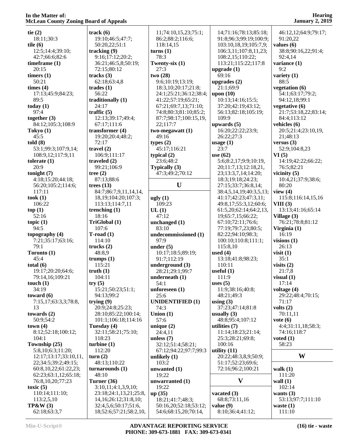**tie (2)** 18:11;30:3 **tile (6)** 12:5;14:4;39:10; 42:7;66:6;82:6 **timeframe (1)** 20:15 **timers (1)** 50:21 **times (4)** 17:13;45:9;84:23; 89:5 **today (1)** 97:4 **together (3)** 84:12;105:3;108:9 **Tokyo (1)** 45:5 **told (8)** 53:1;99:3;107:9,14; 108:9,12;117:9,11 **tolerate (1)** 20:9 **tonight (7)** 4:18;15:20;44:18; 56:20;105:2;114:6; 117:11 **took (1)** 106:22 **top (1)** 52:16 **topic (1)** 94:5 **topography (4)** 7:21;35:17;63:16; 79:1 **Toronto (1)** 45:4 **total (6)** 19:17;20:20;64:6; 79:14,16;109:21 **touch (1)** 34:19 **toward (6)** 7:15,17;63:3,3;78:8, 13 **towards (2)** 50:9;54:2 **town (4)** 8:12;52:18;100:12; 104:1 **Township (25)** 5:8,10;6:3;11:20; 12:17;13:17;33:10,11, 22;34:5;39:2;49:15; 60:8,10,22;61:22,23; 62:23;63:1,12;65:18; 76:8,10,20;77:23 **toxic (5)** 110:14;111:10; 113:2,5,10 **TP&W (3)** 62:18;63:3,7

**track (6)** 19:10;46:5;47:7; 50:20,22;51:1 **tracking (9)** 9:16;17:12;20:2; 36:21;46:5,8;50:19; 72:15;80:12 **tracks (3)** 62:18;63:4,8 **trades (1)** 56:22 **traditionally (1)** 24:17 **traffic (5)** 12:13;39:17;49:4; 67:17;111:6 **transformer (4)** 19:20;20:4;48:2; 72:17 **travel (2)** 106:9;111:17 **traveled (2)** 99:21;106:9 **tree (2)** 87:13;88:6 **trees (13)** 84:7;86:7,9,11,14,14, 18,19;104:20;107:3; 113:13;114:7,11 **trenching (1)** 18:16 **TriGlobal (1)** 107:6 **T-road (1)** 114:10 **trucks (2)** 48:8,9 **trumps (1)** 115:21 **truth (1)** 104:11 **try (5)** 15:21;50:23;51:1; 94:13;99:2 **trying (9)** 20:9;24:8;25:23; 28:10;85:22;100:14; 101:1;106:18;114:16 **Tuesday (4)** 32:11;58:21;75:10; 118:23 **turbine (1)** 112:20 **turn (2)** 48:13;110:22 **turnarounds (1)** 48:10 **Turner (36)** 3:10,11;4:1,3,9,10; 23:18;24:1,13,21;25:8, 14,16;26:12;31:8,10; 32:4,5,6;50:17;51:6, 18;52:6;57:21;58:2,10,

 11;74:10,15,23;75:1; 86:2;88:2;116:6; 118:14,15 **turns (1)** 78:3 **Twenty-six (1)** 27:3 **two (28)** 9:6;10:19;13:19; 18:3,10;20:17;21:8; 24:1;25:21;36:12;38:4; 41:22;57:19;65:21; 67:21;69:7,13;71:10; 74:8;80:3;81:10;85:2; 87:7;98:17;100:15,19, 22;117:7 **two-megawatt (1)** 49:16 **types (2)** 45:17;116:21 **typical (2)** 23:6;48:2 **Typically (3)** 47:3;49:2;70:12 **U ugly (1)** 109:23 **UL (1)** 47:12 **unchanged (1)** 83:10 **undecommissioned (1)** 97:9 **under (5)** 10:17;18:5;89:19; 91:7;112:19 **underground (3)** 28:21;29:1;99:7 **underneath (1)** 54:1 **unforeseen (1)** 25:6 **UNIDENTIFIED (1)** 74:3 **Union (1)** 57:6 **unique (2)** 24:4,11 **unless (7)** 32:12;51:4;58:21; 67:12;94:22;97:7;99:3 **unlikely (1)** 103:2 **unwanted (1)** 19:22 **unwarranted (1)** 19:22 **up (35)** 18:21;41:7;48:3; 50:16,20;52:18;53:12; 54:6;68:15,20;70:14,

 14;71:16;78:13;85:18; 91:8;96:3;99:19;100:9; 103:10,18,19;105:7,9; 106:3,11;107:8,11,23; 108:2,15;110:22; 113:21;115:22;117:8 **upgrade (1)** 69:16 **upgrades (2)** 21:1;69:9 **upon (10)** 10:13;14:16;15:5; 37:20;42:19;43:12; 56:13;82:18;105:19; 109:9 **upwards (5)** 16:20;22:22;23:9; 26:22;27:3 **usage (1)** 23:7 **use (62)** 5:6;8:2,17;9:9;10:19, 20;11:7,13;12:18,21, 23;13:3,7,14;14:20; 18:3;19:18;24:23; 27:15;33:7;36:8,14; 38:4,5,14,19;40:3,5,13; 41:17;42:23;47:3,11; 49:8,17;55:3,12;60:6; 61:5,20;62:14;64:2,13, 19;65:7,15;66:22; 67:10;72:11;76:6; 77:19;79:7,23;80:5; 82:22;94:10;98:3; 100:10;110:8;111:1; 115:8,10 **used (4)** 13:18;41:8;98:23; 110:11 **useful (1)** 111:9 **uses (5)** 11:9;38:16;40:8; 48:21;49:3 **using (3)** 37:23;47:14;81:8 **usually (3)** 48:8;95:4;107:12 **utilities (7)** 11:14;18:23;21:14; 25:3;28:21;69:8; 100:16 **utility (11)** 20:22;48:3,8,9;50:9; 51:17;52:23;69:6; 72:16;96:2;100:21 **vacated (3)** 68:8;73:11,16 **value (9)** 8:10;36:4;41:12;

**Hearing January 2, 2019** 46:12,12;64:9;79:17; 91:20,22 **values (6)** 38:8;90:16,22;91:4; 92:4,14 **variance (1) variety (1) vegetation (6)** 54:1;63:17;79:2;

9:2

88:5

 94:12,18;99:1 **vegetative (6)** 21:7;53:18,22;83:14; 84:4;113:12 **vehicles (6)** 20:5;21:4;23:10,19, 21;48:13 **versus (3)** 52:9;104:8,23 **VI (5)** 14:19;42:22;66:22; 76:5;82:21 **vicinity (5)** 10:4,21;37:9;38:6; 80:20 **view (4)** 115:8;116:14,15,16 **VIII (3)** 13:13;41:16;65:14 **Village (3)** 76:21;78:8;81:12 **Virginia (1)** 16:19 **visions (1)** 26:13 **visit (1)** 35:1 **visits (2)** 21:7,8 **visual (1)** 17:14 **voltage (4)** 29:22;48:4;70:15; 71:17 **volts (2)** 70:11,11 **vote (6)** 4:4;31:11,18;58:3; 74:16;118:7 **voted (1)** 58:23

### **W**

 $V$  wall (1) **walk (1)** 111:20 102:14 **wants (3)** 53:13;97:7;111:10 **waste (1)** 111:10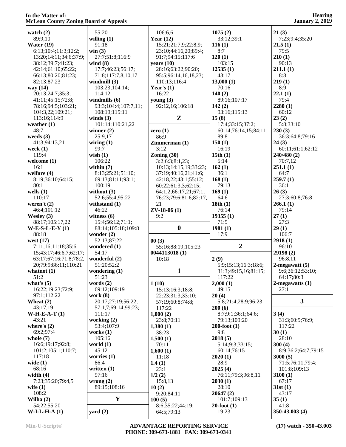| watch $(2)$                   | 55:20                | 106:6,6                        | 1075(2)                   | 21(3)                  |
|-------------------------------|----------------------|--------------------------------|---------------------------|------------------------|
| 89:9,10                       | willing $(1)$        | Year $(12)$                    | 33:12;39:1                | 7:23;9:4;35:20         |
| Water $(19)$                  | 91:18                | 15:21;21:7,9;22:8,9;           | 116(1)                    | 21.5(1)                |
| 6:13;10:4;11:3;12:2;          | win(3)               | 23:10;44:16,20;89:4;           | 8:7                       | 79:5                   |
| 13:20;14:11;34:6;37:9;        | 27:7;51:8;116:9      | 91:7;94:15;117:6               | 120(1)                    | 210(1)                 |
| 38:12;39:7;41:23;             | wind $(8)$           | years $(10)$                   | 103:15                    | 90:13                  |
| 42:14;61:10;65:22;            | 17:7;46:23;56:17;    | 28:16;63:22;90:20;             | 12535(1)                  | 211.1(1)               |
|                               |                      |                                |                           |                        |
| 66:13;80:20;81:23;            | 71:8;117:7,8,10,17   | 95:5;96:14,16,18,23;           | 43:17                     | 8:8                    |
| 82:13;87:23                   | windmill $(3)$       | 110:13;116:4                   | 13,000(1)                 | 219(1)                 |
| way $(14)$                    | 103:23;104:14;       | Year's $(1)$                   | 70:16                     | 8:9                    |
| 20:13;24:7;35:3;              | 114:12               | 16:22                          | 140(2)                    | 22.1(1)                |
| 41:11;45:15;72:8;             | windmills $(6)$      | young $(3)$                    | 89:16;107:17              | 79:4                   |
| 78:16;94:5;103:21;            | 93:3;104:4;107:7,11; | 92:12,16;106:18                | 142(2)                    | 2280(1)                |
| 104:3,22;109:21;              | 108:19;115:11        |                                | 93:16;115:13              | 60:12                  |
| 113:16;114:9                  | winds $(3)$          | Z                              | 15(8)                     | 23(2)                  |
|                               |                      |                                |                           |                        |
| weather $(1)$                 | 101:14;110:21,22     |                                | 17:4;33:15;37:2;          | 5:8;33:10              |
| 48:7                          | winner $(2)$         | zero $(1)$                     | 60:14;76:14,15;84:11;     | 230(3)                 |
| weeds $(3)$                   | 25:9,17              | 86:9                           | 89:8                      | 36:3;64:8;79:16        |
| 41:3;94:13,21                 | wiring $(1)$         | Zimmerman (1)                  | 150(1)                    | 24(3)                  |
| week $(1)$                    | 99:7                 | 3:12                           | 16:19                     | 60:11;61:1;62:12       |
| 119:4                         | wish $(1)$           | Zoning $(30)$                  | 15th(1)                   | 240/480(2)             |
| welcome $(1)$                 | 106:22               | 3:2;6:3;8:1,23;                | 5:14                      | 70:7,12                |
|                               |                      |                                |                           |                        |
| 16:1                          | within $(7)$         | 10:13;14:15,19;33:23;          | 162(1)                    | 251.1(1)               |
| welfare $(4)$                 | 8:13;25:21;51:10;    | 37:19;40:16,21;41:6;           | 36:1                      | 64:7                   |
| 8:19;36:10;64:15;             | 69:13;81:11;93:1;    | 42:18,22;43:1;55:12;           | 168(1)                    | 259.7(1)               |
| 80:1                          | 100:19               | 60:22;61:3,3;62:15;            | 79:13                     | 36:1                   |
| wells $(1)$                   | without $(3)$        | 64:1,2;66:17,21;67:1;          | 169(1)                    | 26(3)                  |
| 110:17                        | 52:6;55:4;95:22      | 76:23;79:6;81:6;82:17,         | 64:6                      | 27:3;60:8;76:8         |
| weren't $(2)$                 | withstand $(1)$      | 21                             | 18th(1)                   | 266.1(1)               |
|                               |                      |                                |                           |                        |
| 46:4;101:12                   | 46:22                | $ZV-18-06(1)$                  | 76:14                     | 79:14                  |
| Wesley $(3)$                  | witness $(6)$        | 9:2                            | 19355(1)                  | 27(1)                  |
| 88:17;105:17,22               |                      |                                |                           |                        |
|                               | 15:4;56:12;71:1;     |                                | 71:5                      | 27:3                   |
| $W-E-S-L-E-Y(1)$              | 88:14;105:18;109:8   | $\boldsymbol{0}$               | 1981(1)                   | 29(1)                  |
| 88:18                         | wonder $(2)$         |                                | 17:9                      | 106:7                  |
|                               |                      |                                |                           |                        |
| west $(17)$                   | 52:13;87:22          | 00(3)                          |                           | 2918(1)                |
| 7:11,16;11:18;35:6,           | wondered (1)         | 55:16;88:19;105:23             | $\overline{2}$            | 96:10                  |
| 15;43:17;46:6,7;62:17;        | 54:17                | 0044113018(1)                  |                           | 29198(2)               |
| 63:17;67:16;71:8;78:2,        | wonderful (2)        | 10:18                          | 2(9)                      | 96:8,11                |
| 20;79:9;86:11;110:21          | 51:20;52:2           |                                | 5:9;15:13;16:3;18:6;      | $2$ -megawatt $(5)$    |
| whatnot $(1)$                 | wondering $(1)$      | 1                              | 31:3;49:15,16;81:15;      | 9:6;36:12;53:10;       |
| 51:2                          | 51:23                |                                | 117:22                    | 64:17;80:3             |
|                               |                      |                                |                           |                        |
| what's $(5)$                  | words $(2)$          | 1(10)                          | 2,000(1)                  | $2$ -megawatts $(1)$   |
| 16:22;19:23;72:9;             | 69:12;109:19         | 15:13;16:3;18:8;               | 49:15                     | 27:1                   |
| 97:1;112:22                   | work $(8)$           | 22:23;31:3;33:10;              | 20(4)                     |                        |
| Wheat $(2)$                   | 20:17;27:19;56:22;   | 57:19;60:8;74:8;               | 5:8;21:4;28:9;96:23       | $\mathbf{3}$           |
| 43:17,19                      | 57:1,7;69:14;99:23;  | 117:22                         | 200(6)                    |                        |
| $W-H-E-A-T(1)$                | 111:17               | 1,000(2)                       | 8:7;9:1;36:1;64:6;        | 3(4)                   |
| 43:21                         | working (2)          | 23:8;70:11                     | 79:13;109:20              | 31:3;60:9;76:9;        |
| where's $(2)$                 | 53:4;107:9           |                                | $200$ -foot $(1)$         | 117:22                 |
|                               |                      | 1,380(1)                       |                           |                        |
| 69:2;97:4                     | works $(1)$          | 38:23                          | 9:8                       | 30(1)                  |
| whole $(7)$                   | 105:16               | 1,500(1)                       | 2018(5)                   | 28:10                  |
| 16:6;19:17;92:8;              | world $(1)$          | 70:11                          | 5:14;9:3;33:15;           | 300(4)                 |
| 101:2;105:1;110:7;            | 45:12                | 1,600(1)                       | 60:14;76:15               | 8:9;36:2;64:7;79:15    |
| 117:18                        | worries $(1)$        | 11:18                          | 2020(1)                   | 3000(5)                |
| wide $(1)$                    | 86:4                 | 1.4(1)                         | 28:9                      | 71:5;76:11;79:4;       |
| 68:16                         | written $(1)$        | 23:1                           | 2025(4)                   | 101:8;109:13           |
| width $(4)$                   | 97:16                | 1/2(2)                         | 76:11;79:3;96:8,11        | 3100(1)                |
| 7:23;35:20;79:4,5             |                      |                                |                           | 67:17                  |
|                               | wrong $(2)$          | 15:8,13                        | 2030(1)                   |                        |
| wife $(1)$                    | 89:15;108:16         | 10(2)                          | 28:10                     | 31st(1)                |
| 108:2                         |                      | 9:20;84:11                     | 20647(2)                  | 43:17                  |
| Wilha $(2)$                   | Y                    | 100(5)                         | 101:7;109:13              | 35(1)                  |
| 54:22;55:20<br>$W-I-L-H-A(1)$ | $\text{ yard}(2)$    | 8:6;35:22;44:19;<br>64:5;79:13 | $20$ -foot $(1)$<br>19:23 | 41:8<br>350-43.003 (4) |